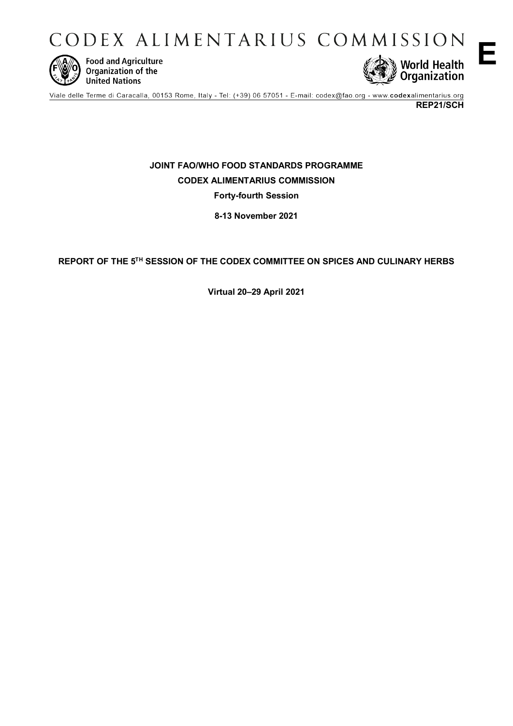CODEX ALIMENTARIUS COMMISSION



**Food and Agriculture**<br>Organization of the **United Nations** 



**REP21/SCH**

**E**

**JOINT FAO/WHO FOOD STANDARDS PROGRAMME CODEX ALIMENTARIUS COMMISSION**

**Forty-fourth Session**

**8-13 November 2021**

# **REPORT OF THE 5TH SESSION OF THE CODEX COMMITTEE ON SPICES AND CULINARY HERBS**

**Virtual 20–29 April 2021**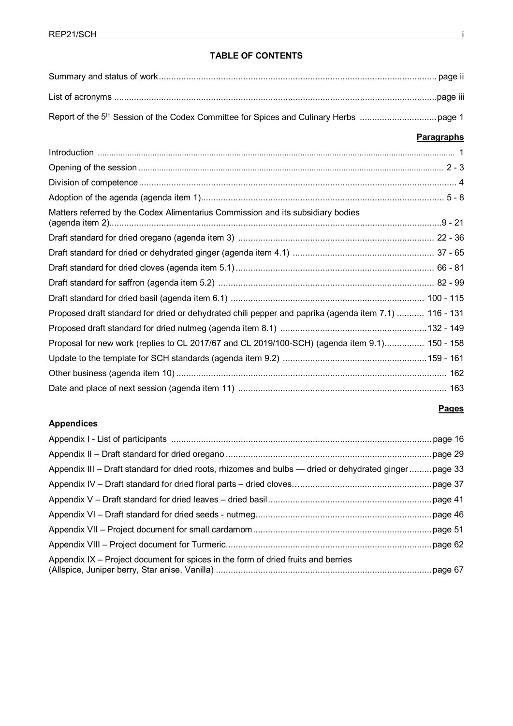# **TABLE OF CONTENTS**

|                                                                                                       | <b>Paragraphs</b> |
|-------------------------------------------------------------------------------------------------------|-------------------|
|                                                                                                       |                   |
|                                                                                                       |                   |
|                                                                                                       |                   |
|                                                                                                       |                   |
| Matters referred by the Codex Alimentarius Commission and its subsidiary bodies                       |                   |
|                                                                                                       |                   |
|                                                                                                       |                   |
|                                                                                                       |                   |
|                                                                                                       |                   |
|                                                                                                       |                   |
| Proposed draft standard for dried or dehydrated chili pepper and paprika (agenda item 7.1)  116 - 131 |                   |
|                                                                                                       |                   |
| Proposal for new work (replies to CL 2017/67 and CL 2019/100-SCH) (agenda item 9.1) 150 - 158         |                   |
|                                                                                                       |                   |
|                                                                                                       |                   |
|                                                                                                       |                   |

# **Appendices**

| Appendix III – Draft standard for dried roots, rhizomes and bulbs — dried or dehydrated ginger page 33 |  |
|--------------------------------------------------------------------------------------------------------|--|
|                                                                                                        |  |
|                                                                                                        |  |
|                                                                                                        |  |
|                                                                                                        |  |
|                                                                                                        |  |
| Appendix IX – Project document for spices in the form of dried fruits and berries                      |  |

**Pages**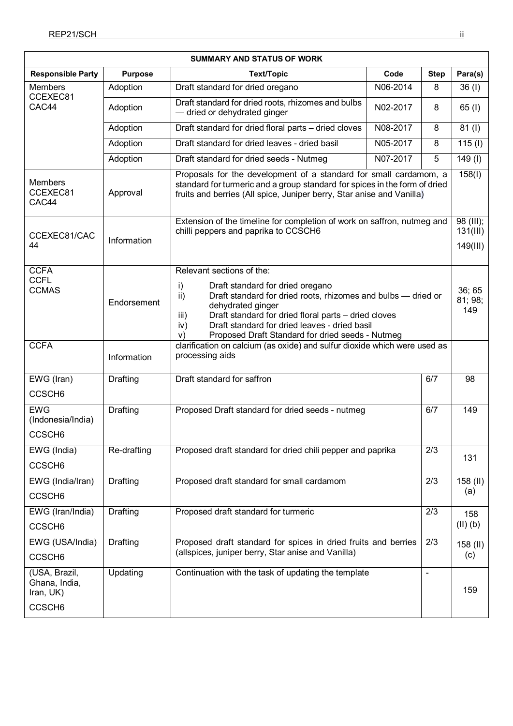| <b>SUMMARY AND STATUS OF WORK</b>                                 |                |                                                                                                                                                                                                                                                                                                                                                    |                                                                                                                                                                                                                          |                |                          |  |  |
|-------------------------------------------------------------------|----------------|----------------------------------------------------------------------------------------------------------------------------------------------------------------------------------------------------------------------------------------------------------------------------------------------------------------------------------------------------|--------------------------------------------------------------------------------------------------------------------------------------------------------------------------------------------------------------------------|----------------|--------------------------|--|--|
| <b>Responsible Party</b>                                          | <b>Purpose</b> | <b>Text/Topic</b>                                                                                                                                                                                                                                                                                                                                  | Code                                                                                                                                                                                                                     | <b>Step</b>    | Para(s)                  |  |  |
| <b>Members</b>                                                    | Adoption       | Draft standard for dried oregano                                                                                                                                                                                                                                                                                                                   | N06-2014                                                                                                                                                                                                                 | 8              | 36 (I)                   |  |  |
| CCEXEC81<br>CAC44                                                 | Adoption       | Draft standard for dried roots, rhizomes and bulbs<br>- dried or dehydrated ginger                                                                                                                                                                                                                                                                 | N02-2017                                                                                                                                                                                                                 | 8              | 65 (I)                   |  |  |
|                                                                   | Adoption       | Draft standard for dried floral parts - dried cloves                                                                                                                                                                                                                                                                                               | N08-2017                                                                                                                                                                                                                 | 8              | 81 (I)                   |  |  |
|                                                                   | Adoption       | Draft standard for dried leaves - dried basil                                                                                                                                                                                                                                                                                                      | N05-2017                                                                                                                                                                                                                 | 8              | $\overline{115}$ (I)     |  |  |
|                                                                   | Adoption       | Draft standard for dried seeds - Nutmeg                                                                                                                                                                                                                                                                                                            | N07-2017                                                                                                                                                                                                                 | 5              | $149$ (l)                |  |  |
| <b>Members</b><br>CCEXEC81<br>CAC44                               | Approval       |                                                                                                                                                                                                                                                                                                                                                    | Proposals for the development of a standard for small cardamom, a<br>standard for turmeric and a group standard for spices in the form of dried<br>fruits and berries (All spice, Juniper berry, Star anise and Vanilla) |                |                          |  |  |
| CCEXEC81/CAC<br>44                                                | Information    | chilli peppers and paprika to CCSCH6                                                                                                                                                                                                                                                                                                               | $98$ (III);<br>Extension of the timeline for completion of work on saffron, nutmeg and<br>131(III)<br>149(III)                                                                                                           |                |                          |  |  |
| <b>CCFA</b><br><b>CCFL</b><br><b>CCMAS</b>                        | Endorsement    | Relevant sections of the:<br>i)<br>Draft standard for dried oregano<br>Draft standard for dried roots, rhizomes and bulbs - dried or<br>ii)<br>dehydrated ginger<br>Draft standard for dried floral parts - dried cloves<br>iii)<br>Draft standard for dried leaves - dried basil<br>iv)<br>V)<br>Proposed Draft Standard for dried seeds - Nutmeg |                                                                                                                                                                                                                          |                | 36; 65<br>81; 98;<br>149 |  |  |
| <b>CCFA</b>                                                       | Information    | clarification on calcium (as oxide) and sulfur dioxide which were used as<br>processing aids                                                                                                                                                                                                                                                       |                                                                                                                                                                                                                          |                |                          |  |  |
| EWG (Iran)<br>CCSCH <sub>6</sub>                                  | Drafting       | Draft standard for saffron                                                                                                                                                                                                                                                                                                                         |                                                                                                                                                                                                                          | 6/7            | 98                       |  |  |
| <b>EWG</b><br>(Indonesia/India)<br>CCSCH <sub>6</sub>             | Drafting       | Proposed Draft standard for dried seeds - nutmeg                                                                                                                                                                                                                                                                                                   |                                                                                                                                                                                                                          | 6/7            | 149                      |  |  |
| EWG (India)<br>CCSCH <sub>6</sub>                                 | Re-drafting    | Proposed draft standard for dried chili pepper and paprika                                                                                                                                                                                                                                                                                         |                                                                                                                                                                                                                          | 2/3            | 131                      |  |  |
| EWG (India/Iran)<br>CCSCH <sub>6</sub>                            | Drafting       | Proposed draft standard for small cardamom<br>2/3                                                                                                                                                                                                                                                                                                  |                                                                                                                                                                                                                          |                | 158 (II)<br>(a)          |  |  |
| EWG (Iran/India)<br>CCSCH <sub>6</sub>                            | Drafting       | Proposed draft standard for turmeric<br>2/3                                                                                                                                                                                                                                                                                                        |                                                                                                                                                                                                                          |                | 158<br>$(II)$ $(b)$      |  |  |
| EWG (USA/India)<br>CCSCH <sub>6</sub>                             | Drafting       | Proposed draft standard for spices in dried fruits and berries<br>2/3<br>(allspices, juniper berry, Star anise and Vanilla)                                                                                                                                                                                                                        |                                                                                                                                                                                                                          |                | $158$ (II)<br>(c)        |  |  |
| (USA, Brazil,<br>Ghana, India,<br>Iran, UK)<br>CCSCH <sub>6</sub> | Updating       | Continuation with the task of updating the template                                                                                                                                                                                                                                                                                                |                                                                                                                                                                                                                          | $\blacksquare$ | 159                      |  |  |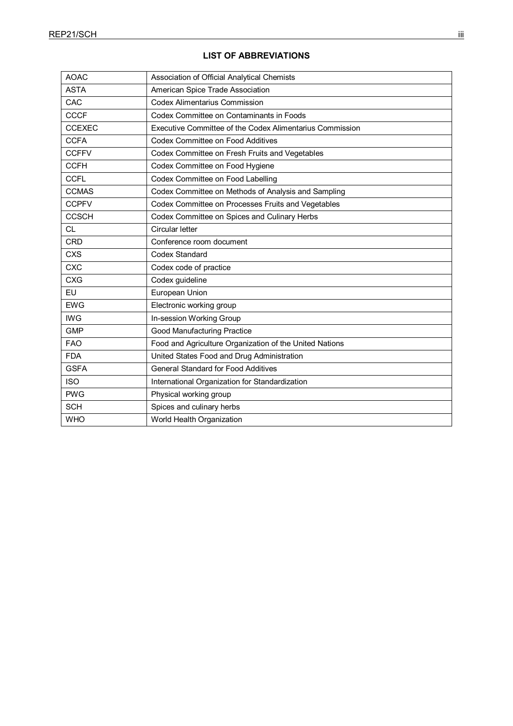| <b>AOAC</b>   | Association of Official Analytical Chemists              |
|---------------|----------------------------------------------------------|
| <b>ASTA</b>   | American Spice Trade Association                         |
| CAC           | <b>Codex Alimentarius Commission</b>                     |
| <b>CCCF</b>   | Codex Committee on Contaminants in Foods                 |
| <b>CCEXEC</b> | Executive Committee of the Codex Alimentarius Commission |
| <b>CCFA</b>   | <b>Codex Committee on Food Additives</b>                 |
| <b>CCFFV</b>  | Codex Committee on Fresh Fruits and Vegetables           |
| <b>CCFH</b>   | Codex Committee on Food Hygiene                          |
| <b>CCFL</b>   | Codex Committee on Food Labelling                        |
| <b>CCMAS</b>  | Codex Committee on Methods of Analysis and Sampling      |
| <b>CCPFV</b>  | Codex Committee on Processes Fruits and Vegetables       |
| <b>CCSCH</b>  | Codex Committee on Spices and Culinary Herbs             |
| <b>CL</b>     | <b>Circular letter</b>                                   |
| <b>CRD</b>    | Conference room document                                 |
| <b>CXS</b>    | <b>Codex Standard</b>                                    |
| <b>CXC</b>    | Codex code of practice                                   |
| <b>CXG</b>    | Codex guideline                                          |
| EU            | European Union                                           |
| <b>EWG</b>    | Electronic working group                                 |
| <b>IWG</b>    | In-session Working Group                                 |
| <b>GMP</b>    | <b>Good Manufacturing Practice</b>                       |
| <b>FAO</b>    | Food and Agriculture Organization of the United Nations  |
| <b>FDA</b>    | United States Food and Drug Administration               |
| <b>GSFA</b>   | <b>General Standard for Food Additives</b>               |
| <b>ISO</b>    | International Organization for Standardization           |
| <b>PWG</b>    | Physical working group                                   |
| <b>SCH</b>    | Spices and culinary herbs                                |
| <b>WHO</b>    | World Health Organization                                |
|               |                                                          |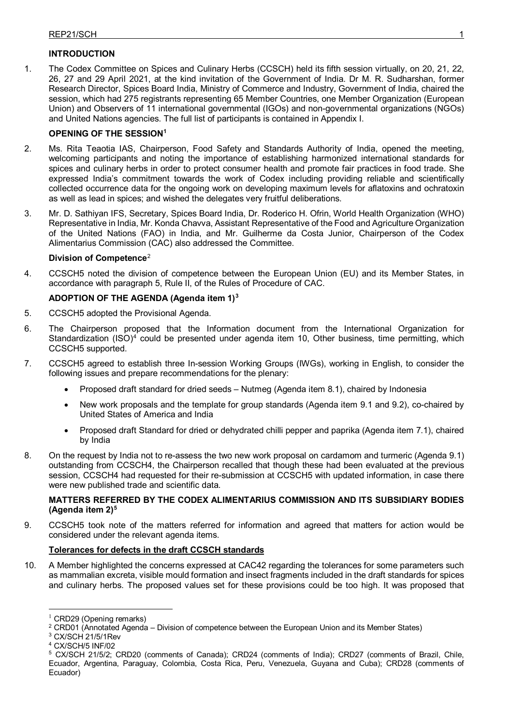# **INTRODUCTION**

1. The Codex Committee on Spices and Culinary Herbs (CCSCH) held its fifth session virtually, on 20, 21, 22, 26, 27 and 29 April 2021, at the kind invitation of the Government of India. Dr M. R. Sudharshan, former Research Director, Spices Board India, Ministry of Commerce and Industry, Government of India, chaired the session, which had 275 registrants representing 65 Member Countries, one Member Organization (European Union) and Observers of 11 international governmental (IGOs) and non-governmental organizations (NGOs) and United Nations agencies. The full list of participants is contained in Appendix I.

# **OPENING OF THE SESSION[1](#page-4-0)**

- 2. Ms. Rita Teaotia IAS, Chairperson, Food Safety and Standards Authority of India, opened the meeting, welcoming participants and noting the importance of establishing harmonized international standards for spices and culinary herbs in order to protect consumer health and promote fair practices in food trade. She expressed India's commitment towards the work of Codex including providing reliable and scientifically collected occurrence data for the ongoing work on developing maximum levels for aflatoxins and ochratoxin as well as lead in spices; and wished the delegates very fruitful deliberations.
- 3. Mr. D. Sathiyan IFS, Secretary, Spices Board India, Dr. Roderico H. Ofrin, World Health Organization (WHO) Representative in India, Mr. Konda Chavva, Assistant Representative of the Food and Agriculture Organization of the United Nations (FAO) in India, and Mr. Guilherme da Costa Junior, Chairperson of the Codex Alimentarius Commission (CAC) also addressed the Committee.

## **Division of Competence**[2](#page-4-1)

4. CCSCH5 noted the division of competence between the European Union (EU) and its Member States, in accordance with paragraph 5, Rule II, of the Rules of Procedure of CAC.

## **ADOPTION OF THE AGENDA (Agenda item 1)[3](#page-4-2)**

- 5. CCSCH5 adopted the Provisional Agenda.
- 6. The Chairperson proposed that the Information document from the International Organization for Standardization  $(ISO)^4$  $(ISO)^4$  could be presented under agenda item 10, Other business, time permitting, which CCSCH5 supported.
- 7. CCSCH5 agreed to establish three In-session Working Groups (IWGs), working in English, to consider the following issues and prepare recommendations for the plenary:
	- Proposed draft standard for dried seeds Nutmeg (Agenda item 8.1), chaired by Indonesia
	- New work proposals and the template for group standards (Agenda item 9.1 and 9.2), co-chaired by United States of America and India
	- Proposed draft Standard for dried or dehydrated chilli pepper and paprika (Agenda item 7.1), chaired by India
- 8. On the request by India not to re-assess the two new work proposal on cardamom and turmeric (Agenda 9.1) outstanding from CCSCH4, the Chairperson recalled that though these had been evaluated at the previous session, CCSCH4 had requested for their re-submission at CCSCH5 with updated information, in case there were new published trade and scientific data.

## **MATTERS REFERRED BY THE CODEX ALIMENTARIUS COMMISSION AND ITS SUBSIDIARY BODIES (Agenda item 2)[5](#page-4-4)**

9. CCSCH5 took note of the matters referred for information and agreed that matters for action would be considered under the relevant agenda items.

## **Tolerances for defects in the draft CCSCH standards**

10. A Member highlighted the concerns expressed at CAC42 regarding the tolerances for some parameters such as mammalian excreta, visible mould formation and insect fragments included in the draft standards for spices and culinary herbs. The proposed values set for these provisions could be too high. It was proposed that

<span id="page-4-0"></span> $1$  CRD29 (Opening remarks)

<span id="page-4-1"></span> $2$  CRD01 (Annotated Agenda – Division of competence between the European Union and its Member States)

<span id="page-4-2"></span><sup>3</sup> CX/SCH 21/5/1Rev

<span id="page-4-3"></span><sup>4</sup> CX/SCH/5 INF/02

<span id="page-4-4"></span><sup>5</sup> CX/SCH 21/5/2; CRD20 (comments of Canada); CRD24 (comments of India); CRD27 (comments of Brazil, Chile, Ecuador, Argentina, Paraguay, Colombia, Costa Rica, Peru, Venezuela, Guyana and Cuba); CRD28 (comments of Ecuador)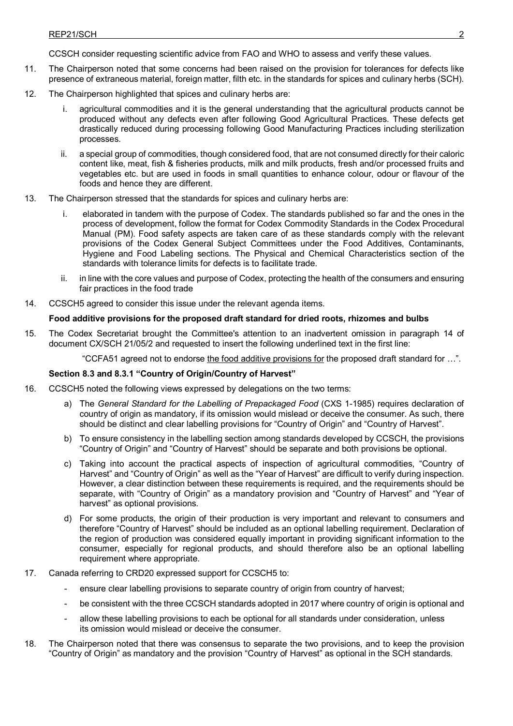CCSCH consider requesting scientific advice from FAO and WHO to assess and verify these values.

- 11. The Chairperson noted that some concerns had been raised on the provision for tolerances for defects like presence of extraneous material, foreign matter, filth etc. in the standards for spices and culinary herbs (SCH).
- 12. The Chairperson highlighted that spices and culinary herbs are:
	- agricultural commodities and it is the general understanding that the agricultural products cannot be produced without any defects even after following Good Agricultural Practices. These defects get drastically reduced during processing following Good Manufacturing Practices including sterilization processes.
	- ii. a special group of commodities, though considered food, that are not consumed directly for their caloric content like, meat, fish & fisheries products, milk and milk products, fresh and/or processed fruits and vegetables etc. but are used in foods in small quantities to enhance colour, odour or flavour of the foods and hence they are different.
- 13. The Chairperson stressed that the standards for spices and culinary herbs are:
	- i. elaborated in tandem with the purpose of Codex. The standards published so far and the ones in the process of development, follow the format for Codex Commodity Standards in the Codex Procedural Manual (PM). Food safety aspects are taken care of as these standards comply with the relevant provisions of the Codex General Subject Committees under the Food Additives, Contaminants, Hygiene and Food Labeling sections. The Physical and Chemical Characteristics section of the standards with tolerance limits for defects is to facilitate trade.
	- ii. in line with the core values and purpose of Codex, protecting the health of the consumers and ensuring fair practices in the food trade
- 14. CCSCH5 agreed to consider this issue under the relevant agenda items.

#### **Food additive provisions for the proposed draft standard for dried roots, rhizomes and bulbs**

15. The Codex Secretariat brought the Committee's attention to an inadvertent omission in paragraph 14 of document CX/SCH 21/05/2 and requested to insert the following underlined text in the first line:

"CCFA51 agreed not to endorse the food additive provisions for the proposed draft standard for ...".

#### **Section 8.3 and 8.3.1 "Country of Origin/Country of Harvest"**

- 16. CCSCH5 noted the following views expressed by delegations on the two terms:
	- a) The *General Standard for the Labelling of Prepackaged Food* (CXS 1-1985) requires declaration of country of origin as mandatory, if its omission would mislead or deceive the consumer. As such, there should be distinct and clear labelling provisions for "Country of Origin" and "Country of Harvest".
	- b) To ensure consistency in the labelling section among standards developed by CCSCH, the provisions "Country of Origin" and "Country of Harvest" should be separate and both provisions be optional.
	- c) Taking into account the practical aspects of inspection of agricultural commodities, "Country of Harvest" and "Country of Origin" as well as the "Year of Harvest" are difficult to verify during inspection. However, a clear distinction between these requirements is required, and the requirements should be separate, with "Country of Origin" as a mandatory provision and "Country of Harvest" and "Year of harvest" as optional provisions.
	- d) For some products, the origin of their production is very important and relevant to consumers and therefore "Country of Harvest" should be included as an optional labelling requirement. Declaration of the region of production was considered equally important in providing significant information to the consumer, especially for regional products, and should therefore also be an optional labelling requirement where appropriate.
- 17. Canada referring to CRD20 expressed support for CCSCH5 to:
	- ensure clear labelling provisions to separate country of origin from country of harvest;
	- be consistent with the three CCSCH standards adopted in 2017 where country of origin is optional and
	- allow these labelling provisions to each be optional for all standards under consideration, unless its omission would mislead or deceive the consumer.
- 18. The Chairperson noted that there was consensus to separate the two provisions, and to keep the provision "Country of Origin" as mandatory and the provision "Country of Harvest" as optional in the SCH standards.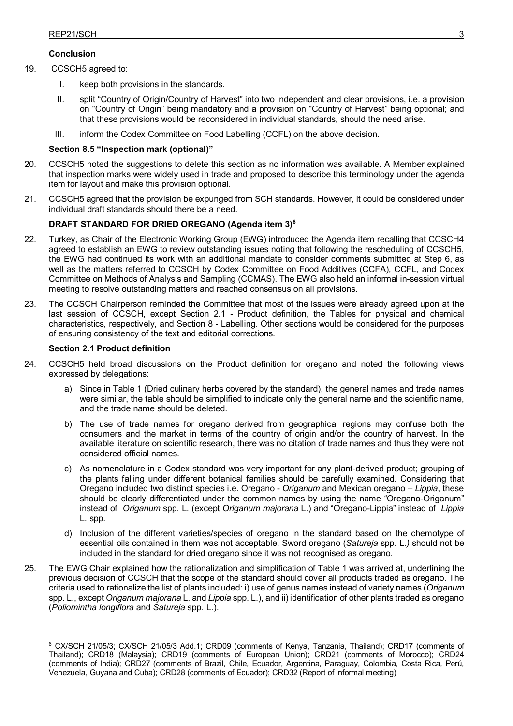## **Conclusion**

- 19. CCSCH5 agreed to:
	- I. keep both provisions in the standards.
	- II. split "Country of Origin/Country of Harvest" into two independent and clear provisions, i.e. a provision on "Country of Origin" being mandatory and a provision on "Country of Harvest" being optional; and that these provisions would be reconsidered in individual standards, should the need arise.
	- III. inform the Codex Committee on Food Labelling (CCFL) on the above decision.

#### **Section 8.5 "Inspection mark (optional)"**

- 20. CCSCH5 noted the suggestions to delete this section as no information was available. A Member explained that inspection marks were widely used in trade and proposed to describe this terminology under the agenda item for layout and make this provision optional.
- 21. CCSCH5 agreed that the provision be expunged from SCH standards. However, it could be considered under individual draft standards should there be a need.

## **DRAFT STANDARD FOR DRIED OREGANO (Agenda item 3)[6](#page-6-0)**

- 22. Turkey, as Chair of the Electronic Working Group (EWG) introduced the Agenda item recalling that CCSCH4 agreed to establish an EWG to review outstanding issues noting that following the rescheduling of CCSCH5, the EWG had continued its work with an additional mandate to consider comments submitted at Step 6, as well as the matters referred to CCSCH by Codex Committee on Food Additives (CCFA), CCFL, and Codex Committee on Methods of Analysis and Sampling (CCMAS). The EWG also held an informal in-session virtual meeting to resolve outstanding matters and reached consensus on all provisions.
- 23. The CCSCH Chairperson reminded the Committee that most of the issues were already agreed upon at the last session of CCSCH, except Section 2.1 - Product definition, the Tables for physical and chemical characteristics, respectively, and Section 8 - Labelling. Other sections would be considered for the purposes of ensuring consistency of the text and editorial corrections.

### **Section 2.1 Product definition**

- 24. CCSCH5 held broad discussions on the Product definition for oregano and noted the following views expressed by delegations:
	- a) Since in Table 1 (Dried culinary herbs covered by the standard), the general names and trade names were similar, the table should be simplified to indicate only the general name and the scientific name, and the trade name should be deleted.
	- b) The use of trade names for oregano derived from geographical regions may confuse both the consumers and the market in terms of the country of origin and/or the country of harvest. In the available literature on scientific research, there was no citation of trade names and thus they were not considered official names.
	- c) As nomenclature in a Codex standard was very important for any plant-derived product; grouping of the plants falling under different botanical families should be carefully examined. Considering that Oregano included two distinct species i.e. Oregano - *Origanum* and Mexican oregano – *Lippia*, these should be clearly differentiated under the common names by using the name "Oregano-Origanum" instead of *Origanum* spp. L. (except *Origanum majorana* L.) and "Oregano-Lippia" instead of *Lippia* L. spp.
	- d) Inclusion of the different varieties/species of oregano in the standard based on the chemotype of essential oils contained in them was not acceptable. Sword oregano (*Satureja* spp. L*.)* should not be included in the standard for dried oregano since it was not recognised as oregano.
- 25. The EWG Chair explained how the rationalization and simplification of Table 1 was arrived at, underlining the previous decision of CCSCH that the scope of the standard should cover all products traded as oregano. The criteria used to rationalize the list of plants included: i) use of genus names instead of variety names (*Origanum* spp. L., except *Origanum majorana* L. and *Lippia* spp. L.), and ii) identification of other plants traded as oregano (*Poliomintha longiflora* and *Satureja* spp. L.).

<span id="page-6-0"></span><sup>&</sup>lt;u>.</u> <sup>6</sup> CX/SCH 21/05/3; CX/SCH 21/05/3 Add.1; CRD09 (comments of Kenya, Tanzania, Thailand); CRD17 (comments of Thailand); CRD18 (Malaysia); CRD19 (comments of European Union); CRD21 (comments of Morocco); CRD24 (comments of India); CRD27 (comments of Brazil, Chile, Ecuador, Argentina, Paraguay, Colombia, Costa Rica, Perú, Venezuela, Guyana and Cuba); CRD28 (comments of Ecuador); CRD32 (Report of informal meeting)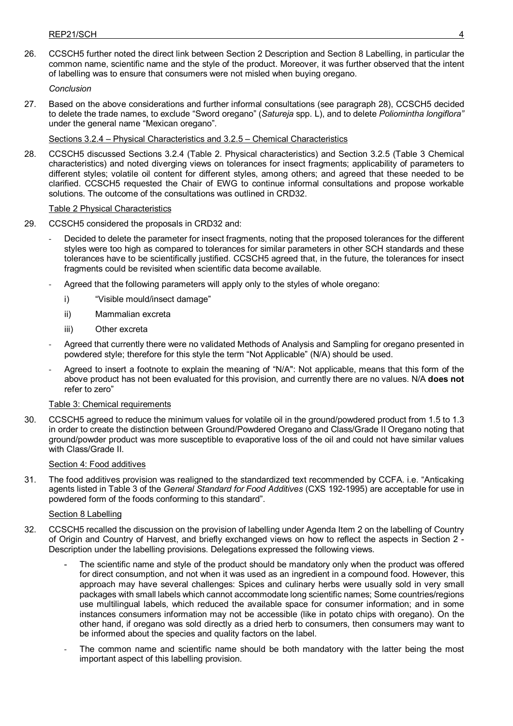26. CCSCH5 further noted the direct link between Section 2 Description and Section 8 Labelling, in particular the common name, scientific name and the style of the product. Moreover, it was further observed that the intent of labelling was to ensure that consumers were not misled when buying oregano.

## *Conclusion*

27. Based on the above considerations and further informal consultations (see paragraph 28), CCSCH5 decided to delete the trade names, to exclude "Sword oregano" (*Satureja* spp. L), and to delete *Poliomintha longiflora"*  under the general name "Mexican oregano"*.*

## Sections 3.2.4 – Physical Characteristics and 3.2.5 – Chemical Characteristics

28. CCSCH5 discussed Sections 3.2.4 (Table 2. Physical characteristics) and Section 3.2.5 (Table 3 Chemical characteristics) and noted diverging views on tolerances for insect fragments; applicability of parameters to different styles; volatile oil content for different styles, among others; and agreed that these needed to be clarified. CCSCH5 requested the Chair of EWG to continue informal consultations and propose workable solutions. The outcome of the consultations was outlined in CRD32.

## Table 2 Physical Characteristics

- 29. CCSCH5 considered the proposals in CRD32 and:
	- Decided to delete the parameter for insect fragments, noting that the proposed tolerances for the different styles were too high as compared to tolerances for similar parameters in other SCH standards and these tolerances have to be scientifically justified. CCSCH5 agreed that, in the future, the tolerances for insect fragments could be revisited when scientific data become available.
	- Agreed that the following parameters will apply only to the styles of whole oregano:
		- i) "Visible mould/insect damage"
		- ii) Mammalian excreta
		- iii) Other excreta
	- Agreed that currently there were no validated Methods of Analysis and Sampling for oregano presented in powdered style; therefore for this style the term "Not Applicable" (N/A) should be used.
	- Agreed to insert a footnote to explain the meaning of "N/A": Not applicable, means that this form of the above product has not been evaluated for this provision, and currently there are no values. N/A **does not** refer to zero"

## Table 3: Chemical requirements

30. CCSCH5 agreed to reduce the minimum values for volatile oil in the ground/powdered product from 1.5 to 1.3 in order to create the distinction between Ground/Powdered Oregano and Class/Grade II Oregano noting that ground/powder product was more susceptible to evaporative loss of the oil and could not have similar values with Class/Grade II.

## Section 4: Food additives

31. The food additives provision was realigned to the standardized text recommended by CCFA. i.e. "Anticaking agents listed in Table 3 of the *General Standard for Food Additives* (CXS 192-1995) are acceptable for use in powdered form of the foods conforming to this standard".

## Section 8 Labelling

- 32. CCSCH5 recalled the discussion on the provision of labelling under Agenda Item 2 on the labelling of Country of Origin and Country of Harvest, and briefly exchanged views on how to reflect the aspects in Section 2 - Description under the labelling provisions. Delegations expressed the following views.
	- The scientific name and style of the product should be mandatory only when the product was offered for direct consumption, and not when it was used as an ingredient in a compound food. However, this approach may have several challenges: Spices and culinary herbs were usually sold in very small packages with small labels which cannot accommodate long scientific names; Some countries/regions use multilingual labels, which reduced the available space for consumer information; and in some instances consumers information may not be accessible (like in potato chips with oregano). On the other hand, if oregano was sold directly as a dried herb to consumers, then consumers may want to be informed about the species and quality factors on the label.
	- The common name and scientific name should be both mandatory with the latter being the most important aspect of this labelling provision.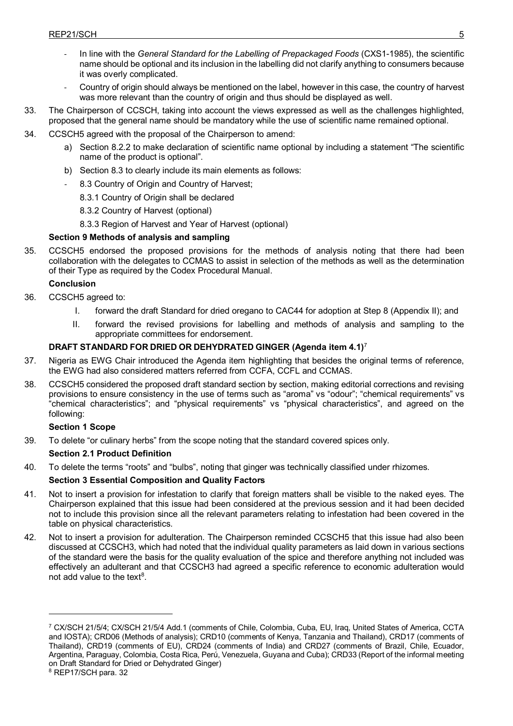- In line with the *General Standard for the Labelling of Prepackaged Foods* (CXS1-1985), the scientific name should be optional and its inclusion in the labelling did not clarify anything to consumers because it was overly complicated.
- Country of origin should always be mentioned on the label, however in this case, the country of harvest was more relevant than the country of origin and thus should be displayed as well.
- 33. The Chairperson of CCSCH, taking into account the views expressed as well as the challenges highlighted, proposed that the general name should be mandatory while the use of scientific name remained optional.
- 34. CCSCH5 agreed with the proposal of the Chairperson to amend:
	- a) Section 8.2.2 to make declaration of scientific name optional by including a statement "The scientific name of the product is optional".
	- b) Section 8.3 to clearly include its main elements as follows:
		- 8.3 Country of Origin and Country of Harvest;
			- 8.3.1 Country of Origin shall be declared
			- 8.3.2 Country of Harvest (optional)
		- 8.3.3 Region of Harvest and Year of Harvest (optional)

# **Section 9 Methods of analysis and sampling**

35. CCSCH5 endorsed the proposed provisions for the methods of analysis noting that there had been collaboration with the delegates to CCMAS to assist in selection of the methods as well as the determination of their Type as required by the Codex Procedural Manual.

## **Conclusion**

- 36. CCSCH5 agreed to:
	- I. forward the draft Standard for dried oregano to CAC44 for adoption at Step 8 (Appendix II); and
	- II. forward the revised provisions for labelling and methods of analysis and sampling to the appropriate committees for endorsement.

# **DRAFT STANDARD FOR DRIED OR DEHYDRATED GINGER (Agenda item 4.1)**[7](#page-8-0)

- 37. Nigeria as EWG Chair introduced the Agenda item highlighting that besides the original terms of reference, the EWG had also considered matters referred from CCFA, CCFL and CCMAS.
- 38. CCSCH5 considered the proposed draft standard section by section, making editorial corrections and revising provisions to ensure consistency in the use of terms such as "aroma" vs "odour"; "chemical requirements" vs "chemical characteristics"; and "physical requirements" vs "physical characteristics", and agreed on the following:

## **Section 1 Scope**

39. To delete "or culinary herbs" from the scope noting that the standard covered spices only.

## **Section 2.1 Product Definition**

40. To delete the terms "roots" and "bulbs", noting that ginger was technically classified under rhizomes.

# **Section 3 Essential Composition and Quality Factors**

- 41. Not to insert a provision for infestation to clarify that foreign matters shall be visible to the naked eyes. The Chairperson explained that this issue had been considered at the previous session and it had been decided not to include this provision since all the relevant parameters relating to infestation had been covered in the table on physical characteristics.
- 42. Not to insert a provision for adulteration. The Chairperson reminded CCSCH5 that this issue had also been discussed at CCSCH3, which had noted that the individual quality parameters as laid down in various sections of the standard were the basis for the quality evaluation of the spice and therefore anything not included was effectively an adulterant and that CCSCH3 had agreed a specific reference to economic adulteration would not add value to the text<sup>8</sup>.

<u>.</u>

<span id="page-8-0"></span><sup>7</sup> CX/SCH 21/5/4; CX/SCH 21/5/4 Add.1 (comments of Chile, Colombia, Cuba, EU, Iraq, United States of America, CCTA and IOSTA); CRD06 (Methods of analysis); CRD10 (comments of Kenya, Tanzania and Thailand), CRD17 (comments of Thailand), CRD19 (comments of EU), CRD24 (comments of India) and CRD27 (comments of Brazil, Chile, Ecuador, Argentina, Paraguay, Colombia, Costa Rica, Perú, Venezuela, Guyana and Cuba); CRD33 (Report of the informal meeting on Draft Standard for Dried or Dehydrated Ginger)

<span id="page-8-1"></span><sup>8</sup> REP17/SCH para. 32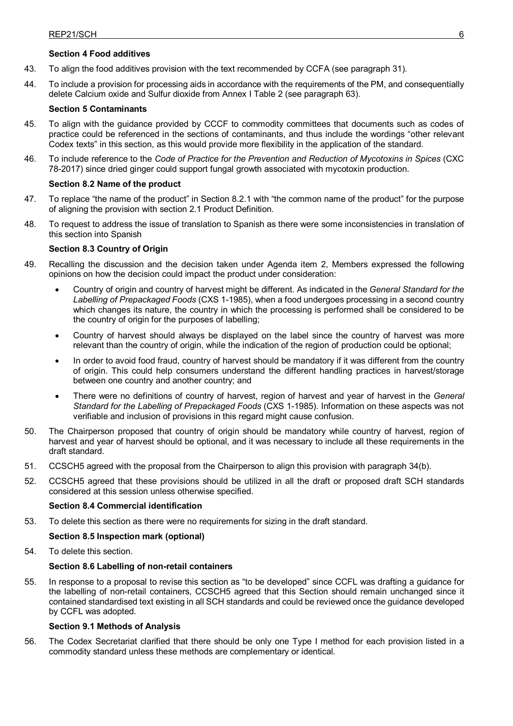## **Section 4 Food additives**

- 43. To align the food additives provision with the text recommended by CCFA (see paragraph 31).
- 44. To include a provision for processing aids in accordance with the requirements of the PM, and consequentially delete Calcium oxide and Sulfur dioxide from Annex I Table 2 (see paragraph 63).

## **Section 5 Contaminants**

- 45. To align with the guidance provided by CCCF to commodity committees that documents such as codes of practice could be referenced in the sections of contaminants, and thus include the wordings "other relevant Codex texts" in this section, as this would provide more flexibility in the application of the standard.
- 46. To include reference to the *Code of Practice for the Prevention and Reduction of Mycotoxins in Spices* (CXC 78-2017) since dried ginger could support fungal growth associated with mycotoxin production.

## **Section 8.2 Name of the product**

- 47. To replace "the name of the product" in Section 8.2.1 with "the common name of the product" for the purpose of aligning the provision with section 2.1 Product Definition.
- 48. To request to address the issue of translation to Spanish as there were some inconsistencies in translation of this section into Spanish

## **Section 8.3 Country of Origin**

- 49. Recalling the discussion and the decision taken under Agenda item 2, Members expressed the following opinions on how the decision could impact the product under consideration:
	- Country of origin and country of harvest might be different. As indicated in the *General Standard for the Labelling of Prepackaged Foods* (CXS 1-1985), when a food undergoes processing in a second country which changes its nature, the country in which the processing is performed shall be considered to be the country of origin for the purposes of labelling;
	- Country of harvest should always be displayed on the label since the country of harvest was more relevant than the country of origin, while the indication of the region of production could be optional;
	- In order to avoid food fraud, country of harvest should be mandatory if it was different from the country of origin. This could help consumers understand the different handling practices in harvest/storage between one country and another country; and
	- There were no definitions of country of harvest, region of harvest and year of harvest in the *General Standard for the Labelling of Prepackaged Foods* (CXS 1-1985). Information on these aspects was not verifiable and inclusion of provisions in this regard might cause confusion.
- 50. The Chairperson proposed that country of origin should be mandatory while country of harvest, region of harvest and year of harvest should be optional, and it was necessary to include all these requirements in the draft standard.
- 51. CCSCH5 agreed with the proposal from the Chairperson to align this provision with paragraph 34(b).
- 52. CCSCH5 agreed that these provisions should be utilized in all the draft or proposed draft SCH standards considered at this session unless otherwise specified.

## **Section 8.4 Commercial identification**

53. To delete this section as there were no requirements for sizing in the draft standard.

## **Section 8.5 Inspection mark (optional)**

54. To delete this section.

## **Section 8.6 Labelling of non-retail containers**

55. In response to a proposal to revise this section as "to be developed" since CCFL was drafting a guidance for the labelling of non-retail containers, CCSCH5 agreed that this Section should remain unchanged since it contained standardised text existing in all SCH standards and could be reviewed once the guidance developed by CCFL was adopted.

## **Section 9.1 Methods of Analysis**

56. The Codex Secretariat clarified that there should be only one Type I method for each provision listed in a commodity standard unless these methods are complementary or identical.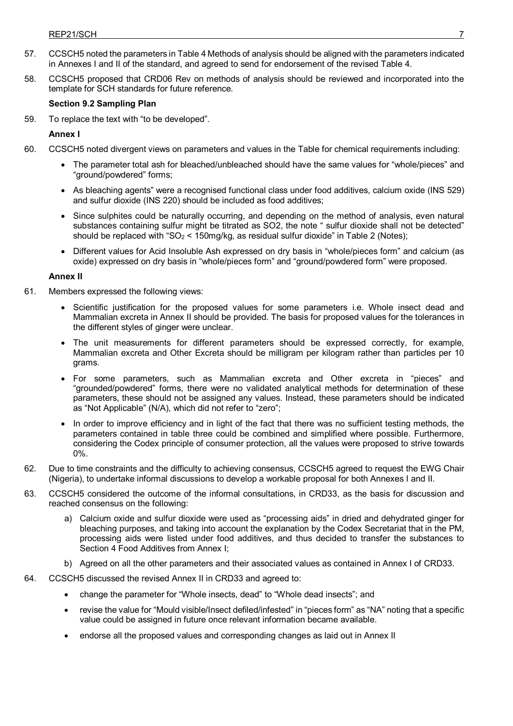- 57. CCSCH5 noted the parameters in Table 4 Methods of analysis should be aligned with the parameters indicated in Annexes I and II of the standard, and agreed to send for endorsement of the revised Table 4.
- 58. CCSCH5 proposed that CRD06 Rev on methods of analysis should be reviewed and incorporated into the template for SCH standards for future reference.

## **Section 9.2 Sampling Plan**

59. To replace the text with "to be developed".

**Annex I** 

- 60. CCSCH5 noted divergent views on parameters and values in the Table for chemical requirements including:
	- The parameter total ash for bleached/unbleached should have the same values for "whole/pieces" and "ground/powdered" forms;
	- As bleaching agents" were a recognised functional class under food additives, calcium oxide (INS 529) and sulfur dioxide (INS 220) should be included as food additives;
	- Since sulphites could be naturally occurring, and depending on the method of analysis, even natural substances containing sulfur might be titrated as SO2, the note " sulfur dioxide shall not be detected" should be replaced with "SO<sub>2</sub> <  $150$ mg/kg, as residual sulfur dioxide" in Table 2 (Notes);
	- Different values for Acid Insoluble Ash expressed on dry basis in "whole/pieces form" and calcium (as oxide) expressed on dry basis in "whole/pieces form" and "ground/powdered form" were proposed.

## **Annex II**

- 61. Members expressed the following views:
	- Scientific justification for the proposed values for some parameters i.e. Whole insect dead and Mammalian excreta in Annex II should be provided. The basis for proposed values for the tolerances in the different styles of ginger were unclear.
	- The unit measurements for different parameters should be expressed correctly, for example, Mammalian excreta and Other Excreta should be milligram per kilogram rather than particles per 10 grams.
	- For some parameters, such as Mammalian excreta and Other excreta in "pieces" and "grounded/powdered" forms, there were no validated analytical methods for determination of these parameters, these should not be assigned any values. Instead, these parameters should be indicated as "Not Applicable" (N/A), which did not refer to "zero";
	- In order to improve efficiency and in light of the fact that there was no sufficient testing methods, the parameters contained in table three could be combined and simplified where possible. Furthermore, considering the Codex principle of consumer protection, all the values were proposed to strive towards 0%.
- 62. Due to time constraints and the difficulty to achieving consensus, CCSCH5 agreed to request the EWG Chair (Nigeria), to undertake informal discussions to develop a workable proposal for both Annexes I and II.
- 63. CCSCH5 considered the outcome of the informal consultations, in CRD33, as the basis for discussion and reached consensus on the following:
	- a) Calcium oxide and sulfur dioxide were used as "processing aids" in dried and dehydrated ginger for bleaching purposes, and taking into account the explanation by the Codex Secretariat that in the PM, processing aids were listed under food additives, and thus decided to transfer the substances to Section 4 Food Additives from Annex I;
	- b) Agreed on all the other parameters and their associated values as contained in Annex I of CRD33.
- 64. CCSCH5 discussed the revised Annex II in CRD33 and agreed to:
	- change the parameter for "Whole insects, dead" to "Whole dead insects"; and
	- revise the value for "Mould visible/Insect defiled/infested" in "pieces form" as "NA" noting that a specific value could be assigned in future once relevant information became available.
	- endorse all the proposed values and corresponding changes as laid out in Annex II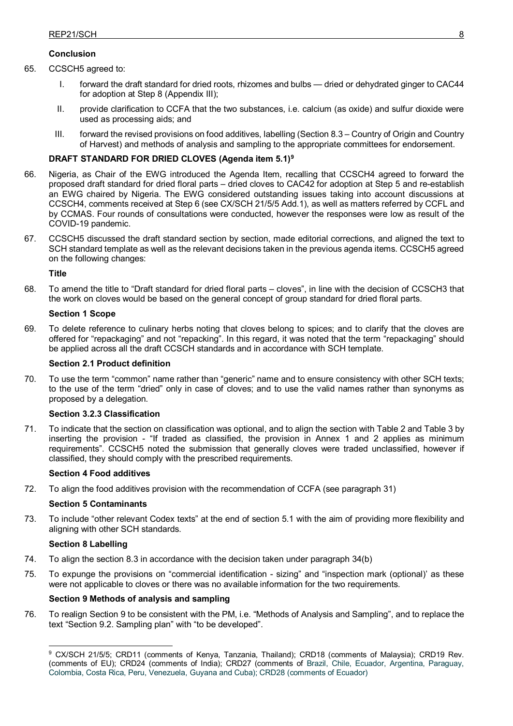# **Conclusion**

- 65. CCSCH5 agreed to:
	- I. forward the draft standard for dried roots, rhizomes and bulbs dried or dehydrated ginger to CAC44 for adoption at Step 8 (Appendix III);
	- II. provide clarification to CCFA that the two substances, i.e. calcium (as oxide) and sulfur dioxide were used as processing aids; and
	- III. forward the revised provisions on food additives, labelling (Section 8.3 Country of Origin and Country of Harvest) and methods of analysis and sampling to the appropriate committees for endorsement.

# **DRAFT STANDARD FOR DRIED CLOVES (Agenda item 5.1)[9](#page-11-0)**

- 66. Nigeria, as Chair of the EWG introduced the Agenda Item, recalling that CCSCH4 agreed to forward the proposed draft standard for dried floral parts – dried cloves to CAC42 for adoption at Step 5 and re-establish an EWG chaired by Nigeria. The EWG considered outstanding issues taking into account discussions at CCSCH4, comments received at Step 6 (see CX/SCH 21/5/5 Add.1), as well as matters referred by CCFL and by CCMAS. Four rounds of consultations were conducted, however the responses were low as result of the COVID-19 pandemic.
- 67. CCSCH5 discussed the draft standard section by section, made editorial corrections, and aligned the text to SCH standard template as well as the relevant decisions taken in the previous agenda items. CCSCH5 agreed on the following changes:

## **Title**

68. To amend the title to "Draft standard for dried floral parts – cloves", in line with the decision of CCSCH3 that the work on cloves would be based on the general concept of group standard for dried floral parts.

## **Section 1 Scope**

69. To delete reference to culinary herbs noting that cloves belong to spices; and to clarify that the cloves are offered for "repackaging" and not "repacking". In this regard, it was noted that the term "repackaging" should be applied across all the draft CCSCH standards and in accordance with SCH template.

## **Section 2.1 Product definition**

70. To use the term "common" name rather than "generic" name and to ensure consistency with other SCH texts; to the use of the term "dried" only in case of cloves; and to use the valid names rather than synonyms as proposed by a delegation.

## **Section 3.2.3 Classification**

71. To indicate that the section on classification was optional, and to align the section with Table 2 and Table 3 by inserting the provision - "If traded as classified, the provision in Annex 1 and 2 applies as minimum requirements". CCSCH5 noted the submission that generally cloves were traded unclassified, however if classified, they should comply with the prescribed requirements.

## **Section 4 Food additives**

72. To align the food additives provision with the recommendation of CCFA (see paragraph 31)

## **Section 5 Contaminants**

73. To include "other relevant Codex texts" at the end of section 5.1 with the aim of providing more flexibility and aligning with other SCH standards.

## **Section 8 Labelling**

- 74. To align the section 8.3 in accordance with the decision taken under paragraph 34(b)
- 75. To expunge the provisions on "commercial identification sizing" and "inspection mark (optional)' as these were not applicable to cloves or there was no available information for the two requirements.

## **Section 9 Methods of analysis and sampling**

<span id="page-11-0"></span>76. To realign Section 9 to be consistent with the PM, i.e. "Methods of Analysis and Sampling", and to replace the text "Section 9.2. Sampling plan" with "to be developed".

<sup>-</sup><sup>9</sup> CX/SCH 21/5/5; CRD11 (comments of Kenya, Tanzania, Thailand); CRD18 (comments of Malaysia); CRD19 Rev. (comments of EU); CRD24 (comments of India); CRD27 (comments of Brazil, Chile, Ecuador, Argentina, Paraguay, Colombia, Costa Rica, Peru, Venezuela, Guyana and Cuba); CRD28 (comments of Ecuador)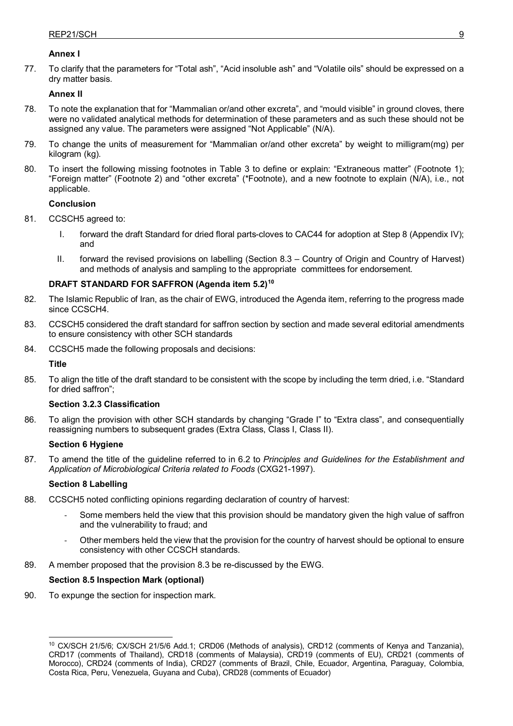## **Annex I**

77. To clarify that the parameters for "Total ash", "Acid insoluble ash" and "Volatile oils" should be expressed on a dry matter basis.

# **Annex II**

- 78. To note the explanation that for "Mammalian or/and other excreta", and "mould visible" in ground cloves, there were no validated analytical methods for determination of these parameters and as such these should not be assigned any value. The parameters were assigned "Not Applicable" (N/A).
- 79. To change the units of measurement for "Mammalian or/and other excreta" by weight to milligram(mg) per kilogram (kg).
- 80. To insert the following missing footnotes in Table 3 to define or explain: "Extraneous matter" (Footnote 1); "Foreign matter" (Footnote 2) and "other excreta" (\*Footnote), and a new footnote to explain (N/A), i.e., not applicable.

## **Conclusion**

- 81. CCSCH5 agreed to:
	- I. forward the draft Standard for dried floral parts-cloves to CAC44 for adoption at Step 8 (Appendix IV); and
	- II. forward the revised provisions on labelling (Section 8.3 Country of Origin and Country of Harvest) and methods of analysis and sampling to the appropriate committees for endorsement.

## **DRAFT STANDARD FOR SAFFRON (Agenda item 5.2)[10](#page-12-0)**

- 82. The Islamic Republic of Iran, as the chair of EWG, introduced the Agenda item, referring to the progress made since CCSCH4.
- 83. CCSCH5 considered the draft standard for saffron section by section and made several editorial amendments to ensure consistency with other SCH standards
- 84. CCSCH5 made the following proposals and decisions:

**Title** 

85. To align the title of the draft standard to be consistent with the scope by including the term dried, i.e. "Standard for dried saffron";

## **Section 3.2.3 Classification**

86. To align the provision with other SCH standards by changing "Grade I" to "Extra class", and consequentially reassigning numbers to subsequent grades (Extra Class, Class I, Class II).

## **Section 6 Hygiene**

87. To amend the title of the guideline referred to in 6.2 to *Principles and Guidelines for the Establishment and Application of Microbiological Criteria related to Foods* (CXG21-1997).

## **Section 8 Labelling**

- 88. CCSCH5 noted conflicting opinions regarding declaration of country of harvest:
	- Some members held the view that this provision should be mandatory given the high value of saffron and the vulnerability to fraud; and
	- Other members held the view that the provision for the country of harvest should be optional to ensure consistency with other CCSCH standards.
- 89. A member proposed that the provision 8.3 be re-discussed by the EWG.

## **Section 8.5 Inspection Mark (optional)**

90. To expunge the section for inspection mark.

<span id="page-12-0"></span><sup>&</sup>lt;u>.</u> <sup>10</sup> CX/SCH 21/5/6; CX/SCH 21/5/6 Add.1; CRD06 (Methods of analysis), CRD12 (comments of Kenya and Tanzania), CRD17 (comments of Thailand), CRD18 (comments of Malaysia), CRD19 (comments of EU), CRD21 (comments of Morocco), CRD24 (comments of India), CRD27 (comments of Brazil, Chile, Ecuador, Argentina, Paraguay, Colombia, Costa Rica, Peru, Venezuela, Guyana and Cuba), CRD28 (comments of Ecuador)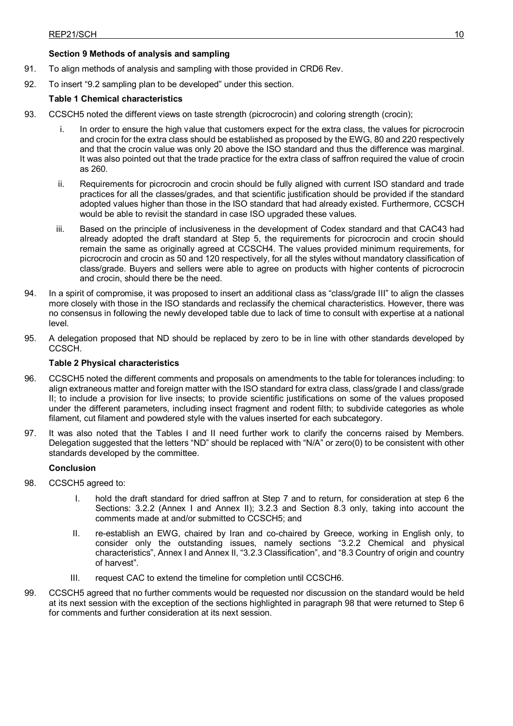# **Section 9 Methods of analysis and sampling**

- 91. To align methods of analysis and sampling with those provided in CRD6 Rev.
- 92. To insert "9.2 sampling plan to be developed" under this section.

# **Table 1 Chemical characteristics**

- 93. CCSCH5 noted the different views on taste strength (picrocrocin) and coloring strength (crocin);
	- In order to ensure the high value that customers expect for the extra class, the values for picrocrocin and crocin for the extra class should be established as proposed by the EWG, 80 and 220 respectively and that the crocin value was only 20 above the ISO standard and thus the difference was marginal. It was also pointed out that the trade practice for the extra class of saffron required the value of crocin as 260.
	- ii. Requirements for picrocrocin and crocin should be fully aligned with current ISO standard and trade practices for all the classes/grades, and that scientific justification should be provided if the standard adopted values higher than those in the ISO standard that had already existed. Furthermore, CCSCH would be able to revisit the standard in case ISO upgraded these values.
	- iii. Based on the principle of inclusiveness in the development of Codex standard and that CAC43 had already adopted the draft standard at Step 5, the requirements for picrocrocin and crocin should remain the same as originally agreed at CCSCH4. The values provided minimum requirements, for picrocrocin and crocin as 50 and 120 respectively, for all the styles without mandatory classification of class/grade. Buyers and sellers were able to agree on products with higher contents of picrocrocin and crocin, should there be the need.
- 94. In a spirit of compromise, it was proposed to insert an additional class as "class/grade III" to align the classes more closely with those in the ISO standards and reclassify the chemical characteristics. However, there was no consensus in following the newly developed table due to lack of time to consult with expertise at a national level.
- 95. A delegation proposed that ND should be replaced by zero to be in line with other standards developed by CCSCH.

## **Table 2 Physical characteristics**

- 96. CCSCH5 noted the different comments and proposals on amendments to the table for tolerances including: to align extraneous matter and foreign matter with the ISO standard for extra class, class/grade I and class/grade II; to include a provision for live insects; to provide scientific justifications on some of the values proposed under the different parameters, including insect fragment and rodent filth; to subdivide categories as whole filament, cut filament and powdered style with the values inserted for each subcategory.
- 97. It was also noted that the Tables I and II need further work to clarify the concerns raised by Members. Delegation suggested that the letters "ND" should be replaced with "N/A" or zero(0) to be consistent with other standards developed by the committee.

## **Conclusion**

- 98. CCSCH5 agreed to:
	- I. hold the draft standard for dried saffron at Step 7 and to return, for consideration at step 6 the Sections: 3.2.2 (Annex I and Annex II); 3.2.3 and Section 8.3 only, taking into account the comments made at and/or submitted to CCSCH5; and
	- II. re-establish an EWG, chaired by Iran and co-chaired by Greece, working in English only, to consider only the outstanding issues, namely sections "3.2.2 Chemical and physical characteristics", Annex I and Annex II, "3.2.3 Classification", and "8.3 Country of origin and country of harvest".
	- III. request CAC to extend the timeline for completion until CCSCH6.
- 99. CCSCH5 agreed that no further comments would be requested nor discussion on the standard would be held at its next session with the exception of the sections highlighted in paragraph 98 that were returned to Step 6 for comments and further consideration at its next session.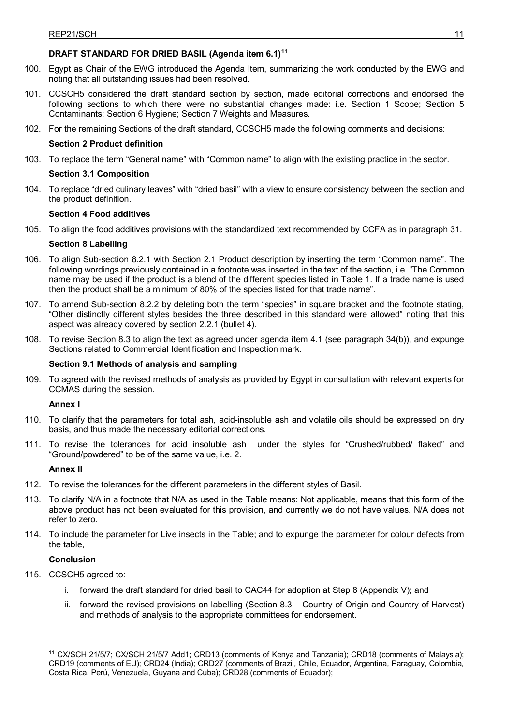# **DRAFT STANDARD FOR DRIED BASIL (Agenda item 6.1)[11](#page-14-0)**

- 100. Egypt as Chair of the EWG introduced the Agenda Item, summarizing the work conducted by the EWG and noting that all outstanding issues had been resolved.
- 101. CCSCH5 considered the draft standard section by section, made editorial corrections and endorsed the following sections to which there were no substantial changes made: i.e. Section 1 Scope; Section 5 Contaminants; Section 6 Hygiene; Section 7 Weights and Measures.
- 102. For the remaining Sections of the draft standard, CCSCH5 made the following comments and decisions:

## **Section 2 Product definition**

103. To replace the term "General name" with "Common name" to align with the existing practice in the sector.

## **Section 3.1 Composition**

104. To replace "dried culinary leaves" with "dried basil" with a view to ensure consistency between the section and the product definition.

## **Section 4 Food additives**

105. To align the food additives provisions with the standardized text recommended by CCFA as in paragraph 31.

## **Section 8 Labelling**

- 106. To align Sub-section 8.2.1 with Section 2.1 Product description by inserting the term "Common name". The following wordings previously contained in a footnote was inserted in the text of the section, i.e. "The Common name may be used if the product is a blend of the different species listed in Table 1. If a trade name is used then the product shall be a minimum of 80% of the species listed for that trade name".
- 107. To amend Sub-section 8.2.2 by deleting both the term "species" in square bracket and the footnote stating, "Other distinctly different styles besides the three described in this standard were allowed" noting that this aspect was already covered by section 2.2.1 (bullet 4).
- 108. To revise Section 8.3 to align the text as agreed under agenda item 4.1 (see paragraph 34(b)), and expunge Sections related to Commercial Identification and Inspection mark.

## **Section 9.1 Methods of analysis and sampling**

109. To agreed with the revised methods of analysis as provided by Egypt in consultation with relevant experts for CCMAS during the session.

## **Annex I**

- 110. To clarify that the parameters for total ash, acid-insoluble ash and volatile oils should be expressed on dry basis, and thus made the necessary editorial corrections.
- 111. To revise the tolerances for acid insoluble ash under the styles for "Crushed/rubbed/ flaked" and "Ground/powdered" to be of the same value, i.e. 2.

## **Annex II**

- 112. To revise the tolerances for the different parameters in the different styles of Basil.
- 113. To clarify N/A in a footnote that N/A as used in the Table means: Not applicable, means that this form of the above product has not been evaluated for this provision, and currently we do not have values. N/A does not refer to zero.
- 114. To include the parameter for Live insects in the Table; and to expunge the parameter for colour defects from the table,

## **Conclusion**

- 115. CCSCH5 agreed to:
	- i. forward the draft standard for dried basil to CAC44 for adoption at Step 8 (Appendix V); and
	- ii. forward the revised provisions on labelling (Section 8.3 Country of Origin and Country of Harvest) and methods of analysis to the appropriate committees for endorsement.

<span id="page-14-0"></span><sup>-</sup><sup>11</sup> CX/SCH 21/5/7; CX/SCH 21/5/7 Add1; CRD13 (comments of Kenya and Tanzania); CRD18 (comments of Malaysia); CRD19 (comments of EU); CRD24 (India); CRD27 (comments of Brazil, Chile, Ecuador, Argentina, Paraguay, Colombia, Costa Rica, Perú, Venezuela, Guyana and Cuba); CRD28 (comments of Ecuador);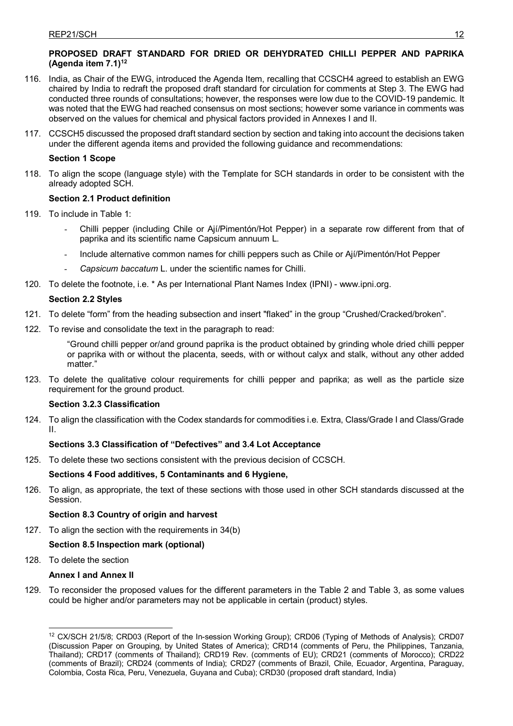# **PROPOSED DRAFT STANDARD FOR DRIED OR DEHYDRATED CHILLI PEPPER AND PAPRIKA (Agenda item 7.1[\)12](#page-15-0)**

- 116. India, as Chair of the EWG, introduced the Agenda Item, recalling that CCSCH4 agreed to establish an EWG chaired by India to redraft the proposed draft standard for circulation for comments at Step 3. The EWG had conducted three rounds of consultations; however, the responses were low due to the COVID-19 pandemic. It was noted that the EWG had reached consensus on most sections; however some variance in comments was observed on the values for chemical and physical factors provided in Annexes I and II.
- 117. CCSCH5 discussed the proposed draft standard section by section and taking into account the decisions taken under the different agenda items and provided the following guidance and recommendations:

# **Section 1 Scope**

118. To align the scope (language style) with the Template for SCH standards in order to be consistent with the already adopted SCH.

# **Section 2.1 Product definition**

- 119. To include in Table 1:
	- Chilli pepper (including Chile or Ají/Pimentón/Hot Pepper) in a separate row different from that of paprika and its scientific name Capsicum annuum L.
	- Include alternative common names for chilli peppers such as Chile or Ají/Pimentón/Hot Pepper
	- *Capsicum baccatum* L. under the scientific names for Chilli.
- 120. To delete the footnote, i.e. \* As per International Plant Names Index (IPNI) www.ipni.org.

# **Section 2.2 Styles**

- 121. To delete "form" from the heading subsection and insert "flaked" in the group "Crushed/Cracked/broken".
- 122. To revise and consolidate the text in the paragraph to read:

"Ground chilli pepper or/and ground paprika is the product obtained by grinding whole dried chilli pepper or paprika with or without the placenta, seeds, with or without calyx and stalk, without any other added matter."

123. To delete the qualitative colour requirements for chilli pepper and paprika; as well as the particle size requirement for the ground product.

# **Section 3.2.3 Classification**

124. To align the classification with the Codex standards for commodities i.e. Extra, Class/Grade I and Class/Grade II.

# **Sections 3.3 Classification of "Defectives" and 3.4 Lot Acceptance**

125. To delete these two sections consistent with the previous decision of CCSCH.

# **Sections 4 Food additives, 5 Contaminants and 6 Hygiene,**

126. To align, as appropriate, the text of these sections with those used in other SCH standards discussed at the Session.

# **Section 8.3 Country of origin and harvest**

127. To align the section with the requirements in 34(b)

# **Section 8.5 Inspection mark (optional)**

128. To delete the section

# **Annex I and Annex II**

129. To reconsider the proposed values for the different parameters in the Table 2 and Table 3, as some values could be higher and/or parameters may not be applicable in certain (product) styles.

<span id="page-15-0"></span><sup>-</sup><sup>12</sup> CX/SCH 21/5/8; CRD03 (Report of the In-session Working Group); CRD06 (Typing of Methods of Analysis); CRD07 (Discussion Paper on Grouping, by United States of America); CRD14 (comments of Peru, the Philippines, Tanzania, Thailand); CRD17 (comments of Thailand); CRD19 Rev. (comments of EU); CRD21 (comments of Morocco); CRD22 (comments of Brazil); CRD24 (comments of India); CRD27 (comments of Brazil, Chile, Ecuador, Argentina, Paraguay, Colombia, Costa Rica, Peru, Venezuela, Guyana and Cuba); CRD30 (proposed draft standard, India)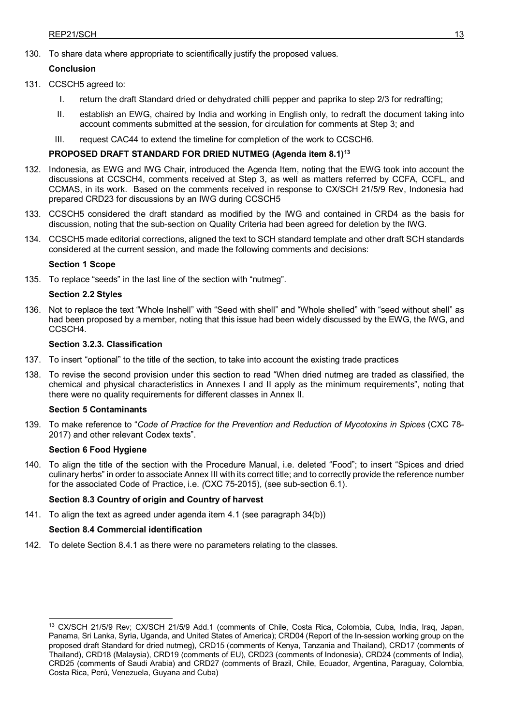130. To share data where appropriate to scientifically justify the proposed values.

# **Conclusion**

- 131. CCSCH5 agreed to:
	- I. return the draft Standard dried or dehydrated chilli pepper and paprika to step 2/3 for redrafting;
	- II. establish an EWG, chaired by India and working in English only, to redraft the document taking into account comments submitted at the session, for circulation for comments at Step 3; and
	- III. request CAC44 to extend the timeline for completion of the work to CCSCH6.

# **PROPOSED DRAFT STANDARD FOR DRIED NUTMEG (Agenda item 8.1[\)13](#page-16-0)**

- 132. Indonesia, as EWG and IWG Chair, introduced the Agenda Item, noting that the EWG took into account the discussions at CCSCH4, comments received at Step 3, as well as matters referred by CCFA, CCFL, and CCMAS, in its work. Based on the comments received in response to CX/SCH 21/5/9 Rev, Indonesia had prepared CRD23 for discussions by an IWG during CCSCH5
- 133. CCSCH5 considered the draft standard as modified by the IWG and contained in CRD4 as the basis for discussion, noting that the sub-section on Quality Criteria had been agreed for deletion by the IWG.
- 134. CCSCH5 made editorial corrections, aligned the text to SCH standard template and other draft SCH standards considered at the current session, and made the following comments and decisions:

## **Section 1 Scope**

135. To replace "seeds" in the last line of the section with "nutmeg".

## **Section 2.2 Styles**

136. Not to replace the text "Whole Inshell" with "Seed with shell" and "Whole shelled" with "seed without shell" as had been proposed by a member, noting that this issue had been widely discussed by the EWG, the IWG, and CCSCH4.

## **Section 3.2.3. Classification**

- 137. To insert "optional" to the title of the section, to take into account the existing trade practices
- 138. To revise the second provision under this section to read "When dried nutmeg are traded as classified, the chemical and physical characteristics in Annexes I and II apply as the minimum requirements", noting that there were no quality requirements for different classes in Annex II.

## **Section 5 Contaminants**

139. To make reference to "*Code of Practice for the Prevention and Reduction of Mycotoxins in Spices* (CXC 78- 2017) and other relevant Codex texts".

## **Section 6 Food Hygiene**

140. To align the title of the section with the Procedure Manual, i.e. deleted "Food"; to insert "Spices and dried culinary herbs" in order to associate Annex III with its correct title; and to correctly provide the reference number for the associated Code of Practice, i.e. *(*CXC 75-2015), (see sub-section 6.1).

# **Section 8.3 Country of origin and Country of harvest**

141. To align the text as agreed under agenda item 4.1 (see paragraph 34(b))

# **Section 8.4 Commercial identification**

142. To delete Section 8.4.1 as there were no parameters relating to the classes.

<span id="page-16-0"></span><sup>-</sup><sup>13</sup> CX/SCH 21/5/9 Rev; CX/SCH 21/5/9 Add.1 (comments of Chile, Costa Rica, Colombia, Cuba, India, Iraq, Japan, Panama, Sri Lanka, Syria, Uganda, and United States of America); CRD04 (Report of the In-session working group on the proposed draft Standard for dried nutmeg), CRD15 (comments of Kenya, Tanzania and Thailand), CRD17 (comments of Thailand), CRD18 (Malaysia), CRD19 (comments of EU), CRD23 (comments of Indonesia), CRD24 (comments of India), CRD25 (comments of Saudi Arabia) and CRD27 (comments of Brazil, Chile, Ecuador, Argentina, Paraguay, Colombia, Costa Rica, Perú, Venezuela, Guyana and Cuba)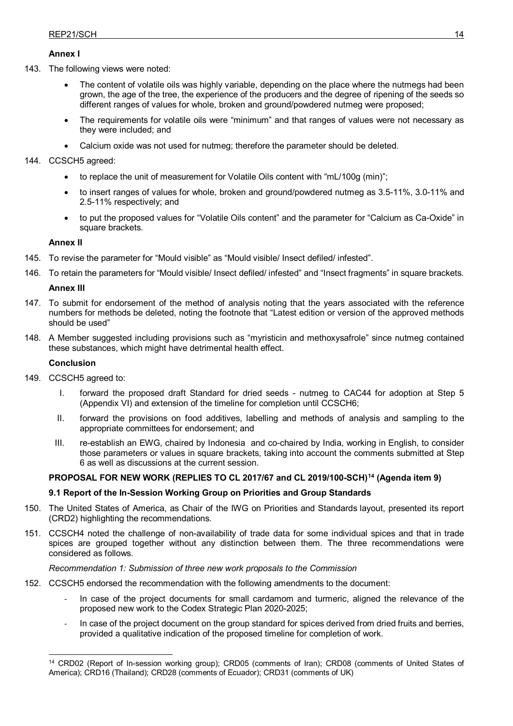## **Annex I**

143. The following views were noted:

- The content of volatile oils was highly variable, depending on the place where the nutmegs had been grown, the age of the tree, the experience of the producers and the degree of ripening of the seeds so different ranges of values for whole, broken and ground/powdered nutmeg were proposed;
- The requirements for volatile oils were "minimum" and that ranges of values were not necessary as they were included; and
- Calcium oxide was not used for nutmeg; therefore the parameter should be deleted.

## 144. CCSCH5 agreed:

- to replace the unit of measurement for Volatile Oils content with "mL/100g (min)";
- to insert ranges of values for whole, broken and ground/powdered nutmeg as 3.5-11%, 3.0-11% and 2.5-11% respectively; and
- to put the proposed values for "Volatile Oils content" and the parameter for "Calcium as Ca-Oxide" in square brackets.

## **Annex II**

- 145. To revise the parameter for "Mould visible" as "Mould visible/ Insect defiled/ infested".
- 146. To retain the parameters for "Mould visible/ Insect defiled/ infested" and "Insect fragments" in square brackets.

## **Annex III**

- 147. To submit for endorsement of the method of analysis noting that the years associated with the reference numbers for methods be deleted, noting the footnote that "Latest edition or version of the approved methods should be used"
- 148. A Member suggested including provisions such as "myristicin and methoxysafrole" since nutmeg contained these substances, which might have detrimental health effect.

## **Conclusion**

- 149. CCSCH5 agreed to:
	- I. forward the proposed draft Standard for dried seeds nutmeg to CAC44 for adoption at Step 5 (Appendix VI) and extension of the timeline for completion until CCSCH6;
	- II. forward the provisions on food additives, labelling and methods of analysis and sampling to the appropriate committees for endorsement; and
	- III. re-establish an EWG, chaired by Indonesia and co-chaired by India, working in English, to consider those parameters or values in square brackets, taking into account the comments submitted at Step 6 as well as discussions at the current session.

## **PROPOSAL FOR NEW WORK (REPLIES TO CL 2017/67 and CL 2019/100-SCH)[14](#page-17-0) (Agenda item 9)**

## **9.1 Report of the In-Session Working Group on Priorities and Group Standards**

- 150. The United States of America, as Chair of the IWG on Priorities and Standards layout, presented its report (CRD2) highlighting the recommendations.
- 151. CCSCH4 noted the challenge of non-availability of trade data for some individual spices and that in trade spices are grouped together without any distinction between them. The three recommendations were considered as follows.

## *Recommendation 1: Submission of three new work proposals to the Commission*

- 152. CCSCH5 endorsed the recommendation with the following amendments to the document:
	- In case of the project documents for small cardamom and turmeric, aligned the relevance of the proposed new work to the Codex Strategic Plan 2020-2025;
	- In case of the project document on the group standard for spices derived from dried fruits and berries, provided a qualitative indication of the proposed timeline for completion of work.

<span id="page-17-0"></span><sup>&</sup>lt;u>.</u> <sup>14</sup> CRD02 (Report of In-session working group); CRD05 (comments of Iran); CRD08 (comments of United States of America); CRD16 (Thailand); CRD28 (comments of Ecuador); CRD31 (comments of UK)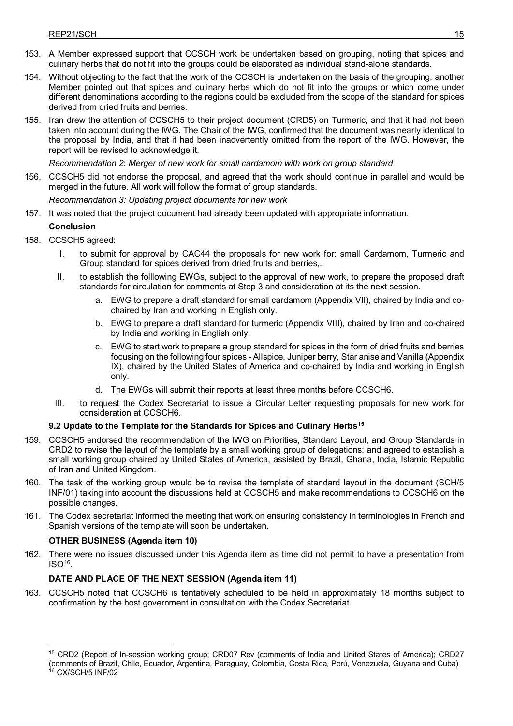- 153. A Member expressed support that CCSCH work be undertaken based on grouping, noting that spices and culinary herbs that do not fit into the groups could be elaborated as individual stand-alone standards.
- 154. Without objecting to the fact that the work of the CCSCH is undertaken on the basis of the grouping, another Member pointed out that spices and culinary herbs which do not fit into the groups or which come under different denominations according to the regions could be excluded from the scope of the standard for spices derived from dried fruits and berries.
- 155. Iran drew the attention of CCSCH5 to their project document (CRD5) on Turmeric, and that it had not been taken into account during the IWG. The Chair of the IWG, confirmed that the document was nearly identical to the proposal by India, and that it had been inadvertently omitted from the report of the IWG. However, the report will be revised to acknowledge it.

*Recommendation 2*: *Merger of new work for small cardamom with work on group standard*

156. CCSCH5 did not endorse the proposal, and agreed that the work should continue in parallel and would be merged in the future. All work will follow the format of group standards.

*Recommendation 3: Updating project documents for new work* 

157. It was noted that the project document had already been updated with appropriate information.

## **Conclusion**

- 158. CCSCH5 agreed:
	- I. to submit for approval by CAC44 the proposals for new work for: small Cardamom, Turmeric and Group standard for spices derived from dried fruits and berries,.
	- II. to establish the folllowing EWGs, subject to the approval of new work, to prepare the proposed draft standards for circulation for comments at Step 3 and consideration at its the next session.
		- a. EWG to prepare a draft standard for small cardamom (Appendix VII), chaired by India and cochaired by Iran and working in English only.
		- b. EWG to prepare a draft standard for turmeric (Appendix VIII), chaired by Iran and co-chaired by India and working in English only.
		- c. EWG to start work to prepare a group standard for spices in the form of dried fruits and berries focusing on the following four spices - Allspice, Juniper berry, Star anise and Vanilla (Appendix IX), chaired by the United States of America and co-chaired by India and working in English only.
		- d. The EWGs will submit their reports at least three months before CCSCH6.
	- III. to request the Codex Secretariat to issue a Circular Letter requesting proposals for new work for consideration at CCSCH6.

## **9.2 Update to the Template for the Standards for Spices and Culinary Herb[s15](#page-18-0)**

- 159. CCSCH5 endorsed the recommendation of the IWG on Priorities, Standard Layout, and Group Standards in CRD2 to revise the layout of the template by a small working group of delegations; and agreed to establish a small working group chaired by United States of America, assisted by Brazil, Ghana, India, Islamic Republic of Iran and United Kingdom.
- 160. The task of the working group would be to revise the template of standard layout in the document (SCH/5 INF/01) taking into account the discussions held at CCSCH5 and make recommendations to CCSCH6 on the possible changes.
- 161. The Codex secretariat informed the meeting that work on ensuring consistency in terminologies in French and Spanish versions of the template will soon be undertaken.

## **OTHER BUSINESS (Agenda item 10)**

162. There were no issues discussed under this Agenda item as time did not permit to have a presentation from  $ISO<sup>16</sup>$ 

## **DATE AND PLACE OF THE NEXT SESSION (Agenda item 11)**

163. CCSCH5 noted that CCSCH6 is tentatively scheduled to be held in approximately 18 months subject to confirmation by the host government in consultation with the Codex Secretariat.

<span id="page-18-1"></span><span id="page-18-0"></span><sup>-</sup><sup>15</sup> CRD2 (Report of In-session working group; CRD07 Rev (comments of India and United States of America); CRD27 (comments of Brazil, Chile, Ecuador, Argentina, Paraguay, Colombia, Costa Rica, Perú, Venezuela, Guyana and Cuba) <sup>16</sup> CX/SCH/5 INF/02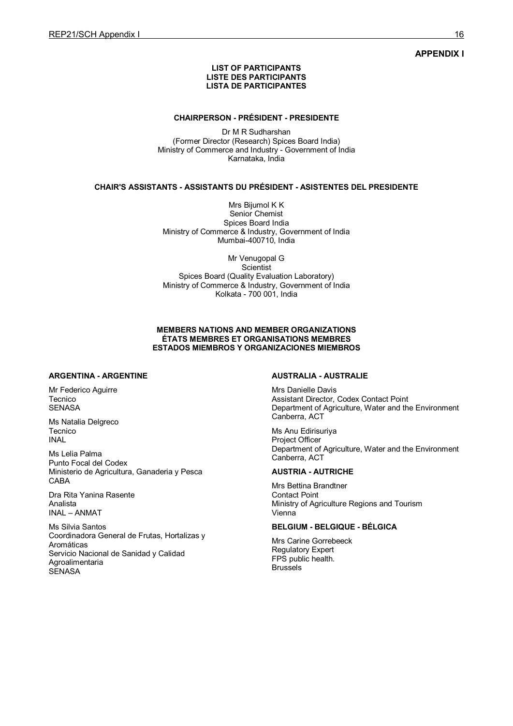## **APPENDIX I**

#### **LIST OF PARTICIPANTS LISTE DES PARTICIPANTS LISTA DE PARTICIPANTES**

#### **CHAIRPERSON - PRÉSIDENT - PRESIDENTE**

Dr M R Sudharshan (Former Director (Research) Spices Board India) Ministry of Commerce and Industry - Government of India Karnataka, India

## **CHAIR'S ASSISTANTS - ASSISTANTS DU PRÉSIDENT - ASISTENTES DEL PRESIDENTE**

Mrs Bijumol K K Senior Chemist Spices Board India Ministry of Commerce & Industry, Government of India Mumbai-400710, India

Mr Venugopal G **Scientist** Spices Board (Quality Evaluation Laboratory) Ministry of Commerce & Industry, Government of India Kolkata - 700 001, India

#### **MEMBERS NATIONS AND MEMBER ORGANIZATIONS ÉTATS MEMBRES ET ORGANISATIONS MEMBRES ESTADOS MIEMBROS Y ORGANIZACIONES MIEMBROS**

#### **ARGENTINA - ARGENTINE**

Mr Federico Aguirre **Tecnico SENASA** 

Ms Natalia Delgreco Tecnico INAL

Ms Lelia Palma Punto Focal del Codex Ministerio de Agricultura, Ganaderia y Pesca CABA

Dra Rita Yanina Rasente Analista INAL – ANMAT

Ms Silvia Santos Coordinadora General de Frutas, Hortalizas y Aromáticas Servicio Nacional de Sanidad y Calidad **Agroalimentaria SENASA** 

#### **AUSTRALIA - AUSTRALIE**

Mrs Danielle Davis Assistant Director, Codex Contact Point Department of Agriculture, Water and the Environment Canberra, ACT

Ms Anu Edirisuriya Project Officer Department of Agriculture, Water and the Environment Canberra, ACT

#### **AUSTRIA - AUTRICHE**

Mrs Bettina Brandtner Contact Point Ministry of Agriculture Regions and Tourism Vienna

## **BELGIUM - BELGIQUE - BÉLGICA**

Mrs Carine Gorrebeeck Regulatory Expert FPS public health. Brussels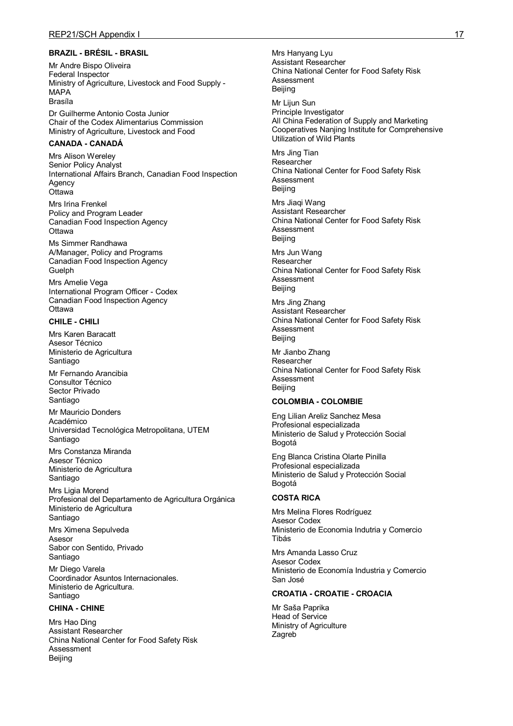#### **BRAZIL - BRÉSIL - BRASIL**

Mr Andre Bispo Oliveira Federal Inspector Ministry of Agriculture, Livestock and Food Supply - MAPA Brasíla

Dr Guilherme Antonio Costa Junior Chair of the Codex Alimentarius Commission Ministry of Agriculture, Livestock and Food

#### **CANADA - CANADÁ**

Mrs Alison Wereley Senior Policy Analyst International Affairs Branch, Canadian Food Inspection **Agency Ottawa** 

Mrs Irina Frenkel Policy and Program Leader Canadian Food Inspection Agency Ottawa

Ms Simmer Randhawa A/Manager, Policy and Programs Canadian Food Inspection Agency **Guelph** 

Mrs Amelie Vega International Program Officer - Codex Canadian Food Inspection Agency **Ottawa** 

#### **CHILE - CHILI**

Mrs Karen Baracatt Asesor Técnico Ministerio de Agricultura Santiago

Mr Fernando Arancibia Consultor Técnico Sector Privado Santiago

Mr Mauricio Donders Académico Universidad Tecnológica Metropolitana, UTEM Santiago

Mrs Constanza Miranda Asesor Técnico Ministerio de Agricultura Santiago

Mrs Ligia Morend Profesional del Departamento de Agricultura Orgánica Ministerio de Agricultura Santiago

Mrs Ximena Sepulveda Asesor Sabor con Sentido, Privado Santiago

Mr Diego Varela Coordinador Asuntos Internacionales. Ministerio de Agricultura. Santiago

## **CHINA - CHINE**

Mrs Hao Ding Assistant Researcher China National Center for Food Safety Risk Assessment Beijing

Mrs Hanyang Lyu Assistant Researcher China National Center for Food Safety Risk Assessment Beijing

Mr Lijun Sun Principle Investigator All China Federation of Supply and Marketing Cooperatives Nanjing Institute for Comprehensive Utilization of Wild Plants

Mrs Jing Tian Researcher China National Center for Food Safety Risk Assessment Beijing

Mrs Jiaqi Wang Assistant Researcher China National Center for Food Safety Risk Assessment Beijing

Mrs Jun Wang Researcher China National Center for Food Safety Risk Assessment Beijing

Mrs Jing Zhang Assistant Researcher China National Center for Food Safety Risk Assessment Beijing

Mr Jianbo Zhang Researcher China National Center for Food Safety Risk Assessment Beijing

#### **COLOMBIA - COLOMBIE**

Eng Lilian Areliz Sanchez Mesa Profesional especializada Ministerio de Salud y Protección Social Bogotá

Eng Blanca Cristina Olarte Pinilla Profesional especializada Ministerio de Salud y Protección Social Bogotá

#### **COSTA RICA**

Mrs Melina Flores Rodríguez Asesor Codex Ministerio de Economia Indutria y Comercio Tibás

Mrs Amanda Lasso Cruz Asesor Codex Ministerio de Economía Industria y Comercio San José

## **CROATIA - CROATIE - CROACIA**

Mr Saša Paprika Head of Service Ministry of Agriculture Zagreb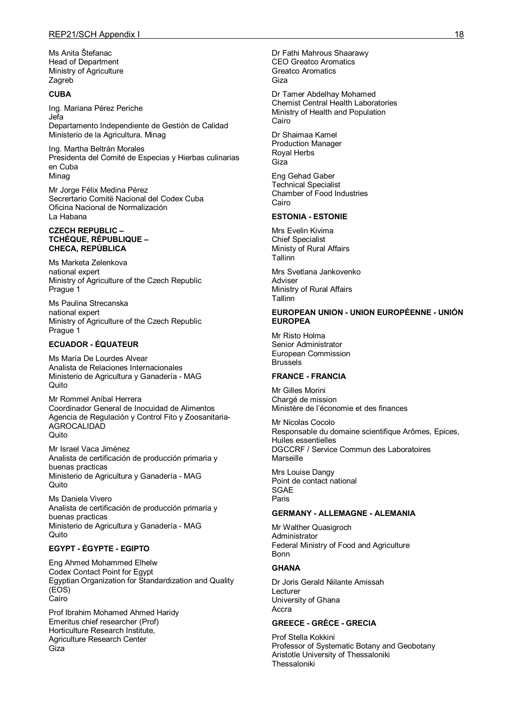Ms Anita Štefanac Head of Department Ministry of Agriculture Zagreb

#### **CUBA**

Ing. Mariana Pérez Periche Jefa Departamento Independiente de Gestión de Calidad Ministerio de la Agricultura. Minag

Ing. Martha Beltrán Morales Presidenta del Comité de Especias y Hierbas culinarias en Cuba Minag

Mr Jorge Félix Medina Pérez Secrertario Comitë Nacional del Codex Cuba Oficina Nacional de Normalización La Habana

#### **CZECH REPUBLIC – TCHÈQUE, RÉPUBLIQUE – CHECA, REPÚBLICA**

Ms Marketa Zelenkova national expert Ministry of Agriculture of the Czech Republic Prague 1

Ms Paulina Strecanska national expert Ministry of Agriculture of the Czech Republic Prague 1

#### **ECUADOR - ÉQUATEUR**

Ms María De Lourdes Alvear Analista de Relaciones Internacionales Ministerio de Agricultura y Ganadería - MAG Quito

Mr Rommel Aníbal Herrera Coordinador General de Inocuidad de Alimentos Agencia de Regulación y Control Fito y Zoosanitaria-AGROCALIDAD **Quito** 

Mr Israel Vaca Jiménez Analista de certificación de producción primaria y buenas practicas Ministerio de Agricultura y Ganadería - MAG Quito

Ms Daniela Vivero Analista de certificación de producción primaria y buenas practicas Ministerio de Agricultura y Ganadería - MAG Quito

## **EGYPT - ÉGYPTE - EGIPTO**

Eng Ahmed Mohammed Elhelw Codex Contact Point for Egypt Egyptian Organization for Standardization and Quality (EOS) Cairo

Prof Ibrahim Mohamed Ahmed Haridy Emeritus chief researcher (Prof) Horticulture Research Institute, Agriculture Research Center Giza

Dr Fathi Mahrous Shaarawy CEO Greatco Aromatics Greatco Aromatics Giza

Dr Tamer Abdelhay Mohamed Chemist Central Health Laboratories Ministry of Health and Population Cairo

Dr Shaimaa Kamel Production Manager Royal Herbs Giza

Eng Gehad Gaber Technical Specialist Chamber of Food Industries Cairo

## **ESTONIA - ESTONIE**

Mrs Evelin Kivima Chief Specialist Ministy of Rural Affairs Tallinn Mrs Svetlana Jankovenko Adviser

Ministry of Rural Affairs Tallinn

#### **EUROPEAN UNION - UNION EUROPÉENNE - UNIÓN EUROPEA**

Mr Risto Holma Senior Administrator European Commission Brussels

#### **FRANCE - FRANCIA**

Mr Gilles Morini Chargé de mission Ministère de l'économie et des finances

Mr Nicolas Cocolo Responsable du domaine scientifique Arômes, Epices, Huiles essentielles DGCCRF / Service Commun des Laboratoires **Marseille** 

Mrs Louise Dangy Point de contact national **SGAF** Paris

#### **GERMANY - ALLEMAGNE - ALEMANIA**

Mr Walther Quasigroch Administrator Federal Ministry of Food and Agriculture Bonn

#### **GHANA**

Dr Joris Gerald Niilante Amissah Lecturer University of Ghana Accra

#### **GREECE - GRÈCE - GRECIA**

Prof Stella Kokkini Professor of Systematic Botany and Geobotany Aristotle University of Thessaloniki Thessaloniki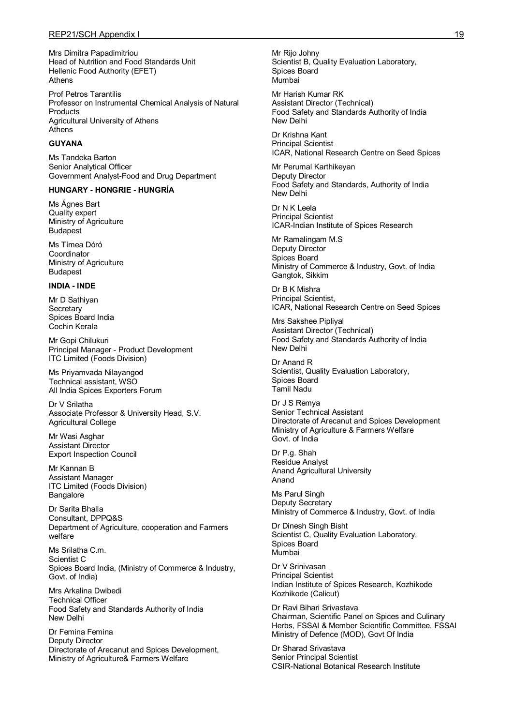Mrs Dimitra Papadimitriou Head of Nutrition and Food Standards Unit Hellenic Food Authority (EFET) Athens

Prof Petros Tarantilis Professor on Instrumental Chemical Analysis of Natural **Products** Agricultural University of Athens Athens

#### **GUYANA**

Ms Tandeka Barton Senior Analytical Officer Government Analyst-Food and Drug Department

## **HUNGARY - HONGRIE - HUNGRÍA**

Ms Ágnes Bart Quality expert Ministry of Agriculture Budapest

Ms Tímea Dóró Coordinator Ministry of Agriculture Budapest

#### **INDIA - INDE**

Mr D Sathiyan **Secretary** Spices Board India Cochin Kerala

Mr Gopi Chilukuri Principal Manager - Product Development ITC Limited (Foods Division)

Ms Priyamvada Nilayangod Technical assistant, WSO All India Spices Exporters Forum

Dr V Srilatha Associate Professor & University Head, S.V. Agricultural College

Mr Wasi Asghar Assistant Director Export Inspection Council

Mr Kannan B Assistant Manager ITC Limited (Foods Division) Bangalore

Dr Sarita Bhalla Consultant, DPPQ&S Department of Agriculture, cooperation and Farmers welfare

Ms Srilatha C.m. Scientist C Spices Board India, (Ministry of Commerce & Industry, Govt. of India)

Mrs Arkalina Dwibedi Technical Officer Food Safety and Standards Authority of India New Delhi

Dr Femina Femina Deputy Director Directorate of Arecanut and Spices Development, Ministry of Agriculture& Farmers Welfare

Mr Rijo Johny Scientist B, Quality Evaluation Laboratory, Spices Board Mumbai

Mr Harish Kumar RK Assistant Director (Technical) Food Safety and Standards Authority of India New Delhi

Dr Krishna Kant Principal Scientist ICAR, National Research Centre on Seed Spices

Mr Perumal Karthikeyan Deputy Director Food Safety and Standards, Authority of India New Delhi

Dr N K Leela Principal Scientist ICAR-Indian Institute of Spices Research

Mr Ramalingam M.S Deputy Director Spices Board Ministry of Commerce & Industry, Govt. of India Gangtok, Sikkim

Dr B K Mishra Principal Scientist, ICAR, National Research Centre on Seed Spices

Mrs Sakshee Pipliyal Assistant Director (Technical) Food Safety and Standards Authority of India New Delhi

Dr Anand R Scientist, Quality Evaluation Laboratory, Spices Board Tamil Nadu

Dr J S Remya Senior Technical Assistant Directorate of Arecanut and Spices Development Ministry of Agriculture & Farmers Welfare Govt. of India

Dr P.g. Shah Residue Analyst Anand Agricultural University Anand

Ms Parul Singh Deputy Secretary Ministry of Commerce & Industry, Govt. of India

Dr Dinesh Singh Bisht Scientist C, Quality Evaluation Laboratory, Spices Board Mumbai

Dr V Srinivasan Principal Scientist Indian Institute of Spices Research, Kozhikode Kozhikode (Calicut)

Dr Ravi Bihari Srivastava Chairman, Scientific Panel on Spices and Culinary Herbs, FSSAI & Member Scientific Committee, FSSAI Ministry of Defence (MOD), Govt Of India

Dr Sharad Srivastava Senior Principal Scientist CSIR-National Botanical Research Institute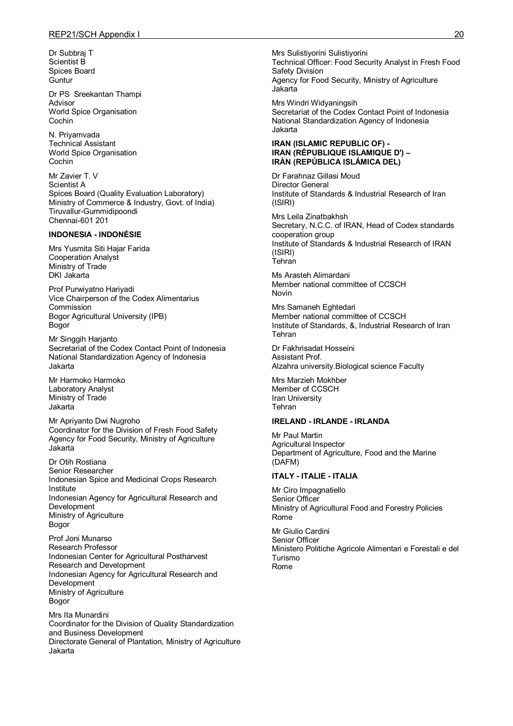Dr Subbraj T Scientist B Spices Board **Guntur** 

Dr PS Sreekantan Thampi Advisor World Spice Organisation Cochin

N. Priyamvada Technical Assistant World Spice Organisation Cochin

Mr Zavier T. V Scientist A Spices Board (Quality Evaluation Laboratory) Ministry of Commerce & Industry, Govt. of India) Tiruvallur-Gummidipoondi Chennai-601 201

#### **INDONESIA - INDONÉSIE**

Mrs Yusmita Siti Hajar Farida Cooperation Analyst Ministry of Trade DKI Jakarta

Prof Purwiyatno Hariyadi Vice Chairperson of the Codex Alimentarius Commission Bogor Agricultural University (IPB) Bogor

Mr Singgih Harjanto Secretariat of the Codex Contact Point of Indonesia National Standardization Agency of Indonesia Jakarta

Mr Harmoko Harmoko Laboratory Analyst Ministry of Trade **Jakarta** 

Mr Apriyanto Dwi Nugroho Coordinator for the Division of Fresh Food Safety Agency for Food Security, Ministry of Agriculture Jakarta

Dr Otih Rostiana Senior Researcher Indonesian Spice and Medicinal Crops Research **Institute** Indonesian Agency for Agricultural Research and **Development** Ministry of Agriculture Bogor

Prof Joni Munarso Research Professor Indonesian Center for Agricultural Postharvest Research and Development Indonesian Agency for Agricultural Research and **Development** Ministry of Agriculture Bogor

Mrs Ita Munardini Coordinator for the Division of Quality Standardization and Business Development Directorate General of Plantation, Ministry of Agriculture Jakarta

Mrs Sulistiyorini Sulistiyorini Technical Officer: Food Security Analyst in Fresh Food Safety Division Agency for Food Security, Ministry of Agriculture Jakarta

Mrs Windri Widyaningsih Secretariat of the Codex Contact Point of Indonesia National Standardization Agency of Indonesia Jakarta

#### **IRAN (ISLAMIC REPUBLIC OF) - IRAN (RÉPUBLIQUE ISLAMIQUE D') – IRÁN (REPÚBLICA ISLÁMICA DEL)**

Dr Farahnaz Gillasi Moud Director General Institute of Standards & Industrial Research of Iran (ISIRI)

Mrs Leila Zinatbakhsh Secretary, N.C.C. of IRAN, Head of Codex standards cooperation group Institute of Standards & Industrial Research of IRAN (ISIRI) Tehran

Ms Arasteh Alimardani Member national committee of CCSCH Novin

Mrs Samaneh Eghtedari Member national committee of CCSCH Institute of Standards, &, Industrial Research of Iran Tehran

Dr Fakhrisadat Hosseini Assistant Prof. Alzahra university.Biological science Faculty

Mrs Marzieh Mokhber Member of CCSCH Iran University Tehran

#### **IRELAND - IRLANDE - IRLANDA**

Mr Paul Martin Agricultural Inspector Department of Agriculture, Food and the Marine (DAFM)

## **ITALY - ITALIE - ITALIA**

Mr Ciro Impagnatiello Senior Officer Ministry of Agricultural Food and Forestry Policies Rome

Mr Giulio Cardini Senior Officer Ministero Politiche Agricole Alimentari e Forestali e del Turismo Rome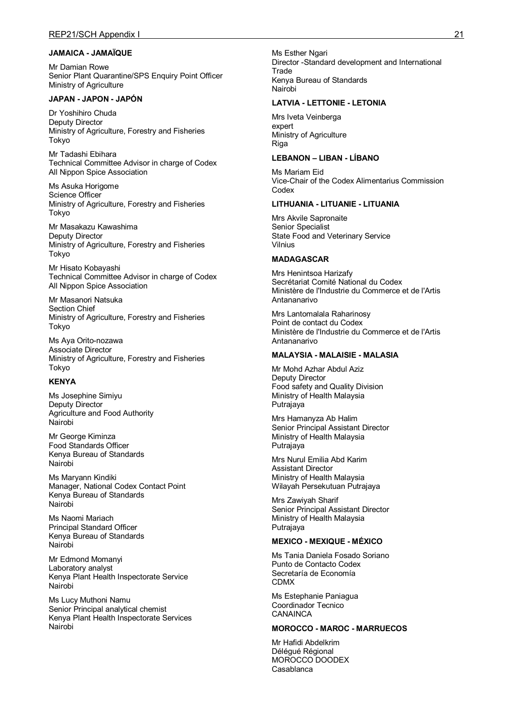## **JAMAICA - JAMAÏQUE**

Mr Damian Rowe Senior Plant Quarantine/SPS Enquiry Point Officer Ministry of Agriculture

#### **JAPAN - JAPON - JAPÓN**

Dr Yoshihiro Chuda Deputy Director Ministry of Agriculture, Forestry and Fisheries Tokyo

Mr Tadashi Ebihara Technical Committee Advisor in charge of Codex All Nippon Spice Association

Ms Asuka Horigome Science Officer Ministry of Agriculture, Forestry and Fisheries Tokyo

Mr Masakazu Kawashima Deputy Director Ministry of Agriculture, Forestry and Fisheries Tokyo

Mr Hisato Kobayashi Technical Committee Advisor in charge of Codex All Nippon Spice Association

Mr Masanori Natsuka Section Chief Ministry of Agriculture, Forestry and Fisheries Tokyo

Ms Aya Orito-nozawa Associate Director Ministry of Agriculture, Forestry and Fisheries Tokyo

### **KENYA**

Ms Josephine Simiyu Deputy Director Agriculture and Food Authority Nairobi

Mr George Kiminza Food Standards Officer Kenya Bureau of Standards Nairobi

Ms Maryann Kindiki Manager, National Codex Contact Point Kenya Bureau of Standards Nairobi

Ms Naomi Mariach Principal Standard Officer Kenya Bureau of Standards Nairobi

Mr Edmond Momanyi Laboratory analyst Kenya Plant Health Inspectorate Service Nairobi

Ms Lucy Muthoni Namu Senior Principal analytical chemist Kenya Plant Health Inspectorate Services Nairobi

Ms Esther Ngari Director -Standard development and International **Trade** Kenya Bureau of Standards Nairobi

#### **LATVIA - LETTONIE - LETONIA**

Mrs Iveta Veinberga expert Ministry of Agriculture Riga

### **LEBANON – LIBAN - LÍBANO**

Ms Mariam Eid Vice-Chair of the Codex Alimentarius Commission Codex

#### **LITHUANIA - LITUANIE - LITUANIA**

Mrs Akvile Sapronaite Senior Specialist State Food and Veterinary Service Vilnius

#### **MADAGASCAR**

Mrs Henintsoa Harizafy Secrétariat Comité National du Codex Ministère de l'Industrie du Commerce et de l'Artis Antananarivo

Mrs Lantomalala Raharinosy Point de contact du Codex Ministère de l'Industrie du Commerce et de l'Artis Antananarivo

## **MALAYSIA - MALAISIE - MALASIA**

Mr Mohd Azhar Abdul Aziz Deputy Director Food safety and Quality Division Ministry of Health Malaysia Putrajaya

Mrs Hamanyza Ab Halim Senior Principal Assistant Director Ministry of Health Malaysia Putrajaya

Mrs Nurul Emilia Abd Karim Assistant Director Ministry of Health Malaysia Wilayah Persekutuan Putrajaya

Mrs Zawiyah Sharif Senior Principal Assistant Director Ministry of Health Malaysia Putrajaya

#### **MEXICO - MEXIQUE - MÉXICO**

Ms Tania Daniela Fosado Soriano Punto de Contacto Codex Secretaría de Economía CDMX

Ms Estephanie Paniagua Coordinador Tecnico **CANAINCA** 

## **MOROCCO - MAROC - MARRUECOS**

Mr Hafidi Abdelkrim Délégué Régional MOROCCO DOODEX Casablanca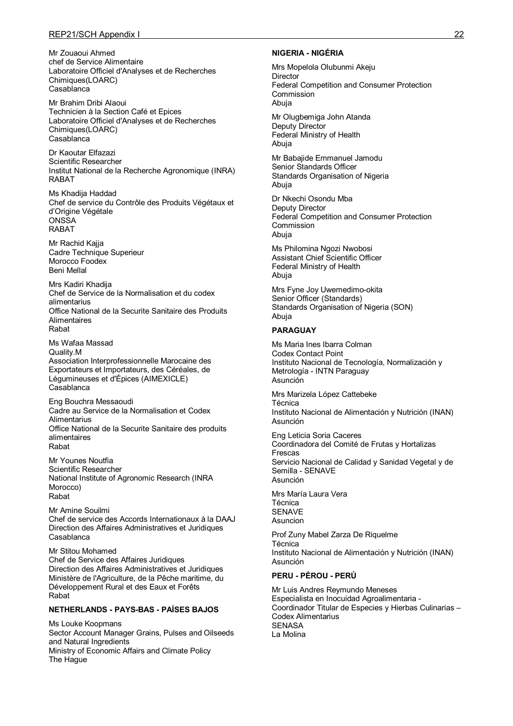## REP21/SCH Appendix I 22

Mr Zouaoui Ahmed chef de Service Alimentaire Laboratoire Officiel d'Analyses et de Recherches Chimiques(LOARC) Casablanca

Mr Brahim Dribi Alaoui Technicien à la Section Café et Epices Laboratoire Officiel d'Analyses et de Recherches Chimiques(LOARC) Casablanca

Dr Kaoutar Elfazazi Scientific Researcher Institut National de la Recherche Agronomique (INRA) RABAT

Ms Khadija Haddad Chef de service du Contrôle des Produits Végétaux et d'Origine Végétale **ONSSA** RABAT

Mr Rachid Kajja Cadre Technique Superieur Morocco Foodex Beni Mellal

Mrs Kadiri Khadija Chef de Service de la Normalisation et du codex alimentarius Office National de la Securite Sanitaire des Produits **Alimentaires** Rabat

Ms Wafaa Massad Quality.M Association Interprofessionnelle Marocaine des Exportateurs et Importateurs, des Céréales, de Légumineuses et d'Épices (AIMEXICLE) Casablanca

Eng Bouchra Messaoudi Cadre au Service de la Normalisation et Codex **Alimentarius** Office National de la Securite Sanitaire des produits alimentaires Rabat

Mr Younes Noutfia Scientific Researcher National Institute of Agronomic Research (INRA Morocco) Rabat

Mr Amine Souilmi Chef de service des Accords Internationaux à la DAAJ Direction des Affaires Administratives et Juridiques Casablanca

Mr Stitou Mohamed Chef de Service des Affaires Juridiques Direction des Affaires Administratives et Juridiques Ministère de l'Agriculture, de la Pêche maritime, du Développement Rural et des Eaux et Forêts Rabat

#### **NETHERLANDS - PAYS-BAS - PAÍSES BAJOS**

Ms Louke Koopmans Sector Account Manager Grains, Pulses and Oilseeds and Natural Ingredients Ministry of Economic Affairs and Climate Policy The Hague

#### **NIGERIA - NIGÉRIA**

Mrs Mopelola Olubunmi Akeju **Director** Federal Competition and Consumer Protection Commission Abuja

Mr Olugbemiga John Atanda Deputy Director Federal Ministry of Health Abuja

Mr Babajide Emmanuel Jamodu Senior Standards Officer Standards Organisation of Nigeria Abuja

Dr Nkechi Osondu Mba Deputy Director Federal Competition and Consumer Protection **Commission** Abuja

Ms Philomina Ngozi Nwobosi Assistant Chief Scientific Officer Federal Ministry of Health Abuja

Mrs Fyne Joy Uwemedimo-okita Senior Officer (Standards) Standards Organisation of Nigeria (SON) Abuja

## **PARAGUAY**

Ms Maria Ines Ibarra Colman Codex Contact Point Instituto Nacional de Tecnología, Normalización y Metrología - INTN Paraguay Asunción

Mrs Marizela López Cattebeke Técnica Instituto Nacional de Alimentación y Nutrición (INAN) Asunción

Eng Leticia Soria Caceres Coordinadora del Comité de Frutas y Hortalizas Frescas Servicio Nacional de Calidad y Sanidad Vegetal y de Semilla - SENAVE Asunción

Mrs María Laura Vera Técnica SENAVE Asuncion

Prof Zuny Mabel Zarza De Riquelme Técnica Instituto Nacional de Alimentación y Nutrición (INAN) Asunción

#### **PERU - PÉROU - PERÚ**

Mr Luis Andres Reymundo Meneses Especialista en Inocuidad Agroalimentaria - Coordinador Titular de Especies y Hierbas Culinarias – Codex Alimentarius SENASA La Molina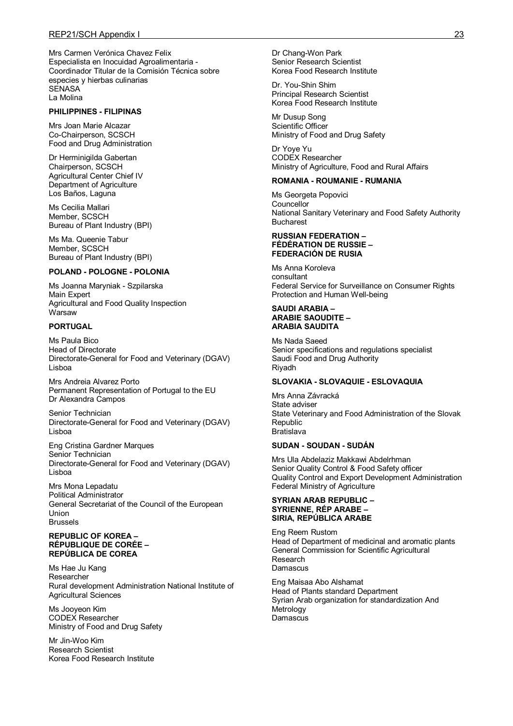Mrs Carmen Verónica Chavez Felix Especialista en Inocuidad Agroalimentaria - Coordinador Titular de la Comisión Técnica sobre especies y hierbas culinarias SENASA La Molina

#### **PHILIPPINES - FILIPINAS**

Mrs Joan Marie Alcazar Co-Chairperson, SCSCH Food and Drug Administration

Dr Herminigilda Gabertan Chairperson, SCSCH Agricultural Center Chief IV Department of Agriculture Los Baños, Laguna

Ms Cecilia Mallari Member, SCSCH Bureau of Plant Industry (BPI)

Ms Ma. Queenie Tabur Member, SCSCH Bureau of Plant Industry (BPI)

#### **POLAND - POLOGNE - POLONIA**

Ms Joanna Maryniak - Szpilarska Main Expert Agricultural and Food Quality Inspection **Warsaw** 

#### **PORTUGAL**

Ms Paula Bico Head of Directorate Directorate-General for Food and Veterinary (DGAV) Lisboa

Mrs Andreia Alvarez Porto Permanent Representation of Portugal to the EU Dr Alexandra Campos

Senior Technician Directorate-General for Food and Veterinary (DGAV) Lisboa

Eng Cristina Gardner Marques Senior Technician Directorate-General for Food and Veterinary (DGAV) Lisboa

Mrs Mona Lepadatu Political Administrator General Secretariat of the Council of the European Union Brussels

#### **REPUBLIC OF KOREA – RÉPUBLIQUE DE CORÉE – REPÚBLICA DE COREA**

Ms Hae Ju Kang Researcher Rural development Administration National Institute of Agricultural Sciences

Ms Jooyeon Kim CODEX Researcher Ministry of Food and Drug Safety

Mr Jin-Woo Kim Research Scientist Korea Food Research Institute Dr Chang-Won Park Senior Research Scientist Korea Food Research Institute

Dr. You-Shin Shim Principal Research Scientist Korea Food Research Institute

Mr Dusup Song Scientific Officer Ministry of Food and Drug Safety

Dr Yoye Yu CODEX Researcher Ministry of Agriculture, Food and Rural Affairs

#### **ROMANIA - ROUMANIE - RUMANIA**

Ms Georgeta Popovici **Councellor** National Sanitary Veterinary and Food Safety Authority Bucharest

#### **RUSSIAN FEDERATION – FÉDÉRATION DE RUSSIE – FEDERACIÓN DE RUSIA**

Ms Anna Koroleva consultant Federal Service for Surveillance on Consumer Rights Protection and Human Well-being

#### **SAUDI ARABIA – ARABIE SAOUDITE – ARABIA SAUDITA**

Ms Nada Saeed Senior specifications and regulations specialist Saudi Food and Drug Authority Riyadh

### **SLOVAKIA - SLOVAQUIE - ESLOVAQUIA**

Mrs Anna Závracká State adviser State Veterinary and Food Administration of the Slovak **Republic** Bratislava

#### **SUDAN - SOUDAN - SUDÁN**

Mrs Ula Abdelaziz Makkawi Abdelrhman Senior Quality Control & Food Safety officer Quality Control and Export Development Administration Federal Ministry of Agriculture

#### **SYRIAN ARAB REPUBLIC – SYRIENNE, RÉP ARABE – SIRIA, REPÚBLICA ARABE**

Eng Reem Rustom Head of Department of medicinal and aromatic plants General Commission for Scientific Agricultural Research Damascus

Eng Maisaa Abo Alshamat Head of Plants standard Department Syrian Arab organization for standardization And Metrology Damascus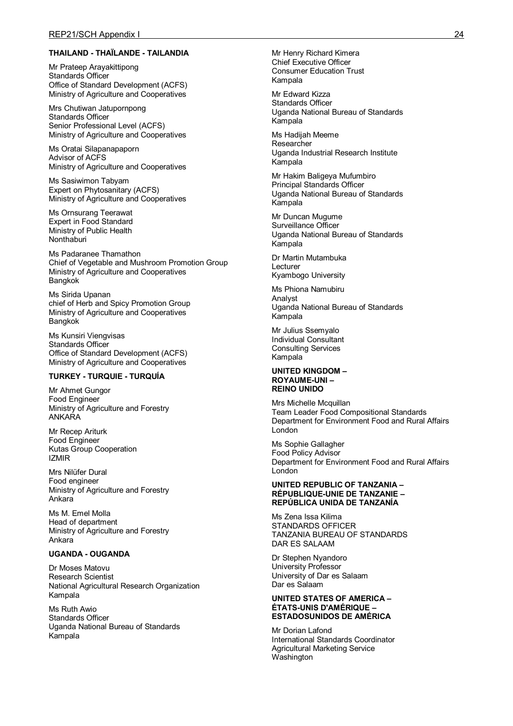#### **THAILAND - THAÏLANDE - TAILANDIA**

Mr Prateep Arayakittipong Standards Officer Office of Standard Development (ACFS) Ministry of Agriculture and Cooperatives

Mrs Chutiwan Jatupornpong Standards Officer Senior Professional Level (ACFS) Ministry of Agriculture and Cooperatives

Ms Oratai Silapanapaporn Advisor of ACFS Ministry of Agriculture and Cooperatives

Ms Sasiwimon Tabyam Expert on Phytosanitary (ACFS) Ministry of Agriculture and Cooperatives

Ms Ornsurang Teerawat Expert in Food Standard Ministry of Public Health Nonthaburi

Ms Padaranee Thamathon Chief of Vegetable and Mushroom Promotion Group Ministry of Agriculture and Cooperatives **Bangkok** 

Ms Sirida Upanan chief of Herb and Spicy Promotion Group Ministry of Agriculture and Cooperatives **Bangkok** 

Ms Kunsiri Viengvisas Standards Officer Office of Standard Development (ACFS) Ministry of Agriculture and Cooperatives

## **TURKEY - TURQUIE - TURQUÍA**

Mr Ahmet Gungor Food Engineer Ministry of Agriculture and Forestry ANKARA

Mr Recep Ariturk Food Engineer Kutas Group Cooperation IZMIR

Mrs Nilüfer Dural Food engineer Ministry of Agriculture and Forestry Ankara

Ms M. Emel Molla Head of department Ministry of Agriculture and Forestry Ankara

#### **UGANDA - OUGANDA**

Dr Moses Matovu Research Scientist National Agricultural Research Organization Kampala

Ms Ruth Awio Standards Officer Uganda National Bureau of Standards Kampala

Mr Henry Richard Kimera Chief Executive Officer Consumer Education Trust Kampala

Mr Edward Kizza Standards Officer Uganda National Bureau of Standards Kampala

Ms Hadijah Meeme Researcher Uganda Industrial Research Institute Kampala

Mr Hakim Baligeya Mufumbiro Principal Standards Officer Uganda National Bureau of Standards Kampala

Mr Duncan Mugume Surveillance Officer Uganda National Bureau of Standards Kampala

Dr Martin Mutambuka Lecturer Kyambogo University

Ms Phiona Namubiru Analyst Uganda National Bureau of Standards Kampala

Mr Julius Ssemyalo Individual Consultant Consulting Services Kampala

#### **UNITED KINGDOM – ROYAUME-UNI – REINO UNIDO**

Mrs Michelle Mcquillan Team Leader Food Compositional Standards Department for Environment Food and Rural Affairs London

Ms Sophie Gallagher Food Policy Advisor Department for Environment Food and Rural Affairs London

#### **UNITED REPUBLIC OF TANZANIA – RÉPUBLIQUE-UNIE DE TANZANIE – REPÚBLICA UNIDA DE TANZANÍA**

Ms Zena Issa Kilima STANDARDS OFFICER TANZANIA BUREAU OF STANDARDS DAR ES SALAAM

Dr Stephen Nyandoro University Professor University of Dar es Salaam Dar es Salaam

#### **UNITED STATES OF AMERICA – ÉTATS-UNIS D'AMÉRIQUE – ESTADOSUNIDOS DE AMÉRICA**

Mr Dorian Lafond International Standards Coordinator Agricultural Marketing Service Washington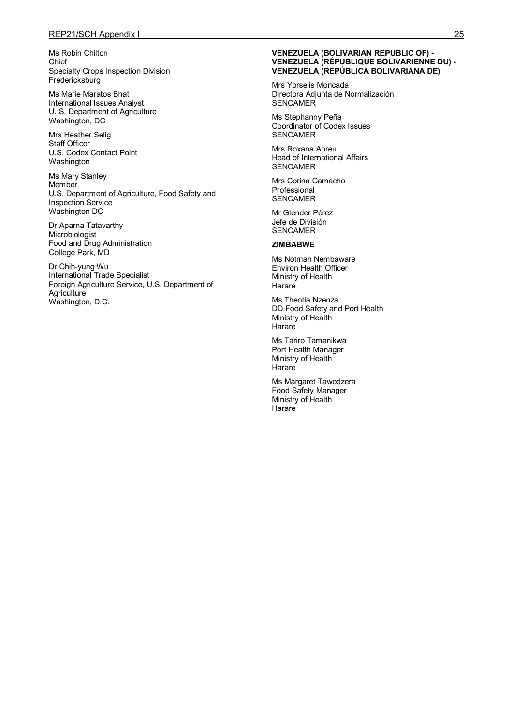Ms Robin Chilton Chief Specialty Crops Inspection Division **Fredericksburg** 

Ms Marie Maratos Bhat International Issues Analyst U. S. Department of Agriculture Washington, DC

Mrs Heather Selig Staff Officer U.S. Codex Contact Point Washington

Ms Mary Stanley **Member** U.S. Department of Agriculture, Food Safety and Inspection Service Washington DC

Dr Aparna Tatavarthy Microbiologist Food and Drug Administration College Park, MD

Dr Chih-yung Wu International Trade Specialist Foreign Agriculture Service, U.S. Department of **Agriculture** Washington, D.C.

#### **VENEZUELA (BOLIVARIAN REPUBLIC OF) - VENEZUELA (RÉPUBLIQUE BOLIVARIENNE DU) - VENEZUELA (REPÚBLICA BOLIVARIANA DE)**

Mrs Yorselis Moncada Directora Adjunta de Normalización **SENCAMER** 

Ms Stephanny Peña Coordinator of Codex Issues SENCAMER

Mrs Roxana Abreu Head of International Affairs SENCAMER

Mrs Corina Camacho Professional SENCAMER

Mr Glender Pérez Jefe de División SENCAMER

#### **ZIMBABWE**

Ms Notmah Nembaware Environ Health Officer Ministry of Health **Harare** 

Ms Theotia Nzenza DD Food Safety and Port Health Ministry of Health **Harare** 

Ms Tariro Tamanikwa Port Health Manager Ministry of Health **Harare** 

Ms Margaret Tawodzera Food Safety Manager Ministry of Health **Harare**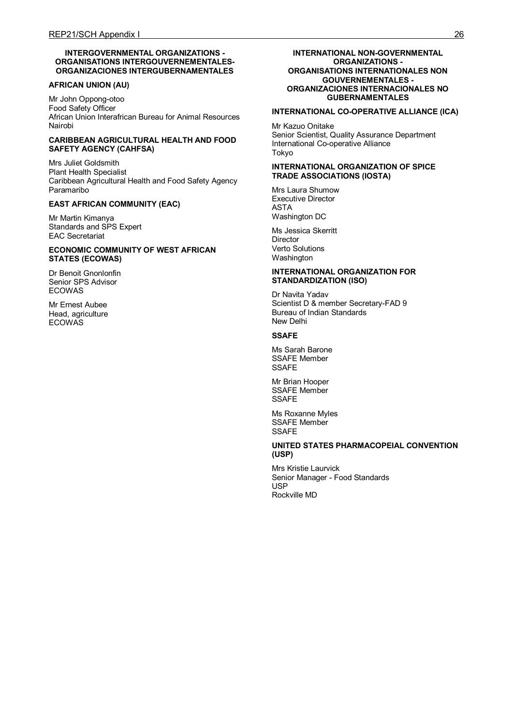#### **INTERGOVERNMENTAL ORGANIZATIONS - ORGANISATIONS INTERGOUVERNEMENTALES-ORGANIZACIONES INTERGUBERNAMENTALES**

#### **AFRICAN UNION (AU)**

Mr John Oppong-otoo Food Safety Officer African Union Interafrican Bureau for Animal Resources Nairobi

#### **CARIBBEAN AGRICULTURAL HEALTH AND FOOD SAFETY AGENCY (CAHFSA)**

Mrs Juliet Goldsmith Plant Health Specialist Caribbean Agricultural Health and Food Safety Agency Paramaribo

#### **EAST AFRICAN COMMUNITY (EAC)**

Mr Martin Kimanya Standards and SPS Expert EAC Secretariat

#### **ECONOMIC COMMUNITY OF WEST AFRICAN STATES (ECOWAS)**

Dr Benoit Gnonlonfin Senior SPS Advisor ECOWAS

Mr Ernest Aubee Head, agriculture **ECOWAS** 

#### **INTERNATIONAL NON-GOVERNMENTAL ORGANIZATIONS - ORGANISATIONS INTERNATIONALES NON GOUVERNEMENTALES - ORGANIZACIONES INTERNACIONALES NO GUBERNAMENTALES**

# **INTERNATIONAL CO-OPERATIVE ALLIANCE (ICA)**

Mr Kazuo Onitake Senior Scientist, Quality Assurance Department International Co-operative Alliance Tokyo

#### **INTERNATIONAL ORGANIZATION OF SPICE TRADE ASSOCIATIONS (IOSTA)**

Mrs Laura Shumow Executive Director ASTA Washington DC

Ms Jessica Skerritt **Director** Verto Solutions Washington

#### **INTERNATIONAL ORGANIZATION FOR STANDARDIZATION (ISO)**

Dr Navita Yadav Scientist D & member Secretary-FAD 9 Bureau of Indian Standards New Delhi

#### **SSAFE**

Ms Sarah Barone SSAFE Member **SSAFE** 

Mr Brian Hooper SSAFE Member SSAFE

Ms Roxanne Myles SSAFE Member **SSAFF** 

#### **UNITED STATES PHARMACOPEIAL CONVENTION (USP)**

Mrs Kristie Laurvick Senior Manager - Food Standards USP Rockville MD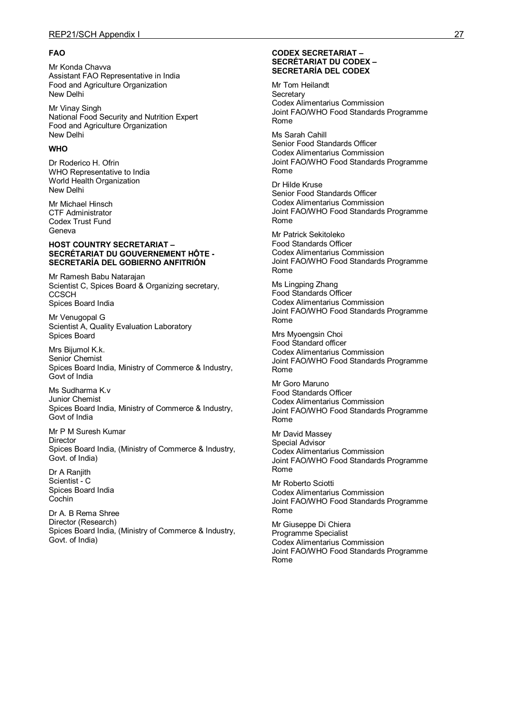#### **FAO**

Mr Konda Chavva Assistant FAO Representative in India Food and Agriculture Organization New Delhi

Mr Vinay Singh National Food Security and Nutrition Expert Food and Agriculture Organization New Delhi

#### **WHO**

Dr Roderico H. Ofrin WHO Representative to India World Health Organization New Delhi

Mr Michael Hinsch CTF Administrator Codex Trust Fund Geneva

#### **HOST COUNTRY SECRETARIAT – SECRÉTARIAT DU GOUVERNEMENT HÔTE - SECRETARÍA DEL GOBIERNO ANFITRIÓN**

Mr Ramesh Babu Natarajan Scientist C, Spices Board & Organizing secretary, **CCSCH** Spices Board India

Mr Venugopal G Scientist A, Quality Evaluation Laboratory Spices Board

Mrs Bijumol K.k. Senior Chemist Spices Board India, Ministry of Commerce & Industry, Govt of India

Ms Sudharma K.v Junior Chemist Spices Board India, Ministry of Commerce & Industry, Govt of India

Mr P M Suresh Kumar Director Spices Board India, (Ministry of Commerce & Industry, Govt. of India)

Dr A Raniith Scientist - C Spices Board India Cochin

Dr A. B Rema Shree Director (Research) Spices Board India, (Ministry of Commerce & Industry, Govt. of India)

#### **CODEX SECRETARIAT – SECRÉTARIAT DU CODEX – SECRETARÍA DEL CODEX**

Mr Tom Heilandt **Secretary** Codex Alimentarius Commission Joint FAO/WHO Food Standards Programme Rome

Ms Sarah Cahill Senior Food Standards Officer Codex Alimentarius Commission Joint FAO/WHO Food Standards Programme Rome

Dr Hilde Kruse Senior Food Standards Officer Codex Alimentarius Commission Joint FAO/WHO Food Standards Programme Rome

Mr Patrick Sekitoleko Food Standards Officer Codex Alimentarius Commission Joint FAO/WHO Food Standards Programme Rome

Ms Lingping Zhang Food Standards Officer Codex Alimentarius Commission Joint FAO/WHO Food Standards Programme Rome

Mrs Myoengsin Choi Food Standard officer Codex Alimentarius Commission Joint FAO/WHO Food Standards Programme Rome

Mr Goro Maruno Food Standards Officer Codex Alimentarius Commission Joint FAO/WHO Food Standards Programme Rome

Mr David Massey Special Advisor Codex Alimentarius Commission Joint FAO/WHO Food Standards Programme Rome

Mr Roberto Sciotti Codex Alimentarius Commission Joint FAO/WHO Food Standards Programme Rome

Mr Giuseppe Di Chiera Programme Specialist Codex Alimentarius Commission Joint FAO/WHO Food Standards Programme Rome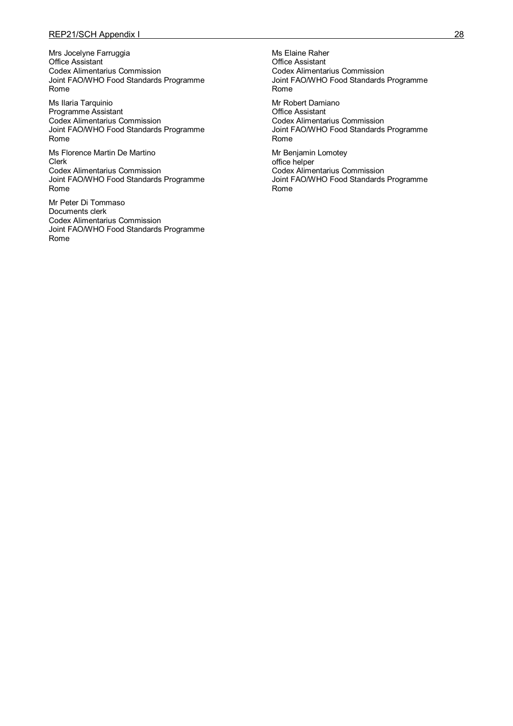## REP21/SCH Appendix I 28

Mrs Jocelyne Farruggia Office Assistant Codex Alimentarius Commission Joint FAO/WHO Food Standards Programme Rome

Ms Ilaria Tarquinio Programme Assistant Codex Alimentarius Commission Joint FAO/WHO Food Standards Programme Rome

Ms Florence Martin De Martino Clerk Codex Alimentarius Commission Joint FAO/WHO Food Standards Programme Rome

Mr Peter Di Tommaso Documents clerk Codex Alimentarius Commission Joint FAO/WHO Food Standards Programme Rome

Ms Elaine Raher Office Assistant Codex Alimentarius Commission Joint FAO/WHO Food Standards Programme Rome

Mr Robert Damiano Office Assistant Codex Alimentarius Commission Joint FAO/WHO Food Standards Programme Rome

Mr Benjamin Lomotey office helper Codex Alimentarius Commission Joint FAO/WHO Food Standards Programme Rome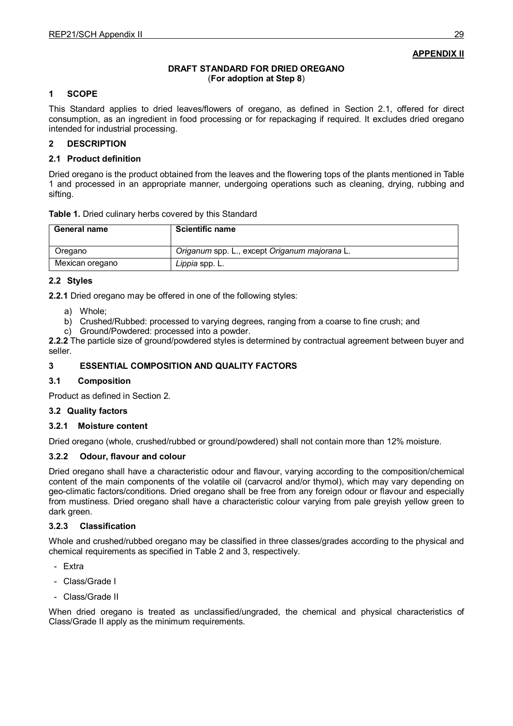**APPENDIX II**

# **DRAFT STANDARD FOR DRIED OREGANO** (**For adoption at Step 8**)

# **1 SCOPE**

This Standard applies to dried leaves/flowers of oregano, as defined in Section 2.1, offered for direct consumption, as an ingredient in food processing or for repackaging if required. It excludes dried oregano intended for industrial processing.

# **2 DESCRIPTION**

# **2.1 Product definition**

Dried oregano is the product obtained from the leaves and the flowering tops of the plants mentioned in Table 1 and processed in an appropriate manner, undergoing operations such as cleaning, drying, rubbing and sifting.

| Table 1. Dried culinary herbs covered by this Standard |  |  |  |
|--------------------------------------------------------|--|--|--|
|--------------------------------------------------------|--|--|--|

| General name    | <b>Scientific name</b>                        |
|-----------------|-----------------------------------------------|
| Oregano         | Origanum spp. L., except Origanum majorana L. |
| Mexican oregano | Lippia spp. L.                                |

## **2.2 Styles**

**2.2.1** Dried oregano may be offered in one of the following styles:

- a) Whole;
- b) Crushed/Rubbed: processed to varying degrees, ranging from a coarse to fine crush; and
- c) Ground/Powdered: processed into a powder.

**2.2.2** The particle size of ground/powdered styles is determined by contractual agreement between buyer and seller.

# **3 ESSENTIAL COMPOSITION AND QUALITY FACTORS**

## **3.1 Composition**

Product as defined in Section 2.

## **3.2 Quality factors**

## **3.2.1 Moisture content**

Dried oregano (whole, crushed/rubbed or ground/powdered) shall not contain more than 12% moisture.

## **3.2.2 Odour, flavour and colour**

Dried oregano shall have a characteristic odour and flavour, varying according to the composition/chemical content of the main components of the volatile oil (carvacrol and/or thymol), which may vary depending on geo-climatic factors/conditions. Dried oregano shall be free from any foreign odour or flavour and especially from mustiness. Dried oregano shall have a characteristic colour varying from pale greyish yellow green to dark green.

## **3.2.3 Classification**

Whole and crushed/rubbed oregano may be classified in three classes/grades according to the physical and chemical requirements as specified in Table 2 and 3, respectively.

- Extra
- Class/Grade I
- Class/Grade II

When dried oregano is treated as unclassified/ungraded, the chemical and physical characteristics of Class/Grade II apply as the minimum requirements.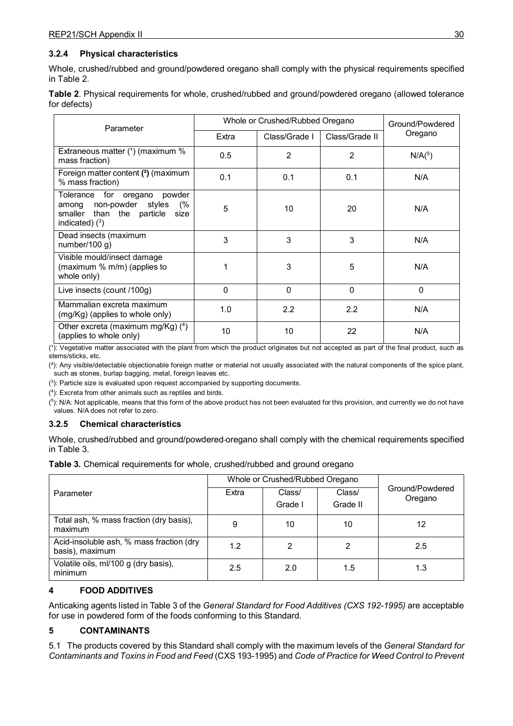# **3.2.4 Physical characteristics**

Whole, crushed/rubbed and ground/powdered oregano shall comply with the physical requirements specified in Table 2.

| Table 2. Physical requirements for whole, crushed/rubbed and ground/powdered oregano (allowed tolerance |  |  |
|---------------------------------------------------------------------------------------------------------|--|--|
| for defects)                                                                                            |  |  |

| Parameter                                                                                                                    | Whole or Crushed/Rubbed Oregano |               |                | Ground/Powdered |  |
|------------------------------------------------------------------------------------------------------------------------------|---------------------------------|---------------|----------------|-----------------|--|
|                                                                                                                              | Extra                           | Class/Grade I | Class/Grade II | Oregano         |  |
| Extraneous matter (1) (maximum %<br>mass fraction)                                                                           | 0.5                             | 2             | 2              | $N/A(^{5})$     |  |
| Foreign matter content (2) (maximum<br>% mass fraction)                                                                      | 0.1                             | 0.1           | 0.1            | N/A             |  |
| Tolerance for<br>oregano<br>powder<br>among non-powder styles<br>(%<br>smaller than the particle<br>size<br>indicated) $(3)$ | 5                               | 10            | 20             | N/A             |  |
| Dead insects (maximum<br>number/100 $g$ )                                                                                    | 3                               | 3             | 3              | N/A             |  |
| Visible mould/insect damage<br>(maximum % m/m) (applies to<br>whole only)                                                    | 1                               | 3             | 5              | N/A             |  |
| Live insects (count /100g)                                                                                                   | 0                               | $\mathbf{0}$  | $\Omega$       | $\mathbf{0}$    |  |
| Mammalian excreta maximum<br>(mg/Kg) (applies to whole only)                                                                 | 1.0                             | 2.2           | 2.2            | N/A             |  |
| Other excreta (maximum mg/Kg) $(4)$<br>(applies to whole only)                                                               | 10                              | 10            | 22             | N/A             |  |

(1): Vegetative matter associated with the plant from which the product originates but not accepted as part of the final product, such as stems/sticks, etc.

(²): Any visible/detectable objectionable foreign matter or material not usually associated with the natural components of the spice plant, such as stones, burlap bagging, metal, foreign leaves etc.

 $(^3)$ : Particle size is evaluated upon request accompanied by supporting documents.

( 4 ): Excreta from other animals such as reptiles and birds.

( 5 ): N/A: Not applicable, means that this form of the above product has not been evaluated for this provision, and currently we do not have values. N/A does not refer to zero.

## **3.2.5 Chemical characteristics**

Whole, crushed/rubbed and ground/powdered oregano shall comply with the chemical requirements specified in Table 3.

|  |  |  |  | Table 3. Chemical requirements for whole, crushed/rubbed and ground oregano |  |  |  |
|--|--|--|--|-----------------------------------------------------------------------------|--|--|--|
|--|--|--|--|-----------------------------------------------------------------------------|--|--|--|

|                                                             | Whole or Crushed/Rubbed Oregano |                   |                    |                            |
|-------------------------------------------------------------|---------------------------------|-------------------|--------------------|----------------------------|
| Parameter                                                   | Extra                           | Class/<br>Grade I | Class/<br>Grade II | Ground/Powdered<br>Oregano |
| Total ash, % mass fraction (dry basis),<br>maximum          | 9                               | 10                | 10                 | 12                         |
| Acid-insoluble ash, % mass fraction (dry<br>basis), maximum | 1.2                             | 2                 | 2                  | 2.5                        |
| Volatile oils, ml/100 g (dry basis),<br>minimum             | 2.5                             | 2.0               | 1.5                | 1.3                        |

## **4 FOOD ADDITIVES**

Anticaking agents listed in Table 3 of the *General Standard for Food Additives (CXS 192-1995)* are acceptable for use in powdered form of the foods conforming to this Standard.

## **5 CONTAMINANTS**

5.1 The products covered by this Standard shall comply with the maximum levels of the *General Standard for Contaminants and Toxins in Food and Feed* (CXS 193-1995) and *Code of Practice for Weed Control to Prevent*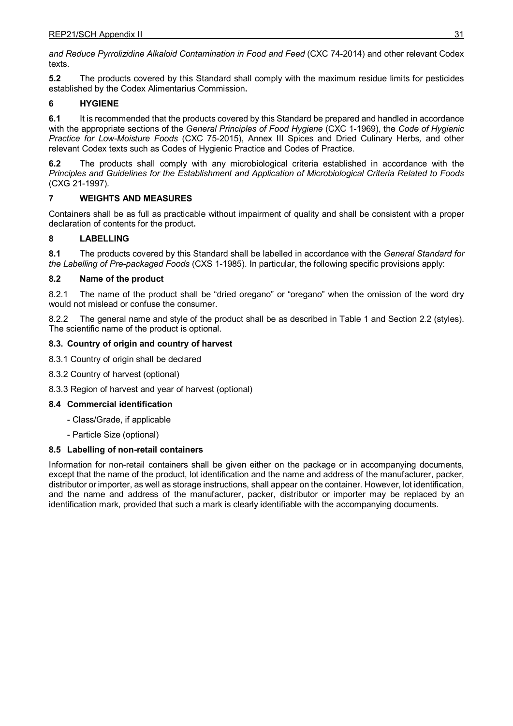*and Reduce Pyrrolizidine Alkaloid Contamination in Food and Feed* (CXC 74-2014) and other relevant Codex texts.

**5.2** The products covered by this Standard shall comply with the maximum residue limits for pesticides established by the Codex Alimentarius Commission**.**

# **6 HYGIENE**

**6.1** It is recommended that the products covered by this Standard be prepared and handled in accordance with the appropriate sections of the *General Principles of Food Hygiene* (CXC 1-1969), the *Code of Hygienic Practice for Low-Moisture Foods* (CXC 75-2015), Annex III Spices and Dried Culinary Herbs*,* and other relevant Codex texts such as Codes of Hygienic Practice and Codes of Practice.

**6.2** The products shall comply with any microbiological criteria established in accordance with the *Principles and Guidelines for the Establishment and Application of Microbiological Criteria Related to Foods*  (CXG 21-1997)*.*

# **7 WEIGHTS AND MEASURES**

Containers shall be as full as practicable without impairment of quality and shall be consistent with a proper declaration of contents for the product**.**

# **8 LABELLING**

**8.1** The products covered by this Standard shall be labelled in accordance with the *General Standard for the Labelling of Pre-packaged Foods* (CXS 1-1985). In particular, the following specific provisions apply:

# **8.2 Name of the product**

8.2.1 The name of the product shall be "dried oregano" or "oregano" when the omission of the word dry would not mislead or confuse the consumer.

8.2.2 The general name and style of the product shall be as described in Table 1 and Section 2.2 (styles). The scientific name of the product is optional.

# **8.3. Country of origin and country of harvest**

8.3.1 Country of origin shall be declared

- 8.3.2 Country of harvest (optional)
- 8.3.3 Region of harvest and year of harvest (optional)

## **8.4 Commercial identification**

- Class/Grade, if applicable
- Particle Size (optional)

## **8.5 Labelling of non-retail containers**

Information for non-retail containers shall be given either on the package or in accompanying documents, except that the name of the product, lot identification and the name and address of the manufacturer, packer, distributor or importer, as well as storage instructions, shall appear on the container. However, lot identification, and the name and address of the manufacturer, packer, distributor or importer may be replaced by an identification mark, provided that such a mark is clearly identifiable with the accompanying documents.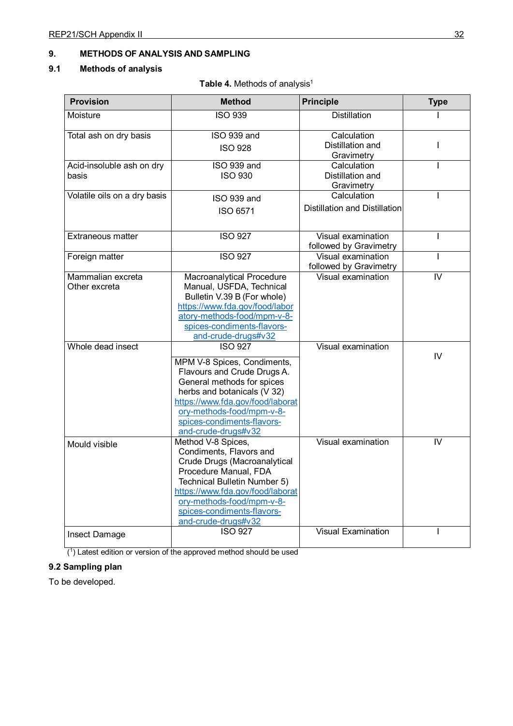# **9. METHODS OF ANALYSIS AND SAMPLING**

# **9.1 Methods of analysis**

Table 4. Methods of analysis<sup>1</sup>

| <b>Provision</b><br><b>Method</b> |                                                                 | <b>Principle</b>                     | <b>Type</b> |
|-----------------------------------|-----------------------------------------------------------------|--------------------------------------|-------------|
| Moisture                          | <b>ISO 939</b>                                                  | <b>Distillation</b>                  |             |
| Total ash on dry basis            | ISO 939 and                                                     | Calculation                          |             |
|                                   | <b>ISO 928</b>                                                  | Distillation and                     | I           |
| Acid-insoluble ash on dry         | ISO 939 and                                                     | Gravimetry<br>Calculation            |             |
| basis                             | <b>ISO 930</b>                                                  | Distillation and                     |             |
|                                   |                                                                 | Gravimetry                           |             |
| Volatile oils on a dry basis      | ISO 939 and                                                     | Calculation                          |             |
|                                   | ISO 6571                                                        | <b>Distillation and Distillation</b> |             |
| Extraneous matter                 | <b>ISO 927</b>                                                  | Visual examination                   |             |
|                                   |                                                                 | followed by Gravimetry               |             |
| Foreign matter                    | <b>ISO 927</b>                                                  | Visual examination                   |             |
|                                   |                                                                 | followed by Gravimetry               |             |
| Mammalian excreta                 | Macroanalytical Procedure                                       | Visual examination                   | IV          |
| Other excreta                     | Manual, USFDA, Technical                                        |                                      |             |
|                                   | Bulletin V.39 B (For whole)                                     |                                      |             |
|                                   | https://www.fda.gov/food/labor<br>atory-methods-food/mpm-v-8-   |                                      |             |
|                                   | spices-condiments-flavors-                                      |                                      |             |
|                                   | and-crude-drugs#v32                                             |                                      |             |
| Whole dead insect                 | <b>ISO 927</b>                                                  | Visual examination                   |             |
|                                   |                                                                 |                                      | IV          |
|                                   | MPM V-8 Spices, Condiments,                                     |                                      |             |
|                                   | Flavours and Crude Drugs A.                                     |                                      |             |
|                                   | General methods for spices                                      |                                      |             |
|                                   | herbs and botanicals (V 32)<br>https://www.fda.gov/food/laborat |                                      |             |
|                                   | ory-methods-food/mpm-v-8-                                       |                                      |             |
|                                   | spices-condiments-flavors-                                      |                                      |             |
|                                   | and-crude-drugs#v32                                             |                                      |             |
|                                   | Method V-8 Spices,                                              | Visual examination                   | IV          |
| Mould visible                     | Condiments, Flavors and                                         |                                      |             |
|                                   | Crude Drugs (Macroanalytical                                    |                                      |             |
|                                   | Procedure Manual, FDA                                           |                                      |             |
|                                   | Technical Bulletin Number 5)                                    |                                      |             |
|                                   | https://www.fda.gov/food/laborat                                |                                      |             |
|                                   | ory-methods-food/mpm-v-8-                                       |                                      |             |
|                                   | spices-condiments-flavors-                                      |                                      |             |
|                                   | and-crude-drugs#v32                                             |                                      |             |
| <b>Insect Damage</b>              | <b>ISO 927</b>                                                  | <b>Visual Examination</b>            |             |

(1) Latest edition or version of the approved method should be used

# **9.2 Sampling plan**

To be developed.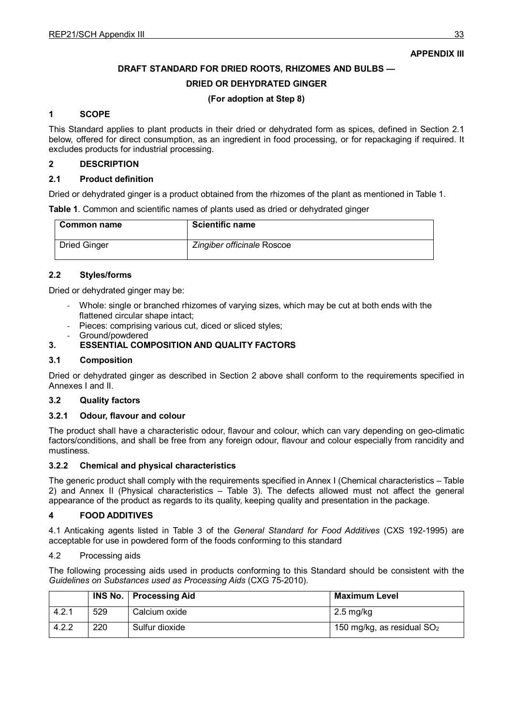# **APPENDIX III**

## **DRAFT STANDARD FOR DRIED ROOTS, RHIZOMES AND BULBS —**

#### **DRIED OR DEHYDRATED GINGER**

#### **(For adoption at Step 8)**

#### **1 SCOPE**

This Standard applies to plant products in their dried or dehydrated form as spices, defined in Section 2.1 below, offered for direct consumption, as an ingredient in food processing, or for repackaging if required. It excludes products for industrial processing.

#### **2 DESCRIPTION**

#### **2.1 Product definition**

Dried or dehydrated ginger is a product obtained from the rhizomes of the plant as mentioned in Table 1.

**Table 1**. Common and scientific names of plants used as dried or dehydrated ginger

| Common name         | <b>Scientific name</b>     |
|---------------------|----------------------------|
| <b>Dried Ginger</b> | Zingiber officinale Roscoe |

## **2.2 Styles/forms**

Dried or dehydrated ginger may be:

- Whole: single or branched rhizomes of varying sizes, which may be cut at both ends with the flattened circular shape intact;
- Pieces: comprising various cut, diced or sliced styles;
- Ground/powdered

## **3. ESSENTIAL COMPOSITION AND QUALITY FACTORS**

#### **3.1 Composition**

Dried or dehydrated ginger as described in Section 2 above shall conform to the requirements specified in Annexes I and II.

## **3.2 Quality factors**

#### **3.2.1 Odour, flavour and colour**

The product shall have a characteristic odour, flavour and colour, which can vary depending on geo-climatic factors/conditions, and shall be free from any foreign odour, flavour and colour especially from rancidity and mustiness.

#### **3.2.2 Chemical and physical characteristics**

The generic product shall comply with the requirements specified in Annex I (Chemical characteristics – Table 2) and Annex II (Physical characteristics – Table 3). The defects allowed must not affect the general appearance of the product as regards to its quality, keeping quality and presentation in the package.

#### **4 FOOD ADDITIVES**

4.1 Anticaking agents listed in Table 3 of the *General Standard for Food Additives* (CXS 192-1995) are acceptable for use in powdered form of the foods conforming to this standard

#### 4.2 Processing aids

The following processing aids used in products conforming to this Standard should be consistent with the *Guidelines on Substances used as Processing Aids* (CXG 75-2010).

|       |     | <b>INS No.   Processing Aid</b> | <b>Maximum Level</b>         |
|-------|-----|---------------------------------|------------------------------|
| 4.2.1 | 529 | Calcium oxide                   | $2.5 \,\mathrm{mg/kg}$       |
| 4.2.2 | 220 | Sulfur dioxide                  | 150 mg/kg, as residual $SO2$ |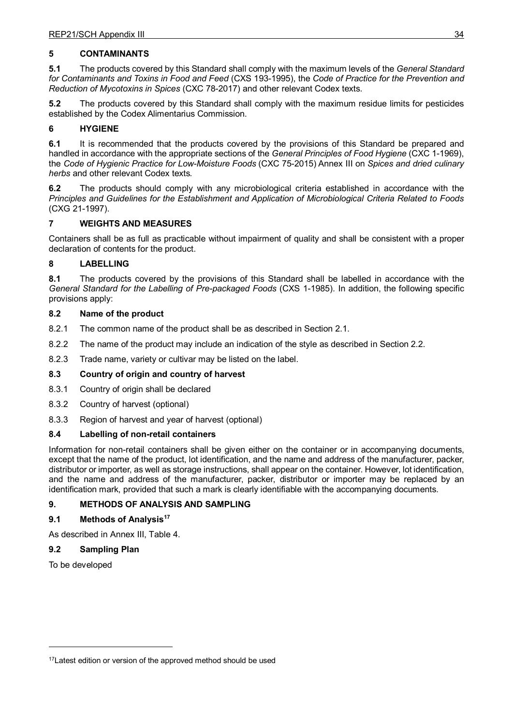## **5 CONTAMINANTS**

**5.1** The products covered by this Standard shall comply with the maximum levels of the *General Standard for Contaminants and Toxins in Food and Feed* (CXS 193-1995), the *Code of Practice for the Prevention and Reduction of Mycotoxins in Spices* (CXC 78-2017) and other relevant Codex texts.

**5.2** The products covered by this Standard shall comply with the maximum residue limits for pesticides established by the Codex Alimentarius Commission.

## **6 HYGIENE**

**6.1** It is recommended that the products covered by the provisions of this Standard be prepared and handled in accordance with the appropriate sections of the *General Principles of Food Hygiene* (CXC 1-1969), the *Code of Hygienic Practice for Low-Moisture Foods* (CXC 75-2015) Annex III on *Spices and dried culinary herbs* and other relevant Codex texts*.*

**6.2** The products should comply with any microbiological criteria established in accordance with the *Principles and Guidelines for the Establishment and Application of Microbiological Criteria Related to Foods* (CXG 21-1997).

## **7 WEIGHTS AND MEASURES**

Containers shall be as full as practicable without impairment of quality and shall be consistent with a proper declaration of contents for the product.

## **8 LABELLING**

**8.1** The products covered by the provisions of this Standard shall be labelled in accordance with the *General Standard for the Labelling of Pre-packaged Foods* (CXS 1-1985). In addition, the following specific provisions apply:

#### **8.2 Name of the product**

8.2.1 The common name of the product shall be as described in Section 2.1.

- 8.2.2 The name of the product may include an indication of the style as described in Section 2.2.
- 8.2.3 Trade name, variety or cultivar may be listed on the label.

#### **8.3 Country of origin and country of harvest**

- 8.3.1 Country of origin shall be declared
- 8.3.2 Country of harvest (optional)
- 8.3.3 Region of harvest and year of harvest (optional)

#### **8.4 Labelling of non-retail containers**

Information for non-retail containers shall be given either on the container or in accompanying documents, except that the name of the product, lot identification, and the name and address of the manufacturer, packer, distributor or importer, as well as storage instructions, shall appear on the container. However, lot identification, and the name and address of the manufacturer, packer, distributor or importer may be replaced by an identification mark, provided that such a mark is clearly identifiable with the accompanying documents.

# **9. METHODS OF ANALYSIS AND SAMPLING**

#### **9.1 Methods of Analysi[s17](#page-37-0)**

As described in Annex III, Table 4.

#### **9.2 Sampling Plan**

To be developed

<u>.</u>

<span id="page-37-0"></span><sup>&</sup>lt;sup>17</sup> Latest edition or version of the approved method should be used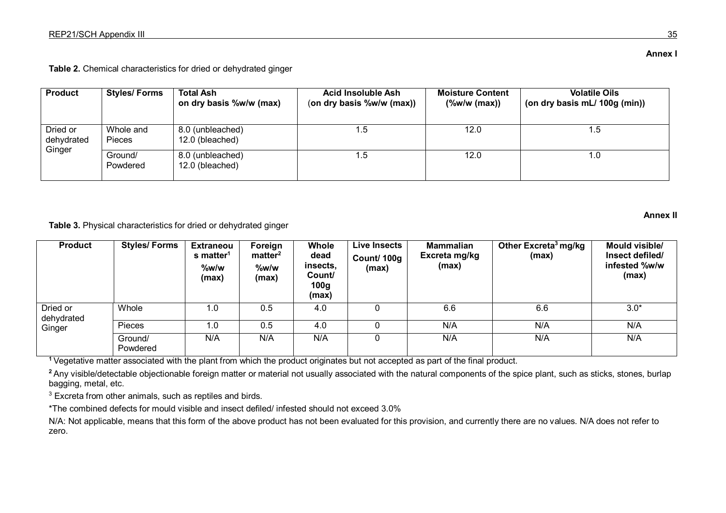**Table 2.** Chemical characteristics for dried or dehydrated ginger

| <b>Product</b>         | <b>Styles/Forms</b>        | <b>Total Ash</b><br>on dry basis %w/w (max) | Acid Insoluble Ash<br>(on dry basis %w/w (max)) | <b>Moisture Content</b><br>$(\%w/w \text{ (max)})$ | <b>Volatile Oils</b><br>(on dry basis mL/ 100g (min)) |
|------------------------|----------------------------|---------------------------------------------|-------------------------------------------------|----------------------------------------------------|-------------------------------------------------------|
| Dried or<br>dehydrated | Whole and<br><b>Pieces</b> | 8.0 (unbleached)<br>12.0 (bleached)         | 1.5                                             | 12.0                                               | 1.5                                                   |
| Ginger                 | Ground/<br>Powdered        | 8.0 (unbleached)<br>12.0 (bleached)         | 1.5                                             | 12.0                                               | 0. ا                                                  |

**Table 3.** Physical characteristics for dried or dehydrated ginger

| <b>Product</b>         | <b>Styles/Forms</b> | <b>Extraneou</b><br>s matter <sup>1</sup><br>$%$ w/w<br>(max) | Foreign<br>matter <sup>2</sup><br>%w/w<br>(max) | <b>Whole</b><br>dead<br>insects.<br>Count/<br>100 <sub>g</sub><br>(max) | <b>Live Insects</b><br>Count/ 100g<br>(max) | <b>Mammalian</b><br>Excreta mg/kg<br>(max) | Other Excreta <sup>3</sup> mg/kg<br>(max) | Mould visible/<br>Insect defiled/<br>infested %w/w<br>(max) |
|------------------------|---------------------|---------------------------------------------------------------|-------------------------------------------------|-------------------------------------------------------------------------|---------------------------------------------|--------------------------------------------|-------------------------------------------|-------------------------------------------------------------|
| Dried or<br>dehydrated | Whole               | 1.0                                                           | 0.5                                             | 4.0                                                                     |                                             | 6.6                                        | 6.6                                       | $3.0*$                                                      |
| Ginger                 | Pieces              | 1.0                                                           | 0.5                                             | 4.0                                                                     |                                             | N/A                                        | N/A                                       | N/A                                                         |
|                        | Ground/<br>Powdered | N/A                                                           | N/A                                             | N/A                                                                     |                                             | N/A                                        | N/A                                       | N/A                                                         |

**<sup>1</sup>**Vegetative matter associated with the plant from which the product originates but not accepted as part of the final product.

<sup>2</sup> Any visible/detectable objectionable foreign matter or material not usually associated with the natural components of the spice plant, such as sticks, stones, burlap bagging, metal, etc.

<sup>3</sup> Excreta from other animals, such as reptiles and birds.

\*The combined defects for mould visible and insect defiled/ infested should not exceed 3.0%

N/A: Not applicable, means that this form of the above product has not been evaluated for this provision, and currently there are no values. N/A does not refer to zero.

**Annex I**

**Annex II**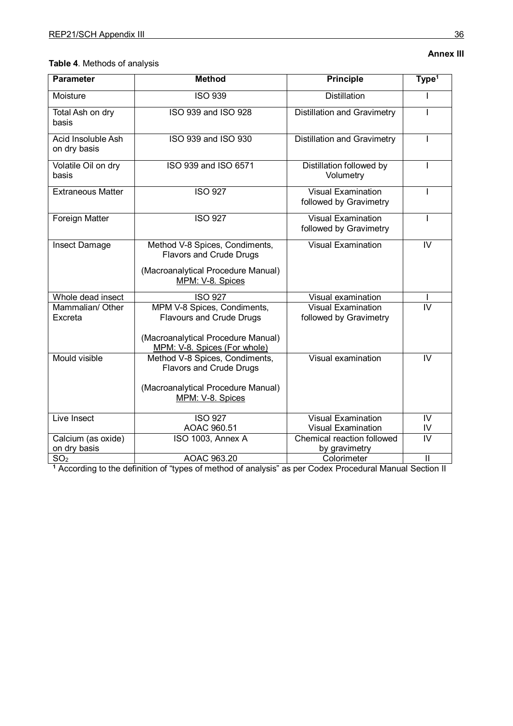| <b>Parameter</b>                   | <b>Method</b>                                                      | <b>Principle</b>                                    | Type <sup>1</sup> |
|------------------------------------|--------------------------------------------------------------------|-----------------------------------------------------|-------------------|
| Moisture                           | <b>ISO 939</b>                                                     | <b>Distillation</b>                                 | J.                |
| Total Ash on dry<br>basis          | ISO 939 and ISO 928                                                | <b>Distillation and Gravimetry</b>                  |                   |
| Acid Insoluble Ash<br>on dry basis | ISO 939 and ISO 930                                                | <b>Distillation and Gravimetry</b>                  |                   |
| Volatile Oil on dry<br>basis       | ISO 939 and ISO 6571                                               | Distillation followed by<br>Volumetry               |                   |
| <b>Extraneous Matter</b>           | <b>ISO 927</b>                                                     | <b>Visual Examination</b><br>followed by Gravimetry |                   |
| Foreign Matter                     | <b>ISO 927</b>                                                     | <b>Visual Examination</b><br>followed by Gravimetry | T                 |
| Insect Damage                      | Method V-8 Spices, Condiments,<br><b>Flavors and Crude Drugs</b>   | Visual Examination                                  | IV                |
|                                    | (Macroanalytical Procedure Manual)<br>MPM: V-8. Spices             |                                                     |                   |
| Whole dead insect                  | <b>ISO 927</b>                                                     | Visual examination                                  |                   |
| Mammalian/ Other                   | MPM V-8 Spices, Condiments,                                        | <b>Visual Examination</b>                           | IV                |
| Excreta                            | <b>Flavours and Crude Drugs</b>                                    | followed by Gravimetry                              |                   |
|                                    | (Macroanalytical Procedure Manual)<br>MPM: V-8. Spices (For whole) |                                                     |                   |
| <b>Mould visible</b>               | Method V-8 Spices, Condiments,<br><b>Flavors and Crude Drugs</b>   | Visual examination                                  | IV                |
|                                    | (Macroanalytical Procedure Manual)<br>MPM: V-8. Spices             |                                                     |                   |
| Live Insect                        | <b>ISO 927</b>                                                     | <b>Visual Examination</b>                           | IV                |
|                                    | AOAC 960.51                                                        | <b>Visual Examination</b>                           | IV                |
| Calcium (as oxide)                 | ISO 1003, Annex A                                                  | Chemical reaction followed                          | $\overline{N}$    |
| on dry basis                       |                                                                    | by gravimetry                                       |                   |
| SO <sub>2</sub>                    | AOAC 963.20                                                        | Colorimeter                                         | $\mathbf{II}$     |

**<sup>1</sup>** According to the definition of "types of method of analysis" as per Codex Procedural Manual Section II

# **Annex III**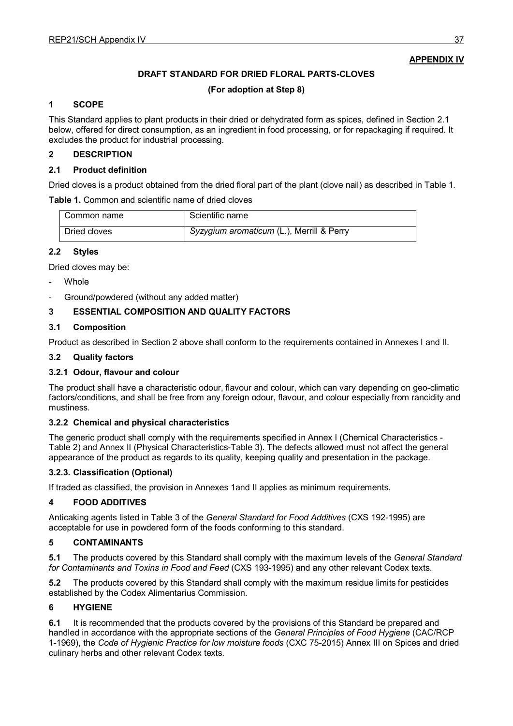## **APPENDIX IV**

## **DRAFT STANDARD FOR DRIED FLORAL PARTS-CLOVES**

#### **(For adoption at Step 8)**

#### **1 SCOPE**

This Standard applies to plant products in their dried or dehydrated form as spices, defined in Section 2.1 below, offered for direct consumption, as an ingredient in food processing, or for repackaging if required. It excludes the product for industrial processing.

#### **2 DESCRIPTION**

#### **2.1 Product definition**

Dried cloves is a product obtained from the dried floral part of the plant (clove nail) as described in Table 1.

**Table 1.** Common and scientific name of dried cloves

| Common name  | Scientific name                           |
|--------------|-------------------------------------------|
| Dried cloves | Syzygium aromaticum (L.), Merrill & Perry |

# **2.2 Styles**

Dried cloves may be:

- Whole
- Ground/powdered (without any added matter)

## **3 ESSENTIAL COMPOSITION AND QUALITY FACTORS**

#### **3.1 Composition**

Product as described in Section 2 above shall conform to the requirements contained in Annexes I and II.

#### **3.2 Quality factors**

#### **3.2.1 Odour, flavour and colour**

The product shall have a characteristic odour, flavour and colour, which can vary depending on geo-climatic factors/conditions, and shall be free from any foreign odour, flavour, and colour especially from rancidity and mustiness.

#### **3.2.2 Chemical and physical characteristics**

The generic product shall comply with the requirements specified in Annex I (Chemical Characteristics - Table 2) and Annex II (Physical Characteristics-Table 3). The defects allowed must not affect the general appearance of the product as regards to its quality, keeping quality and presentation in the package.

#### **3.2.3. Classification (Optional)**

If traded as classified, the provision in Annexes 1and II applies as minimum requirements.

#### **4 FOOD ADDITIVES**

Anticaking agents listed in Table 3 of the *General Standard for Food Additives* (CXS 192-1995) are acceptable for use in powdered form of the foods conforming to this standard.

#### **5 CONTAMINANTS**

**5.1** The products covered by this Standard shall comply with the maximum levels of the *General Standard for Contaminants and Toxins in Food and Feed* (CXS 193-1995) and any other relevant Codex texts.

**5.2** The products covered by this Standard shall comply with the maximum residue limits for pesticides established by the Codex Alimentarius Commission.

#### **6 HYGIENE**

**6.1** It is recommended that the products covered by the provisions of this Standard be prepared and handled in accordance with the appropriate sections of the *General Principles of Food Hygiene* (CAC/RCP 1-1969), the *Code of Hygienic Practice for low moisture foods* (CXC 75-2015) Annex III on Spices and dried culinary herbs and other relevant Codex texts.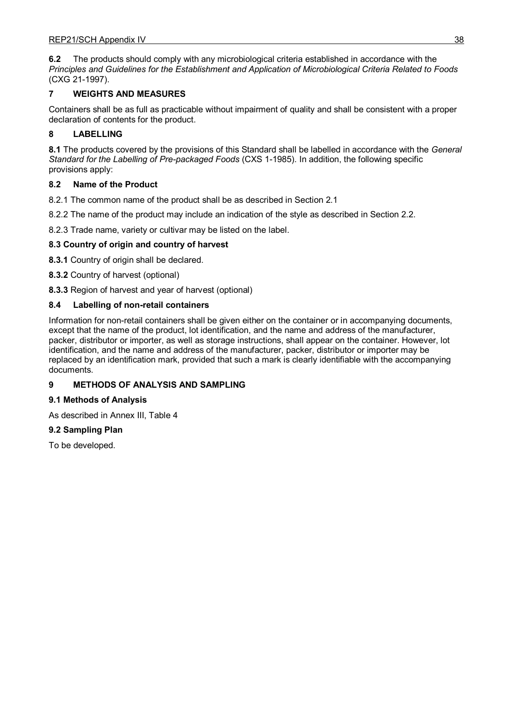**6.2** The products should comply with any microbiological criteria established in accordance with the *Principles and Guidelines for the Establishment and Application of Microbiological Criteria Related to Foods* (CXG 21-1997).

# **7 WEIGHTS AND MEASURES**

Containers shall be as full as practicable without impairment of quality and shall be consistent with a proper declaration of contents for the product.

# **8 LABELLING**

**8.1** The products covered by the provisions of this Standard shall be labelled in accordance with the *General Standard for the Labelling of Pre-packaged Foods* (CXS 1-1985). In addition, the following specific provisions apply:

# **8.2 Name of the Product**

8.2.1 The common name of the product shall be as described in Section 2.1

8.2.2 The name of the product may include an indication of the style as described in Section 2.2.

8.2.3 Trade name, variety or cultivar may be listed on the label.

# **8.3 Country of origin and country of harvest**

**8.3.1** Country of origin shall be declared.

**8.3.2** Country of harvest (optional)

**8.3.3** Region of harvest and year of harvest (optional)

# **8.4 Labelling of non-retail containers**

Information for non-retail containers shall be given either on the container or in accompanying documents, except that the name of the product, lot identification, and the name and address of the manufacturer, packer, distributor or importer, as well as storage instructions, shall appear on the container. However, lot identification, and the name and address of the manufacturer, packer, distributor or importer may be replaced by an identification mark, provided that such a mark is clearly identifiable with the accompanying documents.

# **9 METHODS OF ANALYSIS AND SAMPLING**

# **9.1 Methods of Analysis**

As described in Annex III, Table 4

# **9.2 Sampling Plan**

To be developed.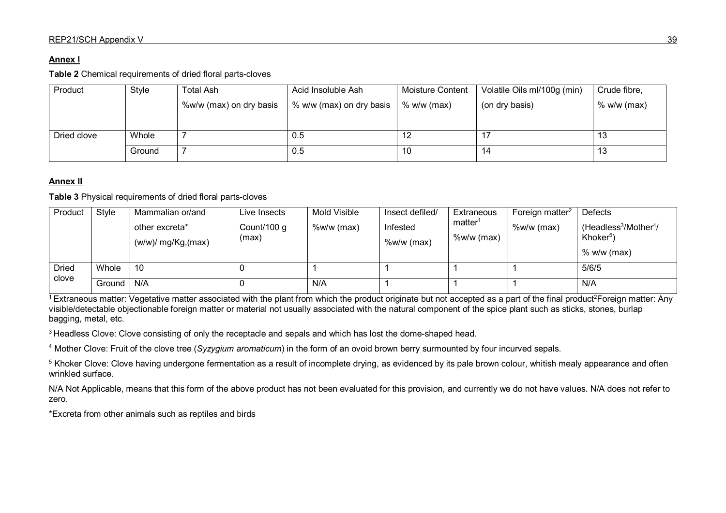## **Annex I**

**Table 2** Chemical requirements of dried floral parts-cloves

| Product     | Style  | <b>Total Ash</b>        | Acid Insoluble Ash       | <b>Moisture Content</b> | Volatile Oils ml/100g (min) | Crude fibre,  |
|-------------|--------|-------------------------|--------------------------|-------------------------|-----------------------------|---------------|
|             |        | %w/w (max) on dry basis | % w/w (max) on dry basis | $%$ w/w (max)           | (on dry basis)              | $%$ w/w (max) |
|             |        |                         |                          |                         |                             |               |
| Dried clove | Whole  |                         | 0.5                      |                         |                             | 13            |
|             | Ground |                         | 0.5                      | 10                      | 14                          | 13            |

# **Annex II**

**Table 3** Physical requirements of dried floral parts-cloves

| Product               | Style  | Mammalian or/and<br>other excreta*<br>$(w/w)$ / mg/Kg,(max) | Live Insects<br>Count/100 g<br>(max) | Mold Visible<br>$%w/w$ (max) | Insect defiled/<br>Infested<br>$%w/w$ (max) | Extraneous<br>matter <sup>1</sup><br>$%w/w$ (max) | Foreign matter <sup>2</sup><br>$%w/w$ (max) | Defects<br>$(Headless3/Mother4/)$<br>Khoker <sup>5</sup><br>$%$ w/w (max) |
|-----------------------|--------|-------------------------------------------------------------|--------------------------------------|------------------------------|---------------------------------------------|---------------------------------------------------|---------------------------------------------|---------------------------------------------------------------------------|
| <b>Dried</b><br>clove | Whole  | 10                                                          |                                      |                              |                                             |                                                   |                                             | 5/6/5                                                                     |
|                       | Ground | N/A                                                         |                                      | N/A                          |                                             |                                                   |                                             | N/A                                                                       |

 $\frac{1}{1}$  Extraneous matter: Vegetative matter associated with the plant from which the product originate but not accepted as a part of the final product<sup>2</sup>Foreign matter: Any visible/detectable objectionable foreign matter or material not usually associated with the natural component of the spice plant such as sticks, stones, burlap bagging, metal, etc.

<sup>3</sup> Headless Clove: Clove consisting of only the receptacle and sepals and which has lost the dome-shaped head.

<sup>4</sup> Mother Clove: Fruit of the clove tree (*Syzygium aromaticum*) in the form of an ovoid brown berry surmounted by four incurved sepals.

<sup>5</sup> Khoker Clove: Clove having undergone fermentation as a result of incomplete drying, as evidenced by its pale brown colour, whitish mealy appearance and often wrinkled surface.

N/A Not Applicable, means that this form of the above product has not been evaluated for this provision, and currently we do not have values. N/A does not refer to zero.

\*Excreta from other animals such as reptiles and birds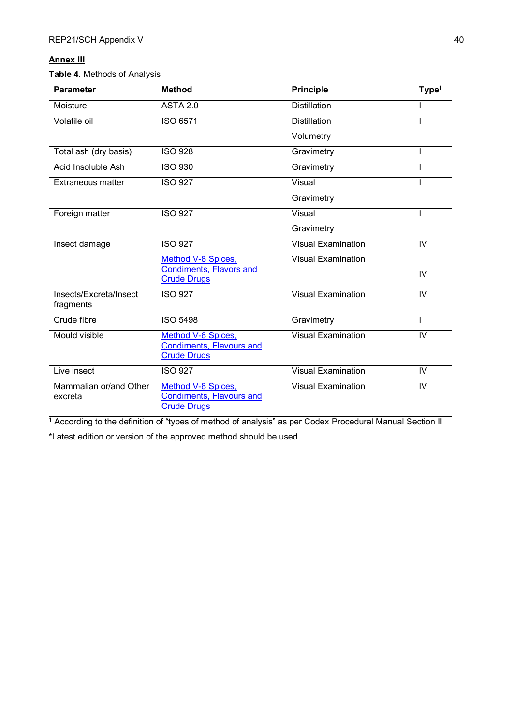# **Annex III**

**Table 4.** Methods of Analysis

| <b>Parameter</b>                    | <b>Method</b>                                                               | <b>Principle</b>          | Type <sup>1</sup> |  |
|-------------------------------------|-----------------------------------------------------------------------------|---------------------------|-------------------|--|
| Moisture                            | <b>ASTA 2.0</b>                                                             | <b>Distillation</b>       |                   |  |
| Volatile oil                        | ISO 6571                                                                    | <b>Distillation</b>       |                   |  |
|                                     |                                                                             | Volumetry                 |                   |  |
| Total ash (dry basis)               | <b>ISO 928</b>                                                              | Gravimetry                |                   |  |
| Acid Insoluble Ash                  | <b>ISO 930</b>                                                              | Gravimetry                |                   |  |
| Extraneous matter                   | <b>ISO 927</b>                                                              | Visual                    |                   |  |
|                                     |                                                                             | Gravimetry                |                   |  |
| Foreign matter                      | <b>ISO 927</b>                                                              | Visual                    |                   |  |
|                                     |                                                                             | Gravimetry                |                   |  |
| Insect damage                       | <b>ISO 927</b>                                                              | <b>Visual Examination</b> | IV                |  |
|                                     | <b>Method V-8 Spices,</b>                                                   | <b>Visual Examination</b> |                   |  |
|                                     | <b>Condiments, Flavors and</b><br><b>Crude Drugs</b>                        |                           | IV                |  |
| Insects/Excreta/Insect<br>fragments | <b>ISO 927</b>                                                              | <b>Visual Examination</b> | IV                |  |
| Crude fibre                         | <b>ISO 5498</b>                                                             | Gravimetry                | T                 |  |
| Mould visible                       | Method V-8 Spices,<br><b>Condiments, Flavours and</b><br><b>Crude Drugs</b> | <b>Visual Examination</b> | $\overline{N}$    |  |
| Live insect                         | <b>ISO 927</b>                                                              | <b>Visual Examination</b> | IV                |  |
| Mammalian or/and Other<br>excreta   | Method V-8 Spices,<br><b>Condiments, Flavours and</b><br><b>Crude Drugs</b> | <b>Visual Examination</b> | IV                |  |

<sup>1</sup> According to the definition of "types of method of analysis" as per Codex Procedural Manual Section II

\*Latest edition or version of the approved method should be used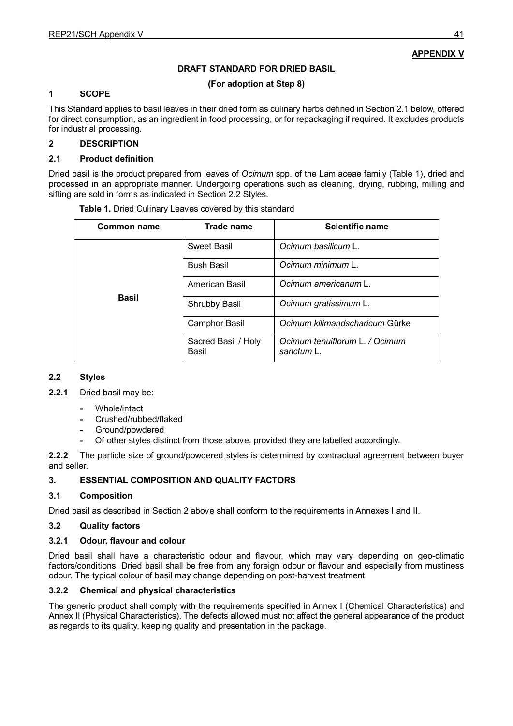# **APPENDIX V**

#### **DRAFT STANDARD FOR DRIED BASIL**

#### **(For adoption at Step 8)**

#### **1 SCOPE**

This Standard applies to basil leaves in their dried form as culinary herbs defined in Section 2.1 below, offered for direct consumption, as an ingredient in food processing, or for repackaging if required. It excludes products for industrial processing.

#### **2 DESCRIPTION**

#### **2.1 Product definition**

Dried basil is the product prepared from leaves of *Ocimum* spp. of the Lamiaceae family (Table 1), dried and processed in an appropriate manner. Undergoing operations such as cleaning, drying, rubbing, milling and sifting are sold in forms as indicated in Section 2.2 Styles.

| Common name  | Trade name                   | <b>Scientific name</b>                       |
|--------------|------------------------------|----------------------------------------------|
|              | Sweet Basil                  | Ocimum basilicum L.                          |
|              | <b>Bush Basil</b>            | Ocimum minimum L.                            |
|              | American Basil               | Ocimum americanum L.                         |
| <b>Basil</b> | Shrubby Basil                | Ocimum gratissimum L.                        |
|              | <b>Camphor Basil</b>         | Ocimum kilimandscharicum Gürke               |
|              | Sacred Basil / Holy<br>Basil | Ocimum tenuiflorum L. / Ocimum<br>sanctum L. |

**Table 1.** Dried Culinary Leaves covered by this standard

## **2.2 Styles**

**2.2.1** Dried basil may be:

- **-** Whole/intact
	- **-** Crushed/rubbed/flaked
- **-** Ground/powdered
- **-** Of other styles distinct from those above, provided they are labelled accordingly.

**2.2.2** The particle size of ground/powdered styles is determined by contractual agreement between buyer and seller.

#### **3. ESSENTIAL COMPOSITION AND QUALITY FACTORS**

#### **3.1 Composition**

Dried basil as described in Section 2 above shall conform to the requirements in Annexes I and II.

#### **3.2 Quality factors**

#### **3.2.1 Odour, flavour and colour**

Dried basil shall have a characteristic odour and flavour, which may vary depending on geo-climatic factors/conditions. Dried basil shall be free from any foreign odour or flavour and especially from mustiness odour. The typical colour of basil may change depending on post-harvest treatment.

#### **3.2.2 Chemical and physical characteristics**

The generic product shall comply with the requirements specified in Annex I (Chemical Characteristics) and Annex II (Physical Characteristics). The defects allowed must not affect the general appearance of the product as regards to its quality, keeping quality and presentation in the package.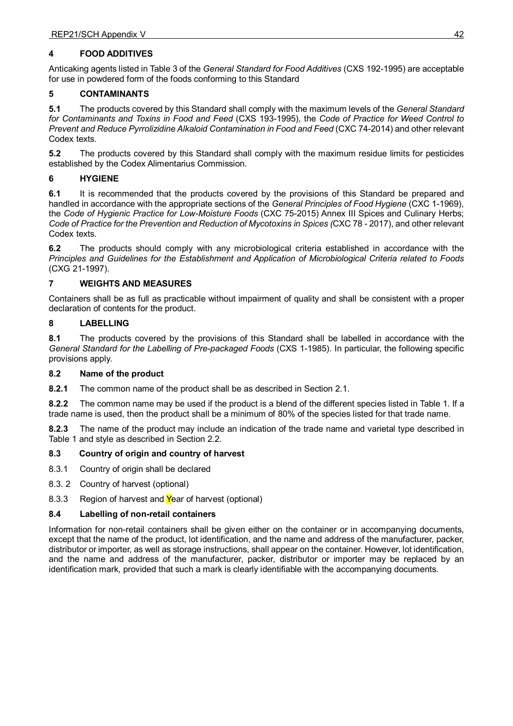## **4 FOOD ADDITIVES**

Anticaking agents listed in Table 3 of the *General Standard for Food Additives* (CXS 192-1995) are acceptable for use in powdered form of the foods conforming to this Standard

## **5 CONTAMINANTS**

**5.1** The products covered by this Standard shall comply with the maximum levels of the *General Standard for Contaminants and Toxins in Food and Feed* (CXS 193-1995), the *Code of Practice for Weed Control to Prevent and Reduce Pyrrolizidine Alkaloid Contamination in Food and Feed* (CXC 74-2014) and other relevant Codex texts.

**5.2** The products covered by this Standard shall comply with the maximum residue limits for pesticides established by the Codex Alimentarius Commission.

# **6 HYGIENE**

**6.1** It is recommended that the products covered by the provisions of this Standard be prepared and handled in accordance with the appropriate sections of the *General Principles of Food Hygiene* (CXC 1-1969), the *Code of Hygienic Practice for Low-Moisture Foods* (CXC 75-2015) Annex III Spices and Culinary Herbs; *Code of Practice for the Prevention and Reduction of Mycotoxins in Spices (*CXC 78 - 2017), and other relevant Codex texts.

**6.2** The products should comply with any microbiological criteria established in accordance with the *Principles and Guidelines for the Establishment and Application of Microbiological Criteria related to Foods* (CXG 21-1997).

## **7 WEIGHTS AND MEASURES**

Containers shall be as full as practicable without impairment of quality and shall be consistent with a proper declaration of contents for the product.

#### **8 LABELLING**

**8.1** The products covered by the provisions of this Standard shall be labelled in accordance with the *General Standard for the Labelling of Pre-packaged Foods* (CXS 1-1985). In particular, the following specific provisions apply.

#### **8.2 Name of the product**

**8.2.1** The common name of the product shall be as described in Section 2.1.

**8.2.2** The common name may be used if the product is a blend of the different species listed in Table 1. If a trade name is used, then the product shall be a minimum of 80% of the species listed for that trade name.

**8.2.3** The name of the product may include an indication of the trade name and varietal type described in Table 1 and style as described in Section 2.2.

#### **8.3 Country of origin and country of harvest**

- 8.3.1 Country of origin shall be declared
- 8.3. 2 Country of harvest (optional)
- 8.3.3 Region of harvest and Year of harvest (optional)

#### **8.4 Labelling of non-retail containers**

Information for non-retail containers shall be given either on the container or in accompanying documents, except that the name of the product, lot identification, and the name and address of the manufacturer, packer, distributor or importer, as well as storage instructions, shall appear on the container. However, lot identification, and the name and address of the manufacturer, packer, distributor or importer may be replaced by an identification mark, provided that such a mark is clearly identifiable with the accompanying documents.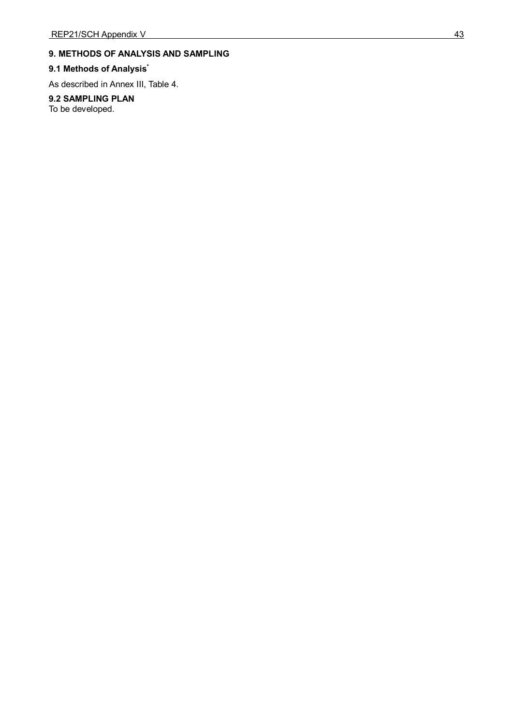# **9. METHODS OF ANALYSIS AND SAMPLING**

#### **9.1 Methods of Analysis \***

As described in Annex III, Table 4.

## **9.2 SAMPLING PLAN**

To be developed.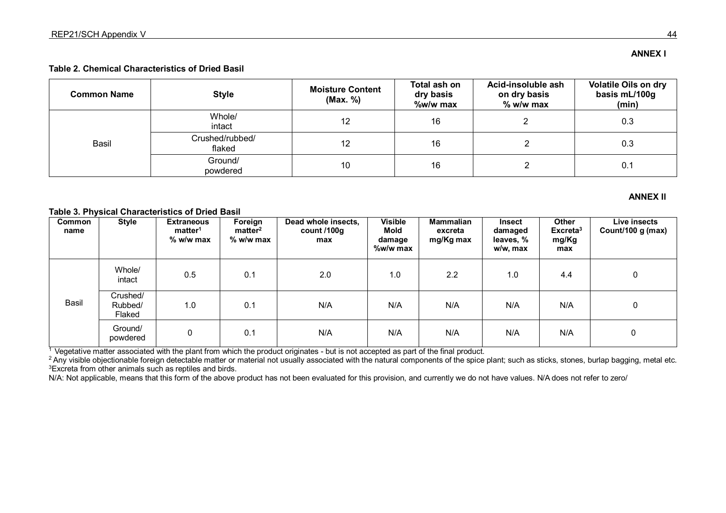## **Table 2. Chemical Characteristics of Dried Basil**

| <b>Common Name</b> | <b>Style</b>              | <b>Moisture Content</b><br>(Max. %) | Total ash on<br>dry basis<br>%w/w max | Acid-insoluble ash<br>on dry basis<br>$%$ w/w max | <b>Volatile Oils on dry</b><br>basis mL/100g<br>(min) |
|--------------------|---------------------------|-------------------------------------|---------------------------------------|---------------------------------------------------|-------------------------------------------------------|
| Basil              | Whole/<br>intact          | 12                                  | 16                                    |                                                   | 0.3                                                   |
|                    | Crushed/rubbed/<br>flaked | 12                                  | 16                                    |                                                   | 0.3                                                   |
|                    | Ground/<br>powdered       | 10                                  | 16                                    |                                                   | 0.1                                                   |

#### **ANNEX Il**

#### **Table 3. Physical Characteristics of Dried Basil**

| Common<br>name | <b>Style</b>                  | <b>Extraneous</b><br>matter <sup>1</sup><br>$%$ w/w max | Foreign<br>matter <sup>2</sup><br>$%$ w/w max | Dead whole insects,<br>count $/100g$<br>max | <b>Visible</b><br>Mold<br>damage<br>%w/w max | Mammalian<br>excreta<br>mg/Kg max | <b>Insect</b><br>damaged<br>leaves, %<br>w/w, max | Other<br>Excreta <sup>3</sup><br>mg/Kg<br>max | Live insects<br>Count/100 g (max) |
|----------------|-------------------------------|---------------------------------------------------------|-----------------------------------------------|---------------------------------------------|----------------------------------------------|-----------------------------------|---------------------------------------------------|-----------------------------------------------|-----------------------------------|
| Basil          | Whole/<br>intact              | 0.5                                                     | 0.1                                           | 2.0                                         | 1.0                                          | 2.2                               | 1.0                                               | 4.4                                           | 0                                 |
|                | Crushed/<br>Rubbed/<br>Flaked | 1.0                                                     | 0.1                                           | N/A                                         | N/A                                          | N/A                               | N/A                                               | N/A                                           | 0                                 |
|                | Ground/<br>powdered           | 0                                                       | 0.1                                           | N/A                                         | N/A                                          | N/A                               | N/A                                               | N/A                                           | 0                                 |

For the final product of the plant from which the product originates - but is not accepted as part of the final product.<br>Any visible objectionable foreign detectable matter or material not usually associated with the natur

N/A: Not applicable, means that this form of the above product has not been evaluated for this provision, and currently we do not have values. N/A does not refer to zero/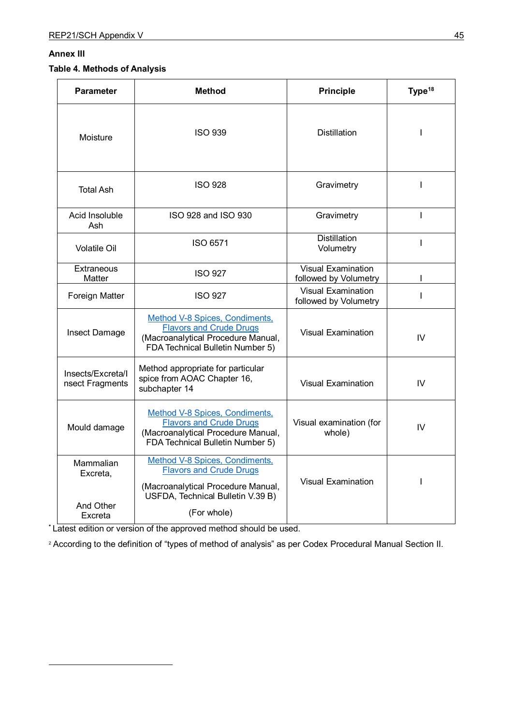#### **Annex III**

<span id="page-48-0"></span><u>.</u>

# **Table 4. Methods of Analysis**

| <b>Parameter</b>                              | <b>Method</b>                                                                                                                                              | <b>Principle</b>                                   | Type <sup>18</sup> |
|-----------------------------------------------|------------------------------------------------------------------------------------------------------------------------------------------------------------|----------------------------------------------------|--------------------|
| Moisture                                      | <b>ISO 939</b>                                                                                                                                             | <b>Distillation</b>                                |                    |
| <b>Total Ash</b>                              | <b>ISO 928</b>                                                                                                                                             | Gravimetry                                         | $\mathbf{I}$       |
| Acid Insoluble<br>Ash                         | ISO 928 and ISO 930                                                                                                                                        | Gravimetry                                         | $\mathbf{I}$       |
| <b>Volatile Oil</b>                           | ISO 6571                                                                                                                                                   | <b>Distillation</b><br>Volumetry                   | $\mathbf{I}$       |
| Extraneous<br>Matter                          | <b>ISO 927</b>                                                                                                                                             | <b>Visual Examination</b><br>followed by Volumetry |                    |
| Foreign Matter                                | <b>ISO 927</b>                                                                                                                                             | <b>Visual Examination</b><br>followed by Volumetry | L                  |
| Insect Damage                                 | Method V-8 Spices, Condiments,<br><b>Flavors and Crude Drugs</b><br>(Macroanalytical Procedure Manual,<br>FDA Technical Bulletin Number 5)                 | <b>Visual Examination</b>                          | IV                 |
| Insects/Excreta/I<br>nsect Fragments          | Method appropriate for particular<br>spice from AOAC Chapter 16,<br>subchapter 14                                                                          | <b>Visual Examination</b>                          | IV                 |
| Mould damage                                  | Method V-8 Spices, Condiments,<br><b>Flavors and Crude Drugs</b><br>(Macroanalytical Procedure Manual,<br>FDA Technical Bulletin Number 5)                 |                                                    | IV                 |
| Mammalian<br>Excreta,<br>And Other<br>Excreta | Method V-8 Spices, Condiments,<br><b>Flavors and Crude Drugs</b><br>(Macroanalytical Procedure Manual,<br>USFDA, Technical Bulletin V.39 B)<br>(For whole) | <b>Visual Examination</b>                          | $\mathbf{I}$       |

**\*** Latest edition or version of the approved method should be used.

<sup>2</sup> According to the definition of "types of method of analysis" as per Codex Procedural Manual Section II.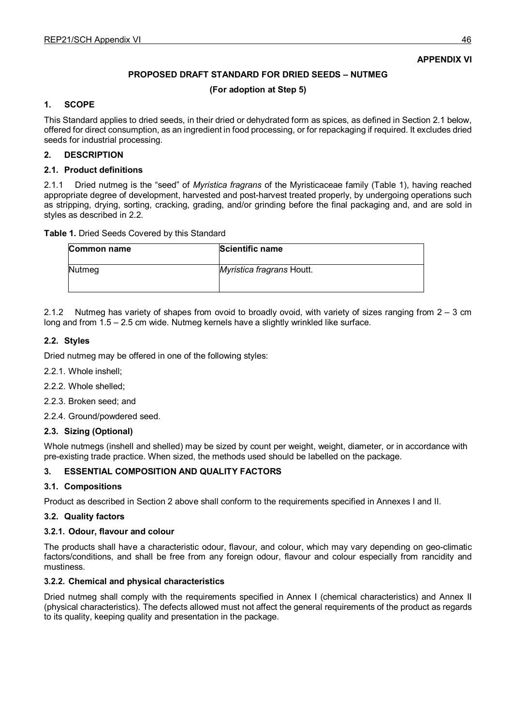## **APPENDIX VI**

## **PROPOSED DRAFT STANDARD FOR DRIED SEEDS – NUTMEG**

**(For adoption at Step 5)**

#### **1. SCOPE**

This Standard applies to dried seeds, in their dried or dehydrated form as spices, as defined in Section 2.1 below, offered for direct consumption, as an ingredient in food processing, or for repackaging if required. It excludes dried seeds for industrial processing.

#### **2. DESCRIPTION**

#### **2.1. Product definitions**

2.1.1 Dried nutmeg is the "seed" of *Myristica fragrans* of the Myristicaceae family (Table 1), having reached appropriate degree of development, harvested and post-harvest treated properly, by undergoing operations such as stripping, drying, sorting, cracking, grading, and/or grinding before the final packaging and, and are sold in styles as described in 2.2.

#### **Table 1.** Dried Seeds Covered by this Standard

| Common name | Scientific name           |
|-------------|---------------------------|
| Nutmeg      | Myristica fragrans Houtt. |

2.1.2 Nutmeg has variety of shapes from ovoid to broadly ovoid, with variety of sizes ranging from 2 – 3 cm long and from 1.5 – 2.5 cm wide. Nutmeg kernels have a slightly wrinkled like surface.

## **2.2. Styles**

Dried nutmeg may be offered in one of the following styles:

- 2.2.1. Whole inshell;
- 2.2.2. Whole shelled;
- 2.2.3. Broken seed; and
- 2.2.4. Ground/powdered seed.

#### **2.3. Sizing (Optional)**

Whole nutmegs (inshell and shelled) may be sized by count per weight, weight, diameter, or in accordance with pre-existing trade practice. When sized, the methods used should be labelled on the package.

#### **3. ESSENTIAL COMPOSITION AND QUALITY FACTORS**

#### **3.1. Compositions**

Product as described in Section 2 above shall conform to the requirements specified in Annexes I and II.

#### **3.2. Quality factors**

#### **3.2.1. Odour, flavour and colour**

The products shall have a characteristic odour, flavour, and colour, which may vary depending on geo-climatic factors/conditions, and shall be free from any foreign odour, flavour and colour especially from rancidity and mustiness.

#### **3.2.2. Chemical and physical characteristics**

Dried nutmeg shall comply with the requirements specified in Annex I (chemical characteristics) and Annex II (physical characteristics). The defects allowed must not affect the general requirements of the product as regards to its quality, keeping quality and presentation in the package.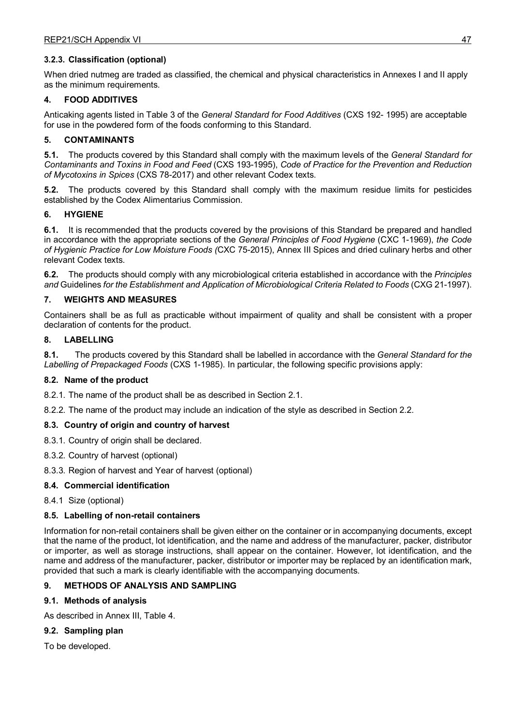## **3.2.3. Classification (optional)**

When dried nutmeg are traded as classified, the chemical and physical characteristics in Annexes I and II apply as the minimum requirements.

#### **4. FOOD ADDITIVES**

Anticaking agents listed in Table 3 of the *General Standard for Food Additives* (CXS 192- 1995) are acceptable for use in the powdered form of the foods conforming to this Standard.

#### **5. CONTAMINANTS**

**5.1.** The products covered by this Standard shall comply with the maximum levels of the *General Standard for Contaminants and Toxins in Food and Feed* (CXS 193-1995), *Code of Practice for the Prevention and Reduction of Mycotoxins in Spices* (CXS 78-2017) and other relevant Codex texts.

**5.2.** The products covered by this Standard shall comply with the maximum residue limits for pesticides established by the Codex Alimentarius Commission.

#### **6. HYGIENE**

**6.1.** It is recommended that the products covered by the provisions of this Standard be prepared and handled in accordance with the appropriate sections of the *General Principles of Food Hygiene* (CXC 1-1969), *the Code of Hygienic Practice for Low Moisture Foods (*CXC 75-2015), Annex III Spices and dried culinary herbs and other relevant Codex texts.

**6.2.** The products should comply with any microbiological criteria established in accordance with the *Principles and* Guidelines *for the Establishment and Application of Microbiological Criteria Related to Foods* (CXG 21-1997).

## **7. WEIGHTS AND MEASURES**

Containers shall be as full as practicable without impairment of quality and shall be consistent with a proper declaration of contents for the product.

#### **8. LABELLING**

**8.1.** The products covered by this Standard shall be labelled in accordance with the *General Standard for the Labelling of Prepackaged Foods* (CXS 1-1985). In particular, the following specific provisions apply:

#### **8.2. Name of the product**

8.2.1. The name of the product shall be as described in Section 2.1.

8.2.2. The name of the product may include an indication of the style as described in Section 2.2.

#### **8.3. Country of origin and country of harvest**

8.3.1. Country of origin shall be declared.

- 8.3.2. Country of harvest (optional)
- 8.3.3. Region of harvest and Year of harvest (optional)

#### **8.4. Commercial identification**

8.4.1 Size (optional)

#### **8.5. Labelling of non-retail containers**

Information for non-retail containers shall be given either on the container or in accompanying documents, except that the name of the product, lot identification, and the name and address of the manufacturer, packer, distributor or importer, as well as storage instructions, shall appear on the container. However, lot identification, and the name and address of the manufacturer, packer, distributor or importer may be replaced by an identification mark, provided that such a mark is clearly identifiable with the accompanying documents.

#### **9. METHODS OF ANALYSIS AND SAMPLING**

#### **9.1. Methods of analysis**

As described in Annex III, Table 4.

# **9.2. Sampling plan**

To be developed.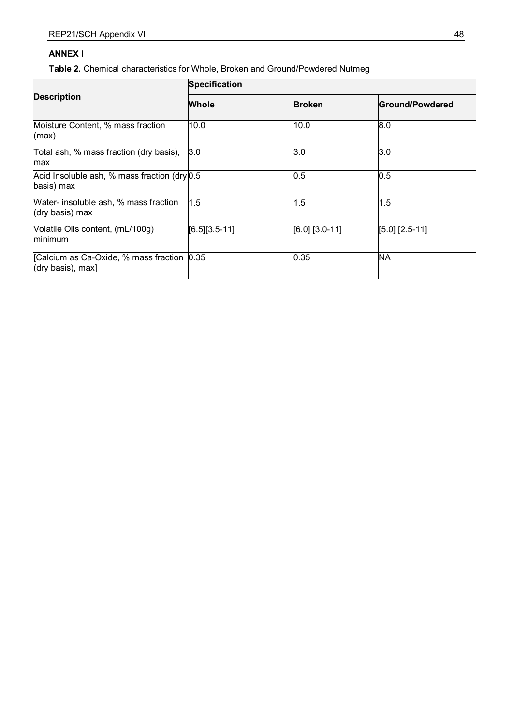# **ANNEX I**

**Table 2.** Chemical characteristics for Whole, Broken and Ground/Powdered Nutmeg

|                                                                 | <b>Specification</b> |                  |                  |  |  |  |
|-----------------------------------------------------------------|----------------------|------------------|------------------|--|--|--|
| <b>Description</b>                                              | <b>Whole</b>         | <b>Broken</b>    | Ground/Powdered  |  |  |  |
| Moisture Content, % mass fraction<br>(max)                      | 10.0                 | 10.0             | 8.0              |  |  |  |
| Total ash, % mass fraction (dry basis),<br>max                  | 3.0                  | 3.0              | 3.0              |  |  |  |
| Acid Insoluble ash, % mass fraction (dry 0.5)<br>basis) max     |                      | $0.5\,$          | 0.5              |  |  |  |
| Water- insoluble ash, % mass fraction<br>(dry basis) max        | 1.5                  | 1.5              | 1.5              |  |  |  |
| Volatile Oils content, (mL/100g)<br>minimum                     | $[6.5][3.5-11]$      | $[6.0]$ [3.0-11] | $[5.0]$ [2.5-11] |  |  |  |
| [Calcium as Ca-Oxide, % mass fraction 0.35<br>(dry basis), max] |                      | 0.35             | <b>NA</b>        |  |  |  |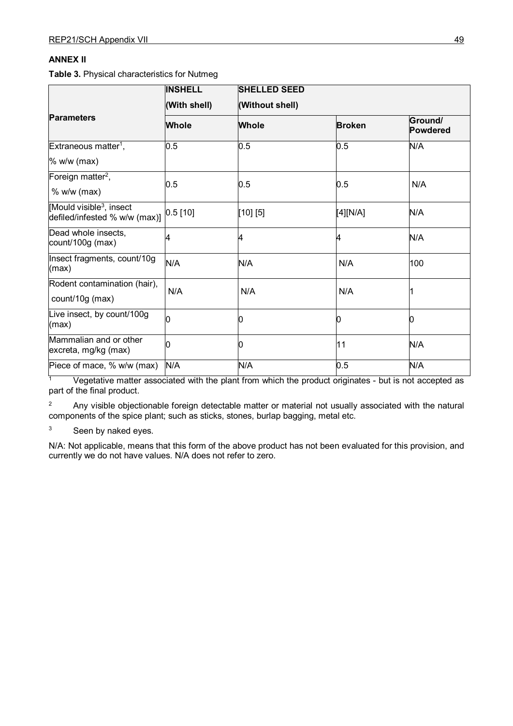# **ANNEX II**

**Table 3.** Physical characteristics for Nutmeg

|                                                                      | <b>INSHELL</b> | <b>SHELLED SEED</b> |               |                            |  |  |
|----------------------------------------------------------------------|----------------|---------------------|---------------|----------------------------|--|--|
|                                                                      | (With shell)   | (Without shell)     |               |                            |  |  |
| <b>Parameters</b>                                                    | Whole          | <b>Whole</b>        | <b>Broken</b> | Ground/<br><b>Powdered</b> |  |  |
| Extraneous matter <sup>1</sup> ,                                     | 0.5            | 0.5                 | 0.5           | N/A                        |  |  |
| $%$ w/w (max)                                                        |                |                     |               |                            |  |  |
| Foreign matter <sup>2</sup> ,                                        |                |                     |               |                            |  |  |
| $%$ w/w (max)                                                        | 0.5            | 0.5                 | 0.5           | N/A                        |  |  |
| Mould visible <sup>3</sup> , insect<br>defiled/infested % w/w (max)] | $0.5$ [10]     | [10] [5]            | [4][N/A]      | N/A                        |  |  |
| Dead whole insects,<br>count/100 $g$ (max)                           | 4              | 4                   | 4             | N/A                        |  |  |
| Insect fragments, count/10g<br>(max)                                 | N/A            | N/A                 | N/A           | 100                        |  |  |
| Rodent contamination (hair),<br>count/10g (max)                      | N/A            | N/A                 | N/A           |                            |  |  |
| Live insect, by count/100g<br>(max)                                  |                |                     | n             |                            |  |  |
| Mammalian and or other<br>excreta, mg/kg (max)                       |                |                     | 11            | N/A                        |  |  |
| Piece of mace, % w/w (max)                                           | N/A            | N/A                 | 0.5           | N/A                        |  |  |

 $\frac{1}{1}$  Vegetative matter associated with the plant from which the product originates - but is not accepted as part of the final product.

<sup>2</sup> Any visible objectionable foreign detectable matter or material not usually associated with the natural components of the spice plant; such as sticks, stones, burlap bagging, metal etc.

<sup>3</sup> Seen by naked eyes.

N/A: Not applicable, means that this form of the above product has not been evaluated for this provision, and currently we do not have values. N/A does not refer to zero.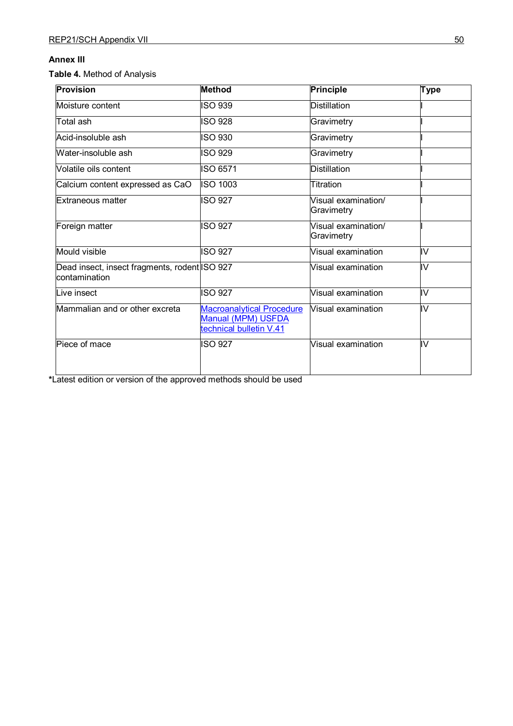# **Annex III**

**Table 4.** Method of Analysis

| <b>Provision</b>                                                | <b>Method</b>                                                                     | <b>Principle</b>                  | <b>Type</b> |  |
|-----------------------------------------------------------------|-----------------------------------------------------------------------------------|-----------------------------------|-------------|--|
| Moisture content                                                | <b>ISO 939</b>                                                                    | <b>Distillation</b>               |             |  |
| Total ash                                                       | <b>ISO 928</b>                                                                    | Gravimetry                        |             |  |
| Acid-insoluble ash                                              | <b>ISO 930</b>                                                                    | Gravimetry                        |             |  |
| Water-insoluble ash                                             | <b>ISO 929</b>                                                                    | Gravimetry                        |             |  |
| Volatile oils content                                           | ISO 6571                                                                          | <b>Distillation</b>               |             |  |
| Calcium content expressed as CaO                                | <b>ISO 1003</b>                                                                   | Titration                         |             |  |
| Extraneous matter                                               | <b>ISO 927</b>                                                                    | Visual examination/<br>Gravimetry |             |  |
| Foreign matter                                                  | <b>ISO 927</b>                                                                    | Visual examination/<br>Gravimetry |             |  |
| Mould visible                                                   | <b>ISO 927</b>                                                                    | Visual examination                | liv         |  |
| Dead insect, insect fragments, rodent ISO 927<br>lcontamination |                                                                                   | Visual examination                | IV          |  |
| Live insect                                                     | <b>ISO 927</b>                                                                    | Visual examination                | liv         |  |
| Mammalian and or other excreta                                  | <b>Macroanalytical Procedure</b><br>Manual (MPM) USFDA<br>technical bulletin V.41 | Visual examination                | IV          |  |
| Piece of mace                                                   | <b>ISO 927</b>                                                                    | Visual examination                | ₹           |  |

**\***Latest edition or version of the approved methods should be used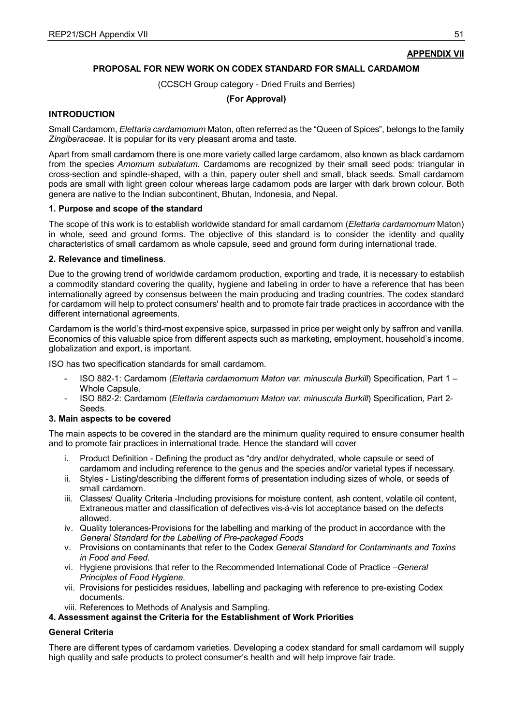## **APPENDIX VII**

#### **PROPOSAL FOR NEW WORK ON CODEX STANDARD FOR SMALL CARDAMOM**

(CCSCH Group category - Dried Fruits and Berries)

#### **(For Approval)**

#### **INTRODUCTION**

Small Cardamom, *Elettaria cardamomum* Maton, often referred as the "Queen of Spices", belongs to the family *Zingiberaceae*. It is popular for its very pleasant aroma and taste.

Apart from small cardamom there is one more variety called large cardamom, also known as black cardamom from the species *Amomum subulatum.* Cardamoms are recognized by their small seed pods: triangular in cross-section and spindle-shaped, with a thin, papery outer shell and small, black seeds. Small cardamom pods are small with light green colour whereas large cadamom pods are larger with dark brown colour. Both genera are native to the Indian subcontinent, Bhutan, Indonesia, and Nepal.

#### **1. Purpose and scope of the standard**

The scope of this work is to establish worldwide standard for small cardamom (*Elettaria cardamomum* Maton) in whole, seed and ground forms. The objective of this standard is to consider the identity and quality characteristics of small cardamom as whole capsule, seed and ground form during international trade.

#### **2. Relevance and timeliness**.

Due to the growing trend of worldwide cardamom production, exporting and trade, it is necessary to establish a commodity standard covering the quality, hygiene and labeling in order to have a reference that has been internationally agreed by consensus between the main producing and trading countries. The codex standard for cardamom will help to protect consumers' health and to promote fair trade practices in accordance with the different international agreements.

Cardamom is the world's third-most expensive spice, surpassed in price per weight only by saffron and vanilla. Economics of this valuable spice from different aspects such as marketing, employment, household's income, globalization and export, is important.

ISO has two specification standards for small cardamom.

- ISO 882-1: Cardamom (*Elettaria cardamomum Maton var. minuscula Burkill*) Specification, Part 1 Whole Capsule.
- ISO 882-2: Cardamom (*Elettaria cardamomum Maton var. minuscula Burkill*) Specification, Part 2- Seeds.

#### **3. Main aspects to be covered**

The main aspects to be covered in the standard are the minimum quality required to ensure consumer health and to promote fair practices in international trade. Hence the standard will cover

- i. Product Definition Defining the product as "dry and/or dehydrated, whole capsule or seed of cardamom and including reference to the genus and the species and/or varietal types if necessary.
- ii. Styles Listing/describing the different forms of presentation including sizes of whole, or seeds of small cardamom.
- iii. Classes/ Quality Criteria -Including provisions for moisture content, ash content, volatile oil content, Extraneous matter and classification of defectives vis-à-vis lot acceptance based on the defects allowed.
- iv. Quality tolerances-Provisions for the labelling and marking of the product in accordance with the *General Standard for the Labelling of Pre-packaged Foods*
- v. Provisions on contaminants that refer to the Codex *General Standard for Contaminants and Toxins in Food and Feed*.
- vi. Hygiene provisions that refer to the Recommended International Code of Practice –*General Principles of Food Hygiene*.
- vii. Provisions for pesticides residues, labelling and packaging with reference to pre-existing Codex documents.
- viii. References to Methods of Analysis and Sampling.

#### **4. Assessment against the Criteria for the Establishment of Work Priorities**

#### **General Criteria**

There are different types of cardamom varieties. Developing a codex standard for small cardamom will supply high quality and safe products to protect consumer's health and will help improve fair trade.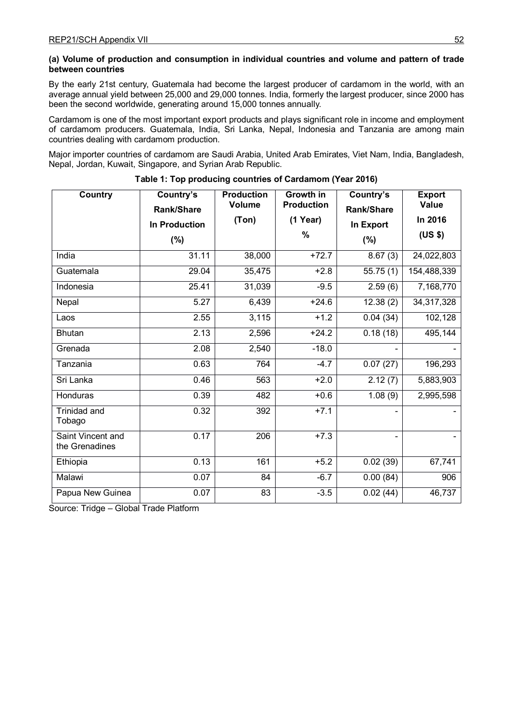#### **(a) Volume of production and consumption in individual countries and volume and pattern of trade between countries**

By the early 21st century, Guatemala had become the largest producer of cardamom in the world, with an average annual yield between 25,000 and 29,000 tonnes. India, formerly the largest producer, since 2000 has been the second worldwide, generating around 15,000 tonnes annually.

Cardamom is one of the most important export products and plays significant role in income and employment of cardamom producers. Guatemala, India, Sri Lanka, Nepal, Indonesia and Tanzania are among main countries dealing with cardamom production.

Major importer countries of cardamom are Saudi Arabia, United Arab Emirates, Viet Nam, India, Bangladesh, Nepal, Jordan, Kuwait, Singapore, and Syrian Arab Republic.

| <b>Country</b>                      | Country's<br>Rank/Share        | <b>Production</b><br><b>Volume</b><br>(Ton) | Growth in<br><b>Production</b><br>(1 Year) | Country's<br>Rank/Share | <b>Export</b><br>Value<br>In 2016 |
|-------------------------------------|--------------------------------|---------------------------------------------|--------------------------------------------|-------------------------|-----------------------------------|
|                                     | <b>In Production</b><br>$(\%)$ |                                             | $\%$                                       | In Export<br>$(\%)$     | (US \$)                           |
| India                               | 31.11                          | 38,000                                      | $+72.7$                                    | $\sqrt{8.67}$ (3)       | 24,022,803                        |
| Guatemala                           | 29.04                          | 35,475                                      | $+2.8$                                     | $\overline{55.75(1)}$   | 154,488,339                       |
| Indonesia                           | 25.41                          | 31,039                                      | $-9.5$                                     | 2.59(6)                 | 7,168,770                         |
| Nepal                               | 5.27                           | 6,439                                       | $+24.6$                                    | $\overline{12.38(2)}$   | 34,317,328                        |
| Laos                                | 2.55                           | 3,115                                       | $+1.2$                                     | 0.04(34)                | 102,128                           |
| <b>Bhutan</b>                       | 2.13                           | 2,596                                       | $+24.2$                                    | 0.18(18)                | 495,144                           |
| Grenada                             | 2.08                           | 2,540                                       | $-18.0$                                    |                         |                                   |
| Tanzania                            | 0.63                           | 764                                         | $-4.7$                                     | 0.07(27)                | 196,293                           |
| Sri Lanka                           | 0.46                           | 563                                         | $+2.0$                                     | $\sqrt{2}$ . 12 (7)     | 5,883,903                         |
| Honduras                            | 0.39                           | 482                                         | $+0.6$                                     | 1.08(9)                 | 2,995,598                         |
| <b>Trinidad and</b><br>Tobago       | 0.32                           | 392                                         | $+7.1$                                     |                         |                                   |
| Saint Vincent and<br>the Grenadines | 0.17                           | $\overline{206}$                            | $+7.3$                                     |                         |                                   |
| Ethiopia                            | 0.13                           | 161                                         | $+5.2$                                     | 0.02(39)                | 67,741                            |
| Malawi                              | 0.07                           | 84                                          | $-6.7$                                     | 0.00(84)                | 906                               |
| Papua New Guinea                    | 0.07                           | 83                                          | $-3.5$                                     | 0.02(44)                | 46,737                            |

**Table 1: Top producing countries of Cardamom (Year 2016)**

Source: Tridge – Global Trade Platform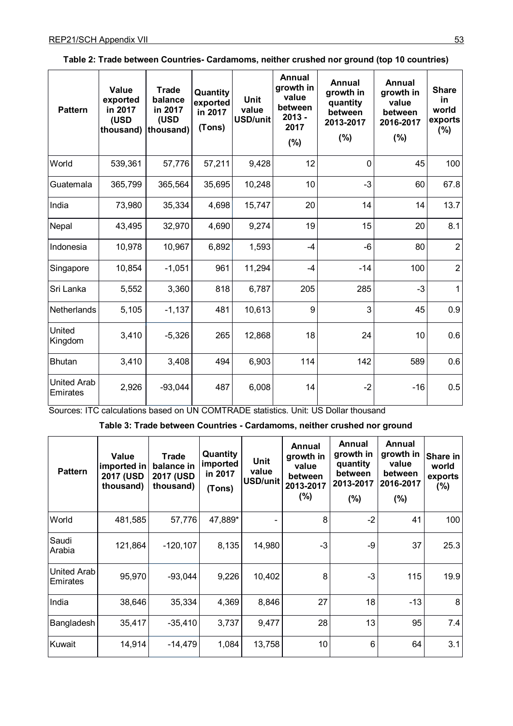| <b>Pattern</b>                 | <b>Value</b><br>exported<br>in 2017<br>(USD<br>thousand) | <b>Trade</b><br>balance<br>in 2017<br>(USD<br>thousand) | Quantity<br>exported<br>in 2017<br>(Tons) | <b>Unit</b><br>value<br><b>USD/unit</b> | Annual<br>growth in<br>value<br>between<br>$2013 -$<br>2017<br>$(\%)$ | Annual<br>growth in<br>quantity<br>between<br>2013-2017<br>(%) | Annual<br>growth in<br>value<br>between<br>2016-2017<br>$(\%)$ | <b>Share</b><br>in<br>world<br>exports<br>$(\%)$ |
|--------------------------------|----------------------------------------------------------|---------------------------------------------------------|-------------------------------------------|-----------------------------------------|-----------------------------------------------------------------------|----------------------------------------------------------------|----------------------------------------------------------------|--------------------------------------------------|
| World                          | 539,361                                                  | 57,776                                                  | 57,211                                    | 9,428                                   | 12                                                                    | 0                                                              | 45                                                             | 100                                              |
| Guatemala                      | 365,799                                                  | 365,564                                                 | 35,695                                    | 10,248                                  | 10                                                                    | $-3$                                                           | 60                                                             | 67.8                                             |
| India                          | 73,980                                                   | 35,334                                                  | 4,698                                     | 15,747                                  | 20                                                                    | 14                                                             | 14                                                             | 13.7                                             |
| Nepal                          | 43,495                                                   | 32,970                                                  | 4,690                                     | 9,274                                   | 19                                                                    | 15                                                             | 20                                                             | 8.1                                              |
| Indonesia                      | 10,978                                                   | 10,967                                                  | 6,892                                     | 1,593                                   | $-4$                                                                  | -6                                                             | 80                                                             | $\overline{2}$                                   |
| Singapore                      | 10,854                                                   | $-1,051$                                                | 961                                       | 11,294                                  | $-4$                                                                  | $-14$                                                          | 100                                                            | $\overline{2}$                                   |
| Sri Lanka                      | 5,552                                                    | 3,360                                                   | 818                                       | 6,787                                   | 205                                                                   | 285                                                            | $-3$                                                           | $\mathbf{1}$                                     |
| <b>Netherlands</b>             | 5,105                                                    | $-1,137$                                                | 481                                       | 10,613                                  | 9                                                                     | 3                                                              | 45                                                             | 0.9                                              |
| United<br>Kingdom              | 3,410                                                    | $-5,326$                                                | 265                                       | 12,868                                  | 18                                                                    | 24                                                             | 10                                                             | 0.6                                              |
| <b>Bhutan</b>                  | 3,410                                                    | 3,408                                                   | 494                                       | 6,903                                   | 114                                                                   | 142                                                            | 589                                                            | 0.6                                              |
| <b>United Arab</b><br>Emirates | 2,926                                                    | $-93,044$                                               | 487                                       | 6,008                                   | 14                                                                    | $-2$                                                           | $-16$                                                          | 0.5                                              |

| Table 2: Trade between Countries- Cardamoms, neither crushed nor ground (top 10 countries) |  |  |  |
|--------------------------------------------------------------------------------------------|--|--|--|
|--------------------------------------------------------------------------------------------|--|--|--|

Sources: ITC calculations based on UN COMTRADE statistics. Unit: US Dollar thousand

**Table 3: Trade between Countries - Cardamoms, neither crushed nor ground**

| <b>Pattern</b>          | Value<br>imported in<br><b>2017 (USD</b><br>thousand) | Trade<br>balance in<br>2017 (USD<br>thousand) | Quantity<br>imported<br>in 2017<br>(Tons) | <b>Unit</b><br>value<br><b>USD/unit</b> | Annual<br>growth in<br>value<br>between<br>2013-2017<br>(%) | Annual<br>growth in<br>quantity<br>between<br>2013-2017<br>$(\% )$ | Annual<br>growth in<br>value<br>between<br>2016-2017<br>(%) | Share in<br>world<br>exports<br>$(\% )$ |
|-------------------------|-------------------------------------------------------|-----------------------------------------------|-------------------------------------------|-----------------------------------------|-------------------------------------------------------------|--------------------------------------------------------------------|-------------------------------------------------------------|-----------------------------------------|
| World                   | 481,585                                               | 57,776                                        | 47,889*                                   |                                         | 8                                                           | $-2$                                                               | 41                                                          | 100                                     |
| Saudi<br>Arabia         | 121,864                                               | $-120, 107$                                   | 8,135                                     | 14,980                                  | $-3$                                                        | $-9$                                                               | 37                                                          | 25.3                                    |
| United Arab<br>Emirates | 95,970                                                | $-93,044$                                     | 9,226                                     | 10,402                                  | 8                                                           | $-3$                                                               | 115                                                         | 19.9                                    |
| India                   | 38,646                                                | 35,334                                        | 4,369                                     | 8,846                                   | 27                                                          | 18                                                                 | $-13$                                                       | 8                                       |
| Bangladesh              | 35,417                                                | $-35,410$                                     | 3,737                                     | 9,477                                   | 28                                                          | 13                                                                 | 95                                                          | 7.4                                     |
| Kuwait                  | 14,914                                                | $-14,479$                                     | 1,084                                     | 13,758                                  | 10                                                          | $6\phantom{1}$                                                     | 64                                                          | 3.1                                     |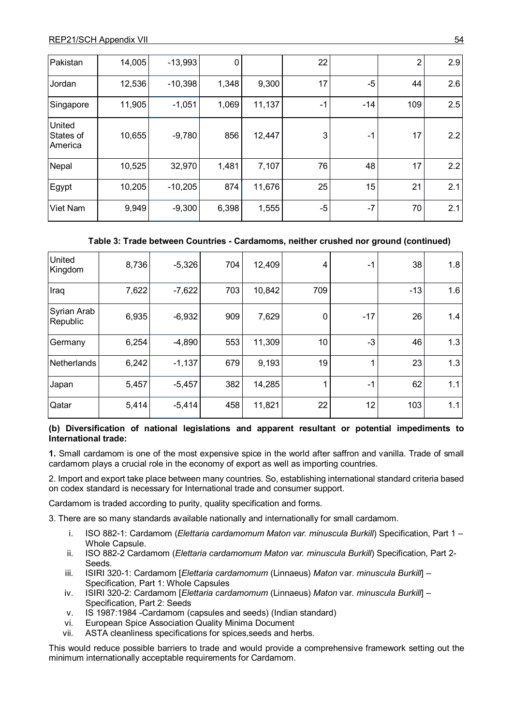| Pakistan                              | 14,005 | $-13,993$ | 0     |        | 22   |       | 2   | 2.9 |
|---------------------------------------|--------|-----------|-------|--------|------|-------|-----|-----|
| Jordan                                | 12,536 | $-10,398$ | 1,348 | 9,300  | 17   | -5    | 44  | 2.6 |
| Singapore                             | 11,905 | $-1,051$  | 1,069 | 11,137 | $-1$ | $-14$ | 109 | 2.5 |
| <b>United</b><br>States of<br>America | 10,655 | $-9,780$  | 856   | 12,447 | 3    | $-1$  | 17  | 2.2 |
| Nepal                                 | 10,525 | 32,970    | 1,481 | 7,107  | 76   | 48    | 17  | 2.2 |
| Egypt                                 | 10,205 | $-10,205$ | 874   | 11,676 | 25   | 15    | 21  | 2.1 |
| Viet Nam                              | 9,949  | $-9,300$  | 6,398 | 1,555  | -5   | $-7$  | 70  | 2.1 |

## **Table 3: Trade between Countries - Cardamoms, neither crushed nor ground (continued)**

| United<br>Kingdom       | 8,736 | $-5,326$ | 704 | 12,409 | 4   | -1    | 38    | 1.8 |
|-------------------------|-------|----------|-----|--------|-----|-------|-------|-----|
| Iraq                    | 7,622 | $-7,622$ | 703 | 10,842 | 709 |       | $-13$ | 1.6 |
| Syrian Arab<br>Republic | 6,935 | $-6,932$ | 909 | 7,629  | 0   | $-17$ | 26    | 1.4 |
| Germany                 | 6,254 | $-4,890$ | 553 | 11,309 | 10  | -3    | 46    | 1.3 |
| Netherlands             | 6,242 | $-1,137$ | 679 | 9,193  | 19  |       | 23    | 1.3 |
| Japan                   | 5,457 | $-5,457$ | 382 | 14,285 |     | $-1$  | 62    | 1.1 |
| Qatar                   | 5,414 | $-5,414$ | 458 | 11,821 | 22  | 12    | 103   | 1.1 |

**(b) Diversification of national legislations and apparent resultant or potential impediments to International trade:**

**1.** Small cardamom is one of the most expensive spice in the world after saffron and vanilla. Trade of small cardamom plays a crucial role in the economy of export as well as importing countries.

2. Import and export take place between many countries. So, establishing international standard criteria based on codex standard is necessary for International trade and consumer support.

Cardamom is traded according to purity, quality specification and forms.

3. There are so many standards available nationally and internationally for small cardamom.

- i. ISO 882-1: Cardamom (*Elettaria cardamomum Maton var. minuscula Burkill*) Specification, Part 1 Whole Capsule.
- ii. ISO 882-2 Cardamom (*Elettaria cardamomum Maton var. minuscula Burkill*) Specification, Part 2- Seeds.
- iii. ISIRI 320-1: Cardamom [*Elettaria cardamomum* (Linnaeus) *Maton* var. *minuscula Burkill*] Specification, Part 1: Whole Capsules
- iv. ISIRI 320-2: Cardamom [*Elettaria cardamomum* (Linnaeus) *Maton* var. *minuscula Burkill*] Specification, Part 2: Seeds
- v. IS 1987:1984 -Cardamom (capsules and seeds) (Indian standard)
- vi. European Spice Association Quality Minima Document
- vii. ASTA cleanliness specifications for spices,seeds and herbs.

This would reduce possible barriers to trade and would provide a comprehensive framework setting out the minimum internationally acceptable requirements for Cardamom.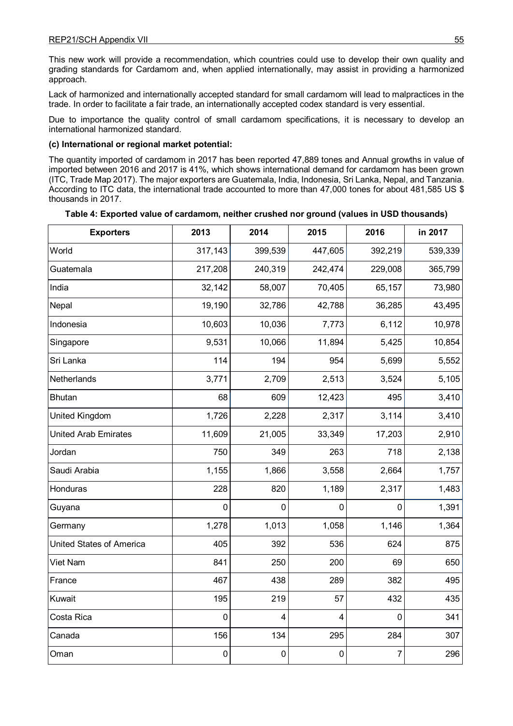This new work will provide a recommendation, which countries could use to develop their own quality and grading standards for Cardamom and, when applied internationally, may assist in providing a harmonized approach.

Lack of harmonized and internationally accepted standard for small cardamom will lead to malpractices in the trade. In order to facilitate a fair trade, an internationally accepted codex standard is very essential.

Due to importance the quality control of small cardamom specifications, it is necessary to develop an international harmonized standard.

#### **(c) International or regional market potential:**

The quantity imported of cardamom in 2017 has been reported 47,889 tones and Annual growths in value of imported between 2016 and 2017 is 41%, which shows international demand for cardamom has been grown (ITC, Trade Map 2017). The major exporters are Guatemala, India, Indonesia, Sri Lanka, Nepal, and Tanzania. According to ITC data, the international trade accounted to more than 47,000 tones for about 481,585 US \$ thousands in 2017.

| <b>Exporters</b>            | 2013           | 2014           | 2015        | 2016           | in 2017 |
|-----------------------------|----------------|----------------|-------------|----------------|---------|
| World                       | 317,143        | 399,539        | 447,605     | 392,219        | 539,339 |
| Guatemala                   | 217,208        | 240,319        | 242,474     | 229,008        | 365,799 |
| India                       | 32,142         | 58,007         | 70,405      | 65,157         | 73,980  |
| Nepal                       | 19,190         | 32,786         | 42,788      | 36,285         | 43,495  |
| Indonesia                   | 10,603         | 10,036         | 7,773       | 6,112          | 10,978  |
| Singapore                   | 9,531          | 10,066         | 11,894      | 5,425          | 10,854  |
| Sri Lanka                   | 114            | 194            | 954         | 5,699          | 5,552   |
| Netherlands                 | 3,771          | 2,709          | 2,513       | 3,524          | 5,105   |
| <b>Bhutan</b>               | 68             | 609            | 12,423      | 495            | 3,410   |
| United Kingdom              | 1,726          | 2,228          | 2,317       | 3,114          | 3,410   |
| <b>United Arab Emirates</b> | 11,609         | 21,005         | 33,349      | 17,203         | 2,910   |
| Jordan                      | 750            | 349            | 263         | 718            | 2,138   |
| Saudi Arabia                | 1,155          | 1,866          | 3,558       | 2,664          | 1,757   |
| Honduras                    | 228            | 820            | 1,189       | 2,317          | 1,483   |
| Guyana                      | 0              | $\mathbf{0}$   | 0           | 0              | 1,391   |
| Germany                     | 1,278          | 1,013          | 1,058       | 1,146          | 1,364   |
| United States of America    | 405            | 392            | 536         | 624            | 875     |
| Viet Nam                    | 841            | 250            | 200         | 69             | 650     |
| France                      | 467            | 438            | 289         | 382            | 495     |
| Kuwait                      | 195            | 219            | 57          | 432            | 435     |
| Costa Rica                  | $\overline{0}$ | $\overline{4}$ | 4           | $\overline{0}$ | 341     |
| Canada                      | 156            | 134            | 295         | 284            | 307     |
| Oman                        | $\mathbf 0$    | $\mathbf 0$    | $\mathbf 0$ | 7              | 296     |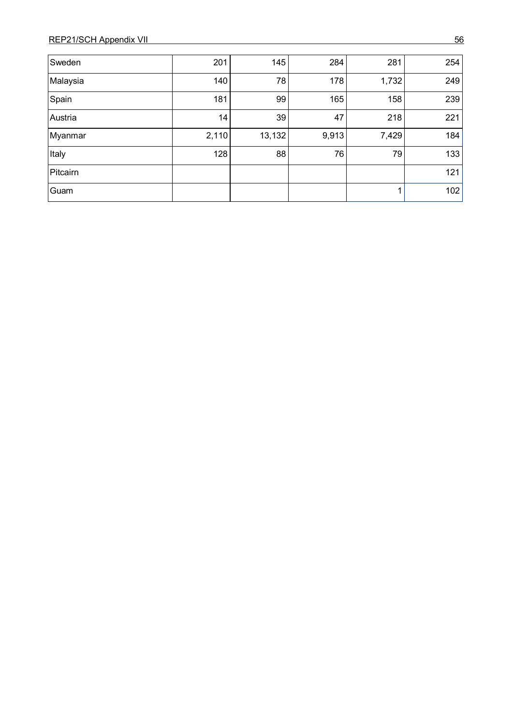| Sweden   | 201   | 145    | 284   | 281   | 254 |
|----------|-------|--------|-------|-------|-----|
| Malaysia | 140   | 78     | 178   | 1,732 | 249 |
| Spain    | 181   | 99     | 165   | 158   | 239 |
| Austria  | 14    | 39     | 47    | 218   | 221 |
| Myanmar  | 2,110 | 13,132 | 9,913 | 7,429 | 184 |
| Italy    | 128   | 88     | 76    | 79    | 133 |
| Pitcairn |       |        |       |       | 121 |
| Guam     |       |        |       | 1.    | 102 |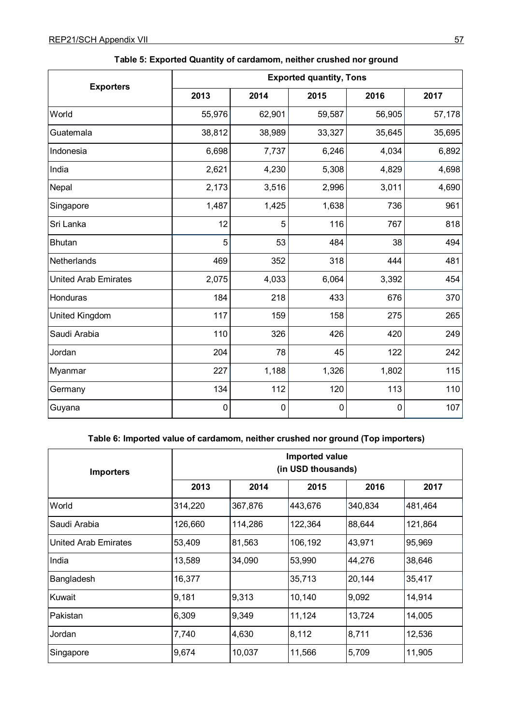|                             | <b>Exported quantity, Tons</b> |             |        |           |        |
|-----------------------------|--------------------------------|-------------|--------|-----------|--------|
| <b>Exporters</b>            | 2013                           | 2014        | 2015   | 2016      | 2017   |
| World                       | 55,976                         | 62,901      | 59,587 | 56,905    | 57,178 |
| Guatemala                   | 38,812                         | 38,989      | 33,327 | 35,645    | 35,695 |
| Indonesia                   | 6,698                          | 7,737       | 6,246  | 4,034     | 6,892  |
| India                       | 2,621                          | 4,230       | 5,308  | 4,829     | 4,698  |
| Nepal                       | 2,173                          | 3,516       | 2,996  | 3,011     | 4,690  |
| Singapore                   | 1,487                          | 1,425       | 1,638  | 736       | 961    |
| Sri Lanka                   | 12                             | 5           | 116    | 767       | 818    |
| <b>Bhutan</b>               | 5                              | 53          | 484    | 38        | 494    |
| Netherlands                 | 469                            | 352         | 318    | 444       | 481    |
| <b>United Arab Emirates</b> | 2,075                          | 4,033       | 6,064  | 3,392     | 454    |
| Honduras                    | 184                            | 218         | 433    | 676       | 370    |
| United Kingdom              | 117                            | 159         | 158    | 275       | 265    |
| Saudi Arabia                | 110                            | 326         | 426    | 420       | 249    |
| Jordan                      | 204                            | 78          | 45     | 122       | 242    |
| Myanmar                     | 227                            | 1,188       | 1,326  | 1,802     | 115    |
| Germany                     | 134                            | 112         | 120    | 113       | 110    |
| Guyana                      | $\mathbf 0$                    | $\mathbf 0$ | 0      | $\pmb{0}$ | 107    |

# **Table 5: Exported Quantity of cardamom, neither crushed nor ground**

# **Table 6: Imported value of cardamom, neither crushed nor ground (Top importers)**

| <b>Importers</b>            | Imported value<br>(in USD thousands) |         |         |         |         |  |
|-----------------------------|--------------------------------------|---------|---------|---------|---------|--|
|                             | 2013                                 | 2014    | 2015    | 2016    | 2017    |  |
| World                       | 314,220                              | 367,876 | 443,676 | 340,834 | 481,464 |  |
| Saudi Arabia                | 126,660                              | 114,286 | 122,364 | 88,644  | 121,864 |  |
| <b>United Arab Emirates</b> | 53,409                               | 81,563  | 106,192 | 43,971  | 95,969  |  |
| India                       | 13,589                               | 34,090  | 53,990  | 44,276  | 38,646  |  |
| Bangladesh                  | 16,377                               |         | 35,713  | 20,144  | 35,417  |  |
| Kuwait                      | 9,181                                | 9,313   | 10,140  | 9,092   | 14,914  |  |
| Pakistan                    | 6,309                                | 9,349   | 11,124  | 13,724  | 14,005  |  |
| Jordan                      | 7,740                                | 4,630   | 8,112   | 8,711   | 12,536  |  |
| Singapore                   | 9,674                                | 10,037  | 11,566  | 5,709   | 11,905  |  |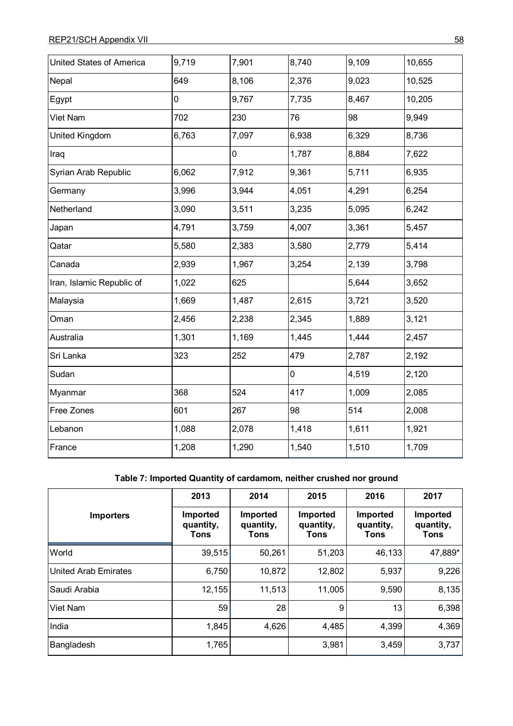| United States of America  | 9,719 | 7,901       | 8,740 | 9,109 | 10,655 |
|---------------------------|-------|-------------|-------|-------|--------|
| Nepal                     | 649   | 8,106       | 2,376 | 9,023 | 10,525 |
| Egypt                     | 0     | 9,767       | 7,735 | 8,467 | 10,205 |
| Viet Nam                  | 702   | 230         | 76    | 98    | 9,949  |
| United Kingdom            | 6,763 | 7,097       | 6,938 | 6,329 | 8,736  |
| Iraq                      |       | $\mathbf 0$ | 1,787 | 8,884 | 7,622  |
| Syrian Arab Republic      | 6,062 | 7,912       | 9,361 | 5,711 | 6,935  |
| Germany                   | 3,996 | 3,944       | 4,051 | 4,291 | 6,254  |
| Netherland                | 3,090 | 3,511       | 3,235 | 5,095 | 6,242  |
| Japan                     | 4,791 | 3,759       | 4,007 | 3,361 | 5,457  |
| Qatar                     | 5,580 | 2,383       | 3,580 | 2,779 | 5,414  |
| Canada                    | 2,939 | 1,967       | 3,254 | 2,139 | 3,798  |
| Iran, Islamic Republic of | 1,022 | 625         |       | 5,644 | 3,652  |
| Malaysia                  | 1,669 | 1,487       | 2,615 | 3,721 | 3,520  |
| Oman                      | 2,456 | 2,238       | 2,345 | 1,889 | 3,121  |
| Australia                 | 1,301 | 1,169       | 1,445 | 1,444 | 2,457  |
| Sri Lanka                 | 323   | 252         | 479   | 2,787 | 2,192  |
| Sudan                     |       |             | 0     | 4,519 | 2,120  |
| Myanmar                   | 368   | 524         | 417   | 1,009 | 2,085  |
| Free Zones                | 601   | 267         | 98    | 514   | 2,008  |
| Lebanon                   | 1,088 | 2,078       | 1,418 | 1,611 | 1,921  |
| France                    | 1,208 | 1,290       | 1,540 | 1,510 | 1,709  |

# **Table 7: Imported Quantity of cardamom, neither crushed nor ground**

|                             | 2013                                 | 2014                          | 2015                                 | 2016                          | 2017                          |
|-----------------------------|--------------------------------------|-------------------------------|--------------------------------------|-------------------------------|-------------------------------|
| <b>Importers</b>            | Imported<br>quantity,<br><b>Tons</b> | Imported<br>quantity,<br>Tons | Imported<br>quantity,<br><b>Tons</b> | Imported<br>quantity,<br>Tons | Imported<br>quantity,<br>Tons |
| World                       | 39,515                               | 50,261                        | 51,203                               | 46,133                        | 47,889*                       |
| <b>United Arab Emirates</b> | 6,750                                | 10,872                        | 12,802                               | 5,937                         | 9,226                         |
| Saudi Arabia                | 12,155                               | 11,513                        | 11,005                               | 9,590                         | 8,135                         |
| Viet Nam                    | 59                                   | 28                            | 9                                    | 13                            | 6,398                         |
| India                       | 1,845                                | 4,626                         | 4,485                                | 4,399                         | 4,369                         |
| Bangladesh                  | 1,765                                |                               | 3,981                                | 3,459                         | 3,737                         |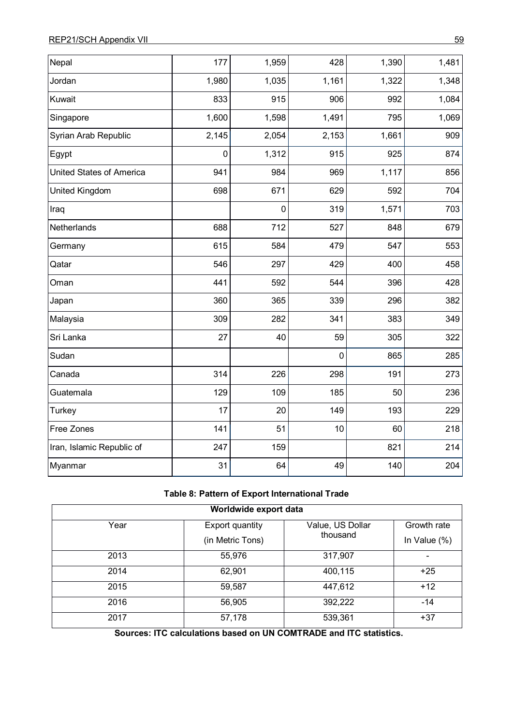| Nepal                     | 177         | 1,959       | 428         | 1,390 | 1,481 |
|---------------------------|-------------|-------------|-------------|-------|-------|
| Jordan                    | 1,980       | 1,035       | 1,161       | 1,322 | 1,348 |
|                           |             |             |             |       |       |
| Kuwait                    | 833         | 915         | 906         | 992   | 1,084 |
| Singapore                 | 1,600       | 1,598       | 1,491       | 795   | 1,069 |
| Syrian Arab Republic      | 2,145       | 2,054       | 2,153       | 1,661 | 909   |
| Egypt                     | $\mathbf 0$ | 1,312       | 915         | 925   | 874   |
| United States of America  | 941         | 984         | 969         | 1,117 | 856   |
| <b>United Kingdom</b>     | 698         | 671         | 629         | 592   | 704   |
| Iraq                      |             | $\mathbf 0$ | 319         | 1,571 | 703   |
| Netherlands               | 688         | 712         | 527         | 848   | 679   |
| Germany                   | 615         | 584         | 479         | 547   | 553   |
| Qatar                     | 546         | 297         | 429         | 400   | 458   |
| Oman                      | 441         | 592         | 544         | 396   | 428   |
| Japan                     | 360         | 365         | 339         | 296   | 382   |
| Malaysia                  | 309         | 282         | 341         | 383   | 349   |
| Sri Lanka                 | 27          | 40          | 59          | 305   | 322   |
| Sudan                     |             |             | $\mathbf 0$ | 865   | 285   |
| Canada                    | 314         | 226         | 298         | 191   | 273   |
| Guatemala                 | 129         | 109         | 185         | 50    | 236   |
| Turkey                    | 17          | 20          | 149         | 193   | 229   |
| Free Zones                | 141         | 51          | 10          | 60    | 218   |
| Iran, Islamic Republic of | 247         | 159         |             | 821   | 214   |
| Myanmar                   | 31          | 64          | 49          | 140   | 204   |

#### **Table 8: Pattern of Export International Trade**

| Worldwide export data |                        |                  |                 |  |
|-----------------------|------------------------|------------------|-----------------|--|
| Year                  | <b>Export quantity</b> | Value, US Dollar | Growth rate     |  |
|                       | (in Metric Tons)       | thousand         | In Value $(\%)$ |  |
| 2013                  | 55,976                 | 317,907          |                 |  |
| 2014                  | 62,901                 | 400,115          | $+25$           |  |
| 2015                  | 59,587                 | 447,612          | $+12$           |  |
| 2016                  | 56,905                 | 392,222          | $-14$           |  |
| 2017                  | 57,178                 | 539,361          | $+37$           |  |

 **Sources: ITC calculations based on UN COMTRADE and ITC statistics.**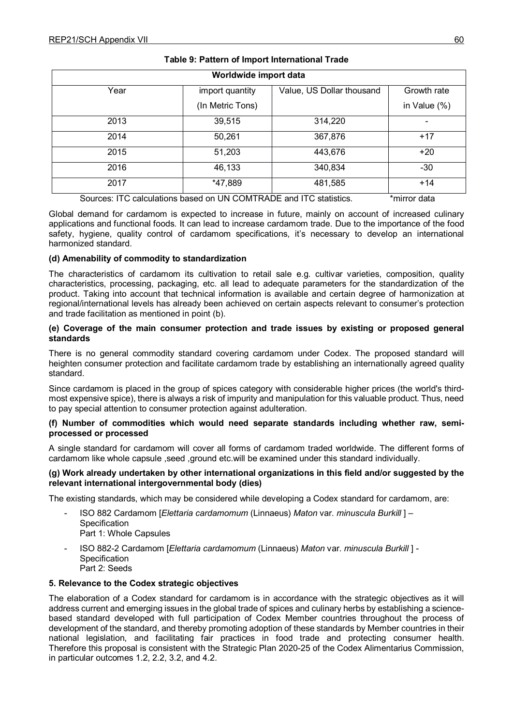| Worldwide import data                                              |                  |                           |              |
|--------------------------------------------------------------------|------------------|---------------------------|--------------|
| Year                                                               | import quantity  | Value, US Dollar thousand | Growth rate  |
|                                                                    | (In Metric Tons) |                           | in Value (%) |
| 2013                                                               | 39,515           | 314,220                   |              |
| 2014                                                               | 50,261           | 367,876                   | $+17$        |
| 2015                                                               | 51,203           | 443,676                   | $+20$        |
| 2016                                                               | 46,133           | 340,834                   | $-30$        |
| 2017                                                               | *47,889          | 481,585                   | $+14$        |
| Sources: ITC calculations based on UN COMTRADE and ITC statistics. |                  |                           | *mirror data |

#### **Table 9: Pattern of Import International Trade**

Global demand for cardamom is expected to increase in future, mainly on account of increased culinary applications and functional foods. It can lead to increase cardamom trade. Due to the importance of the food safety, hygiene, quality control of cardamom specifications, it's necessary to develop an international harmonized standard.

#### **(d) Amenability of commodity to standardization**

The characteristics of cardamom its cultivation to retail sale e.g. cultivar varieties, composition, quality characteristics, processing, packaging, etc. all lead to adequate parameters for the standardization of the product. Taking into account that technical information is available and certain degree of harmonization at regional/international levels has already been achieved on certain aspects relevant to consumer's protection and trade facilitation as mentioned in point (b).

#### **(e) Coverage of the main consumer protection and trade issues by existing or proposed general standards**

There is no general commodity standard covering cardamom under Codex. The proposed standard will heighten consumer protection and facilitate cardamom trade by establishing an internationally agreed quality standard.

Since cardamom is placed in the group of spices category with considerable higher prices (the world's thirdmost expensive spice), there is always a risk of impurity and manipulation for this valuable product. Thus, need to pay special attention to consumer protection against adulteration.

#### **(f) Number of commodities which would need separate standards including whether raw, semiprocessed or processed**

A single standard for cardamom will cover all forms of cardamom traded worldwide. The different forms of cardamom like whole capsule ,seed ,ground etc.will be examined under this standard individually.

#### **(g) Work already undertaken by other international organizations in this field and/or suggested by the relevant international intergovernmental body (dies)**

The existing standards, which may be considered while developing a Codex standard for cardamom, are:

- ISO 882 Cardamom [*Elettaria cardamomum* (Linnaeus) *Maton* var. *minuscula Burkill* ] **Specification** Part 1: Whole Capsules
- ISO 882-2 Cardamom [*Elettaria cardamomum* (Linnaeus) *Maton* var. *minuscula Burkill* ] Specification Part 2: Seeds

#### **5. Relevance to the Codex strategic objectives**

The elaboration of a Codex standard for cardamom is in accordance with the strategic objectives as it will address current and emerging issues in the global trade of spices and culinary herbs by establishing a sciencebased standard developed with full participation of Codex Member countries throughout the process of development of the standard, and thereby promoting adoption of these standards by Member countries in their national legislation, and facilitating fair practices in food trade and protecting consumer health. Therefore this proposal is consistent with the Strategic Plan 2020-25 of the Codex Alimentarius Commission, in particular outcomes 1.2, 2.2, 3.2, and 4.2.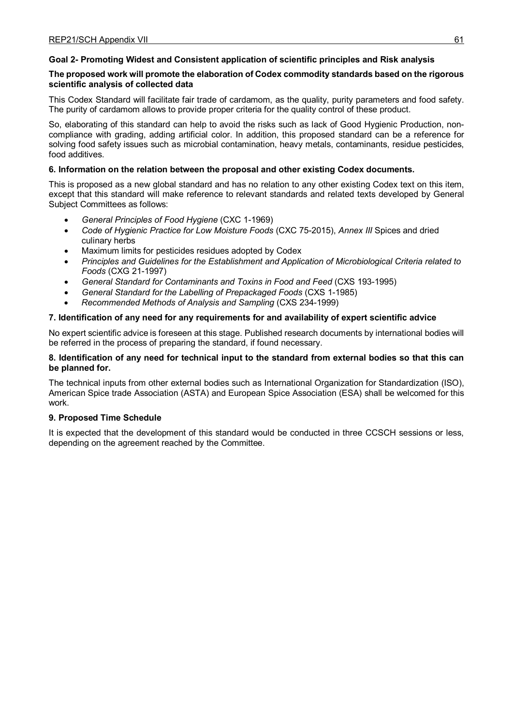## **Goal 2- Promoting Widest and Consistent application of scientific principles and Risk analysis**

#### **The proposed work will promote the elaboration of Codex commodity standards based on the rigorous scientific analysis of collected data**

This Codex Standard will facilitate fair trade of cardamom, as the quality, purity parameters and food safety. The purity of cardamom allows to provide proper criteria for the quality control of these product.

So, elaborating of this standard can help to avoid the risks such as lack of Good Hygienic Production, noncompliance with grading, adding artificial color. In addition, this proposed standard can be a reference for solving food safety issues such as microbial contamination, heavy metals, contaminants, residue pesticides, food additives.

#### **6. Information on the relation between the proposal and other existing Codex documents.**

This is proposed as a new global standard and has no relation to any other existing Codex text on this item, except that this standard will make reference to relevant standards and related texts developed by General Subject Committees as follows:

- *General Principles of Food Hygiene* (CXC 1-1969)
- *Code of Hygienic Practice for Low Moisture Foods* (CXC 75-2015), *Annex III* Spices and dried culinary herbs
- Maximum limits for pesticides residues adopted by Codex
- *Principles and Guidelines for the Establishment and Application of Microbiological Criteria related to Foods* (CXG 21-1997)
- *General Standard for Contaminants and Toxins in Food and Feed* (CXS 193-1995)
- *General Standard for the Labelling of Prepackaged Foods* (CXS 1-1985)
- *Recommended Methods of Analysis and Sampling* (CXS 234-1999)

#### **7. Identification of any need for any requirements for and availability of expert scientific advice**

No expert scientific advice is foreseen at this stage. Published research documents by international bodies will be referred in the process of preparing the standard, if found necessary.

#### **8. Identification of any need for technical input to the standard from external bodies so that this can be planned for.**

The technical inputs from other external bodies such as International Organization for Standardization (ISO), American Spice trade Association (ASTA) and European Spice Association (ESA) shall be welcomed for this work.

#### **9. Proposed Time Schedule**

It is expected that the development of this standard would be conducted in three CCSCH sessions or less, depending on the agreement reached by the Committee.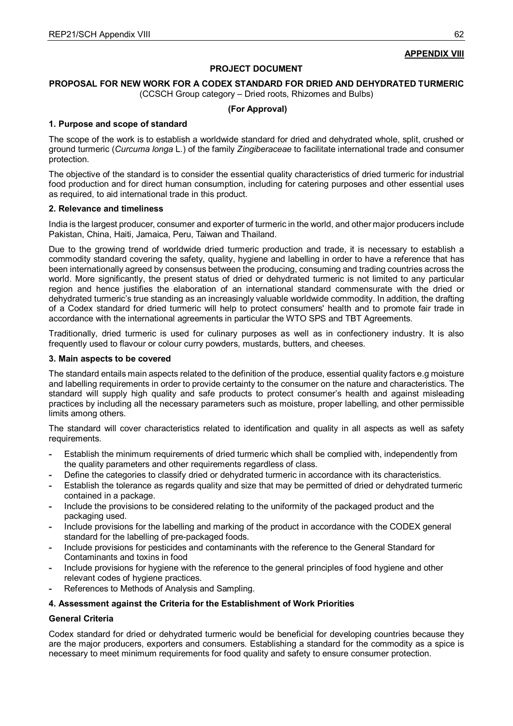## **APPENDIX VIII**

#### **PROJECT DOCUMENT**

#### **PROPOSAL FOR NEW WORK FOR A CODEX STANDARD FOR DRIED AND DEHYDRATED TURMERIC**

(CCSCH Group category – Dried roots, Rhizomes and Bulbs)

#### **(For Approval)**

#### **1. Purpose and scope of standard**

The scope of the work is to establish a worldwide standard for dried and dehydrated whole, split, crushed or ground turmeric (*Curcuma longa* L.) of the family *Zingiberaceae* to facilitate international trade and consumer protection.

The objective of the standard is to consider the essential quality characteristics of dried turmeric for industrial food production and for direct human consumption, including for catering purposes and other essential uses as required, to aid international trade in this product.

#### **2. Relevance and timeliness**

India is the largest producer, consumer and exporter of turmeric in the world, and other major producers include Pakistan, China, Haiti, Jamaica, Peru, Taiwan and Thailand.

Due to the growing trend of worldwide dried turmeric production and trade, it is necessary to establish a commodity standard covering the safety, quality, hygiene and labelling in order to have a reference that has been internationally agreed by consensus between the producing, consuming and trading countries across the world. More significantly, the present status of dried or dehydrated turmeric is not limited to any particular region and hence justifies the elaboration of an international standard commensurate with the dried or dehydrated turmeric's true standing as an increasingly valuable worldwide commodity. In addition, the drafting of a Codex standard for dried turmeric will help to protect consumers' health and to promote fair trade in accordance with the international agreements in particular the WTO SPS and TBT Agreements.

Traditionally, dried turmeric is used for culinary purposes as well as in confectionery industry. It is also frequently used to flavour or colour curry powders, mustards, butters, and cheeses.

#### **3. Main aspects to be covered**

The standard entails main aspects related to the definition of the produce, essential quality factors e.g moisture and labelling requirements in order to provide certainty to the consumer on the nature and characteristics. The standard will supply high quality and safe products to protect consumer's health and against misleading practices by including all the necessary parameters such as moisture, proper labelling, and other permissible limits among others.

The standard will cover characteristics related to identification and quality in all aspects as well as safety requirements.

- **-** Establish the minimum requirements of dried turmeric which shall be complied with, independently from the quality parameters and other requirements regardless of class.
- **-** Define the categories to classify dried or dehydrated turmeric in accordance with its characteristics.
- **-** Establish the tolerance as regards quality and size that may be permitted of dried or dehydrated turmeric contained in a package.
- **-** Include the provisions to be considered relating to the uniformity of the packaged product and the packaging used.
- **-** Include provisions for the labelling and marking of the product in accordance with the CODEX general standard for the labelling of pre-packaged foods.
- **-** Include provisions for pesticides and contaminants with the reference to the General Standard for Contaminants and toxins in food
- **-** Include provisions for hygiene with the reference to the general principles of food hygiene and other relevant codes of hygiene practices.
- **-** References to Methods of Analysis and Sampling.

#### **4. Assessment against the Criteria for the Establishment of Work Priorities**

#### **General Criteria**

Codex standard for dried or dehydrated turmeric would be beneficial for developing countries because they are the major producers, exporters and consumers. Establishing a standard for the commodity as a spice is necessary to meet minimum requirements for food quality and safety to ensure consumer protection.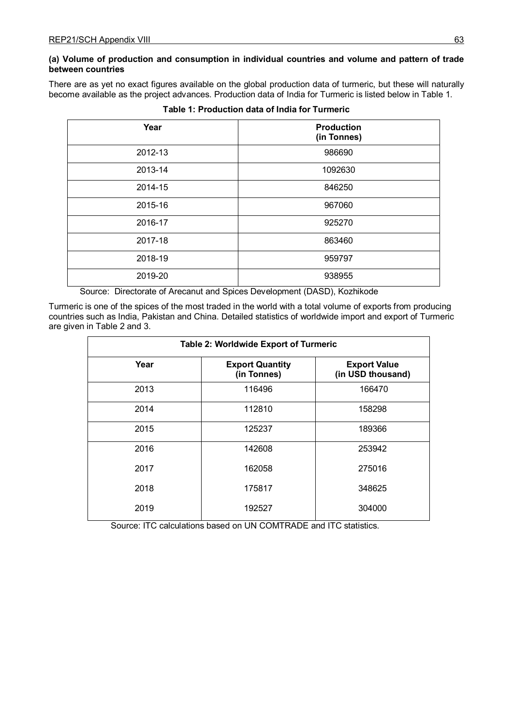# **(a) Volume of production and consumption in individual countries and volume and pattern of trade between countries**

There are as yet no exact figures available on the global production data of turmeric, but these will naturally become available as the project advances. Production data of India for Turmeric is listed below in Table 1.

| Year    | <b>Production</b><br>(in Tonnes) |  |
|---------|----------------------------------|--|
| 2012-13 | 986690                           |  |
| 2013-14 | 1092630                          |  |
| 2014-15 | 846250                           |  |
| 2015-16 | 967060                           |  |
| 2016-17 | 925270                           |  |
| 2017-18 | 863460                           |  |
| 2018-19 | 959797                           |  |
| 2019-20 | 938955                           |  |
|         |                                  |  |

**Table 1: Production data of India for Turmeric**

Source: Directorate of Arecanut and Spices Development (DASD), Kozhikode

Turmeric is one of the spices of the most traded in the world with a total volume of exports from producing countries such as India, Pakistan and China. Detailed statistics of worldwide import and export of Turmeric are given in Table 2 and 3.

| Table 2: Worldwide Export of Turmeric |                                       |                                          |  |  |
|---------------------------------------|---------------------------------------|------------------------------------------|--|--|
| Year                                  | <b>Export Quantity</b><br>(in Tonnes) | <b>Export Value</b><br>(in USD thousand) |  |  |
| 2013                                  | 116496                                | 166470                                   |  |  |
| 2014                                  | 112810                                | 158298                                   |  |  |
| 2015                                  | 125237                                | 189366                                   |  |  |
| 2016                                  | 142608                                | 253942                                   |  |  |
| 2017                                  | 162058                                | 275016                                   |  |  |
| 2018                                  | 175817                                | 348625                                   |  |  |
| 2019                                  | 192527                                | 304000                                   |  |  |

Source: ITC calculations based on UN COMTRADE and ITC statistics.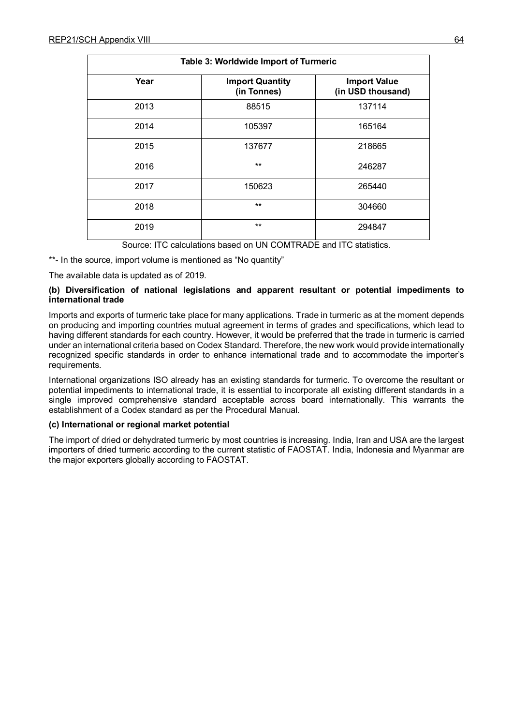| Table 3: Worldwide Import of Turmeric |                                       |                                          |  |
|---------------------------------------|---------------------------------------|------------------------------------------|--|
| Year                                  | <b>Import Quantity</b><br>(in Tonnes) | <b>Import Value</b><br>(in USD thousand) |  |
| 2013                                  | 88515                                 | 137114                                   |  |
| 2014                                  | 105397                                | 165164                                   |  |
| 2015                                  | 137677                                | 218665                                   |  |
| 2016                                  | $**$                                  | 246287                                   |  |
| 2017                                  | 150623                                | 265440                                   |  |
| 2018                                  | $**$                                  | 304660                                   |  |
| 2019                                  | $**$                                  | 294847                                   |  |

Source: ITC calculations based on UN COMTRADE and ITC statistics.

\*\*- In the source, import volume is mentioned as "No quantity"

The available data is updated as of 2019.

#### **(b) Diversification of national legislations and apparent resultant or potential impediments to international trade**

Imports and exports of turmeric take place for many applications. Trade in turmeric as at the moment depends on producing and importing countries mutual agreement in terms of grades and specifications, which lead to having different standards for each country. However, it would be preferred that the trade in turmeric is carried under an international criteria based on Codex Standard. Therefore, the new work would provide internationally recognized specific standards in order to enhance international trade and to accommodate the importer's requirements.

International organizations ISO already has an existing standards for turmeric. To overcome the resultant or potential impediments to international trade, it is essential to incorporate all existing different standards in a single improved comprehensive standard acceptable across board internationally. This warrants the establishment of a Codex standard as per the Procedural Manual.

#### **(c) International or regional market potential**

The import of dried or dehydrated turmeric by most countries is increasing. India, Iran and USA are the largest importers of dried turmeric according to the current statistic of FAOSTAT. India, Indonesia and Myanmar are the major exporters globally according to FAOSTAT.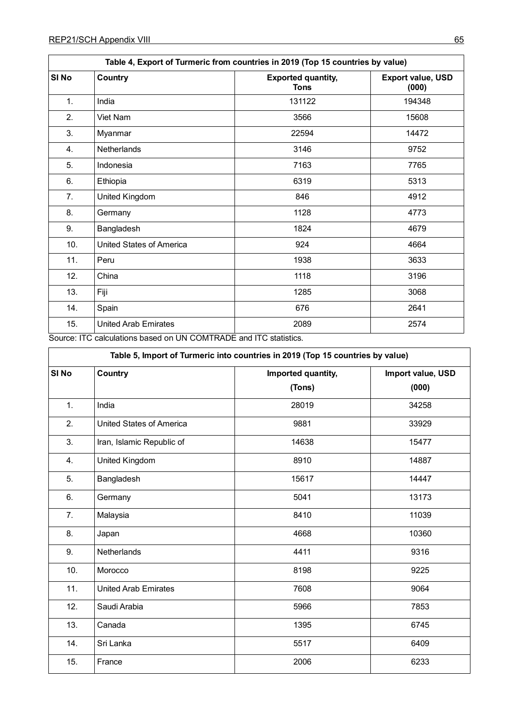| Table 4, Export of Turmeric from countries in 2019 (Top 15 countries by value) |                                                                               |                                   |                                   |  |  |  |
|--------------------------------------------------------------------------------|-------------------------------------------------------------------------------|-----------------------------------|-----------------------------------|--|--|--|
| SI <sub>No</sub>                                                               | Country                                                                       | <b>Exported quantity,</b><br>Tons | <b>Export value, USD</b><br>(000) |  |  |  |
| 1.                                                                             | India                                                                         | 131122                            | 194348                            |  |  |  |
| 2.                                                                             | Viet Nam                                                                      | 3566                              | 15608                             |  |  |  |
| 3.                                                                             | Myanmar                                                                       | 22594                             | 14472                             |  |  |  |
| 4.                                                                             | Netherlands                                                                   | 3146                              | 9752                              |  |  |  |
| 5.                                                                             | Indonesia                                                                     | 7163                              | 7765                              |  |  |  |
| 6.                                                                             | Ethiopia                                                                      | 6319                              | 5313                              |  |  |  |
| 7.                                                                             | <b>United Kingdom</b>                                                         | 846                               | 4912                              |  |  |  |
| 8.                                                                             | Germany                                                                       | 1128                              | 4773                              |  |  |  |
| 9.                                                                             | Bangladesh                                                                    | 1824                              | 4679                              |  |  |  |
| 10.                                                                            | United States of America                                                      | 924                               | 4664                              |  |  |  |
| 11.                                                                            | Peru                                                                          | 1938                              | 3633                              |  |  |  |
| 12.                                                                            | China                                                                         | 1118                              | 3196                              |  |  |  |
| 13.                                                                            | Fiji                                                                          | 1285                              | 3068                              |  |  |  |
| 14.                                                                            | Spain                                                                         | 676                               | 2641                              |  |  |  |
| 15.<br>$-1$                                                                    | <b>United Arab Emirates</b><br>1117001177157<br>$\mathbf{r}$ and $\mathbf{r}$ | 2089<br>$-$                       | 2574                              |  |  |  |

Source: ITC calculations based on UN COMTRADE and ITC statistics.

| Table 5, Import of Turmeric into countries in 2019 (Top 15 countries by value) |                                 |                    |                   |  |  |  |
|--------------------------------------------------------------------------------|---------------------------------|--------------------|-------------------|--|--|--|
| SI <sub>No</sub>                                                               | Country                         | Imported quantity, | Import value, USD |  |  |  |
|                                                                                |                                 | (Tons)             | (000)             |  |  |  |
| 1.                                                                             | India                           | 28019              | 34258             |  |  |  |
| 2.                                                                             | <b>United States of America</b> | 9881               | 33929             |  |  |  |
| 3.                                                                             | Iran, Islamic Republic of       | 14638              | 15477             |  |  |  |
| 4.                                                                             | United Kingdom                  | 8910               | 14887             |  |  |  |
| 5.                                                                             | Bangladesh                      | 15617              | 14447             |  |  |  |
| 6.                                                                             | Germany                         | 5041               | 13173             |  |  |  |
| 7.                                                                             | Malaysia                        | 8410               | 11039             |  |  |  |
| 8.                                                                             | Japan                           | 4668               | 10360             |  |  |  |
| 9.                                                                             | Netherlands                     | 4411               | 9316              |  |  |  |
| 10.                                                                            | Morocco                         | 8198               | 9225              |  |  |  |
| 11.                                                                            | <b>United Arab Emirates</b>     | 7608               | 9064              |  |  |  |
| 12.                                                                            | Saudi Arabia                    | 5966               | 7853              |  |  |  |
| 13.                                                                            | Canada                          | 1395               | 6745              |  |  |  |
| 14.                                                                            | Sri Lanka                       | 5517               | 6409              |  |  |  |
| 15.                                                                            | France                          | 2006               | 6233              |  |  |  |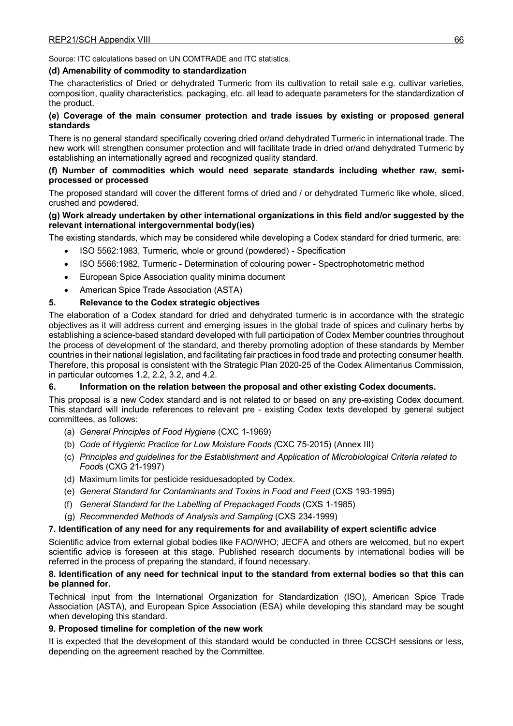Source: ITC calculations based on UN COMTRADE and ITC statistics.

#### **(d) Amenability of commodity to standardization**

The characteristics of Dried or dehydrated Turmeric from its cultivation to retail sale e.g. cultivar varieties, composition, quality characteristics, packaging, etc. all lead to adequate parameters for the standardization of the product.

#### **(e) Coverage of the main consumer protection and trade issues by existing or proposed general standards**

There is no general standard specifically covering dried or/and dehydrated Turmeric in international trade. The new work will strengthen consumer protection and will facilitate trade in dried or/and dehydrated Turmeric by establishing an internationally agreed and recognized quality standard.

#### **(f) Number of commodities which would need separate standards including whether raw, semiprocessed or processed**

The proposed standard will cover the different forms of dried and / or dehydrated Turmeric like whole, sliced, crushed and powdered.

#### **(g) Work already undertaken by other international organizations in this field and/or suggested by the relevant international intergovernmental body(ies)**

The existing standards, which may be considered while developing a Codex standard for dried turmeric, are:

- ISO 5562:1983, Turmeric, whole or ground (powdered) Specification
- ISO 5566:1982, Turmeric Determination of colouring power Spectrophotometric method
- European Spice Association quality minima document
- American Spice Trade Association (ASTA)

## **5. Relevance to the Codex strategic objectives**

The elaboration of a Codex standard for dried and dehydrated turmeric is in accordance with the strategic objectives as it will address current and emerging issues in the global trade of spices and culinary herbs by establishing a science-based standard developed with full participation of Codex Member countries throughout the process of development of the standard, and thereby promoting adoption of these standards by Member countries in their national legislation, and facilitating fair practices in food trade and protecting consumer health. Therefore, this proposal is consistent with the Strategic Plan 2020-25 of the Codex Alimentarius Commission, in particular outcomes 1.2, 2.2, 3.2, and 4.2.

#### **6. Information on the relation between the proposal and other existing Codex documents.**

This proposal is a new Codex standard and is not related to or based on any pre-existing Codex document. This standard will include references to relevant pre - existing Codex texts developed by general subject committees, as follows:

- (a) *General Principles of Food Hygiene* (CXC 1-1969)
- (b) *Code of Hygienic Practice for Low Moisture Foods (*CXC 75-2015) (Annex III)
- (c) *Principles and guidelines for the Establishment and Application of Microbiological Criteria related to Food*s (CXG 21-1997)
- (d) Maximum limits for pesticide residuesadopted by Codex.
- (e) *General Standard for Contaminants and Toxins in Food and Feed* (CXS 193-1995)
- (f) *General Standard for the Labelling of Prepackaged Foods* (CXS 1-1985)
- (g) *Recommended Methods of Analysis and Sampling* (CXS 234-1999)

#### **7. Identification of any need for any requirements for and availability of expert scientific advice**

Scientific advice from external global bodies like FAO/WHO; JECFA and others are welcomed, but no expert scientific advice is foreseen at this stage. Published research documents by international bodies will be referred in the process of preparing the standard, if found necessary.

#### **8. Identification of any need for technical input to the standard from external bodies so that this can be planned for.**

Technical input from the International Organization for Standardization (ISO), American Spice Trade Association (ASTA), and European Spice Association (ESA) while developing this standard may be sought when developing this standard.

#### **9. Proposed timeline for completion of the new work**

It is expected that the development of this standard would be conducted in three CCSCH sessions or less, depending on the agreement reached by the Committee.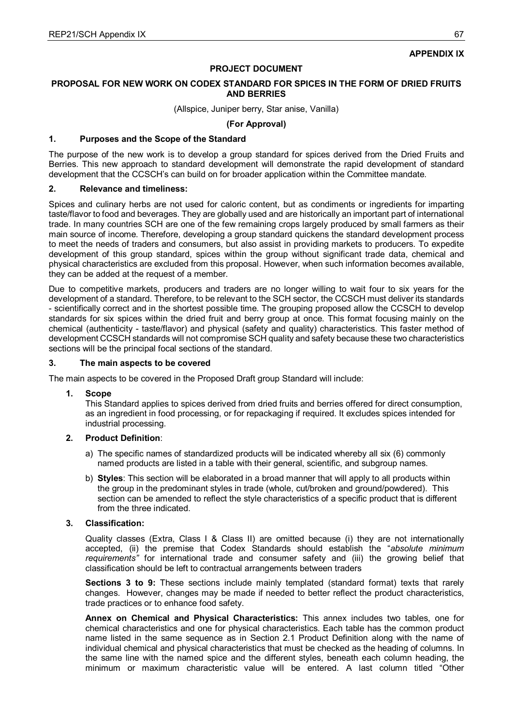## **APPENDIX IX**

#### **PROJECT DOCUMENT**

#### **PROPOSAL FOR NEW WORK ON CODEX STANDARD FOR SPICES IN THE FORM OF DRIED FRUITS AND BERRIES**

(Allspice, Juniper berry, Star anise, Vanilla)

**(For Approval)**

#### **1. Purposes and the Scope of the Standard**

The purpose of the new work is to develop a group standard for spices derived from the Dried Fruits and Berries. This new approach to standard development will demonstrate the rapid development of standard development that the CCSCH's can build on for broader application within the Committee mandate.

#### **2. Relevance and timeliness:**

Spices and culinary herbs are not used for caloric content, but as condiments or ingredients for imparting taste/flavor to food and beverages. They are globally used and are historically an important part of international trade. In many countries SCH are one of the few remaining crops largely produced by small farmers as their main source of income. Therefore, developing a group standard quickens the standard development process to meet the needs of traders and consumers, but also assist in providing markets to producers. To expedite development of this group standard, spices within the group without significant trade data, chemical and physical characteristics are excluded from this proposal. However, when such information becomes available, they can be added at the request of a member.

Due to competitive markets, producers and traders are no longer willing to wait four to six years for the development of a standard. Therefore, to be relevant to the SCH sector, the CCSCH must deliver its standards - scientifically correct and in the shortest possible time. The grouping proposed allow the CCSCH to develop standards for six spices within the dried fruit and berry group at once. This format focusing mainly on the chemical (authenticity - taste/flavor) and physical (safety and quality) characteristics. This faster method of development CCSCH standards will not compromise SCH quality and safety because these two characteristics sections will be the principal focal sections of the standard.

#### **3. The main aspects to be covered**

The main aspects to be covered in the Proposed Draft group Standard will include:

#### **1. Scope**

This Standard applies to spices derived from dried fruits and berries offered for direct consumption, as an ingredient in food processing, or for repackaging if required. It excludes spices intended for industrial processing.

#### **2. Product Definition**:

- a) The specific names of standardized products will be indicated whereby all six (6) commonly named products are listed in a table with their general, scientific, and subgroup names.
- b) **Styles**: This section will be elaborated in a broad manner that will apply to all products within the group in the predominant styles in trade (whole, cut/broken and ground/powdered). This section can be amended to reflect the style characteristics of a specific product that is different from the three indicated.

#### **3. Classification:**

Quality classes (Extra, Class I & Class II) are omitted because (i) they are not internationally accepted, (ii) the premise that Codex Standards should establish the "*absolute minimum requirements"* for international trade and consumer safety and (iii) the growing belief that classification should be left to contractual arrangements between traders

**Sections 3 to 9:** These sections include mainly templated (standard format) texts that rarely changes. However, changes may be made if needed to better reflect the product characteristics, trade practices or to enhance food safety.

**Annex on Chemical and Physical Characteristics:** This annex includes two tables, one for chemical characteristics and one for physical characteristics. Each table has the common product name listed in the same sequence as in Section 2.1 Product Definition along with the name of individual chemical and physical characteristics that must be checked as the heading of columns. In the same line with the named spice and the different styles, beneath each column heading, the minimum or maximum characteristic value will be entered. A last column titled "Other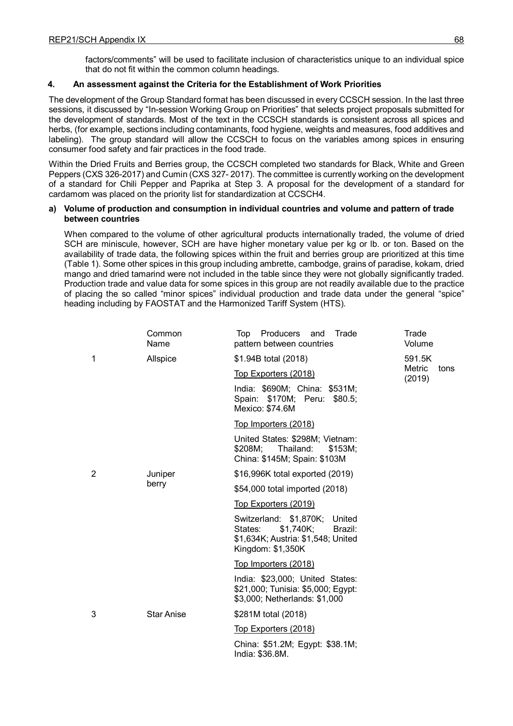factors/comments" will be used to facilitate inclusion of characteristics unique to an individual spice that do not fit within the common column headings.

## **4. An assessment against the Criteria for the Establishment of Work Priorities**

The development of the Group Standard format has been discussed in every CCSCH session. In the last three sessions, it discussed by "In-session Working Group on Priorities" that selects project proposals submitted for the development of standards. Most of the text in the CCSCH standards is consistent across all spices and herbs, (for example, sections including contaminants, food hygiene, weights and measures, food additives and labeling). The group standard will allow the CCSCH to focus on the variables among spices in ensuring consumer food safety and fair practices in the food trade.

Within the Dried Fruits and Berries group, the CCSCH completed two standards for Black, White and Green Peppers (CXS 326-2017) and Cumin (CXS 327- 2017). The committee is currently working on the development of a standard for Chili Pepper and Paprika at Step 3. A proposal for the development of a standard for cardamom was placed on the priority list for standardization at CCSCH4.

#### **a) Volume of production and consumption in individual countries and volume and pattern of trade between countries**

When compared to the volume of other agricultural products internationally traded, the volume of dried SCH are miniscule, however, SCH are have higher monetary value per kg or lb. or ton. Based on the availability of trade data, the following spices within the fruit and berries group are prioritized at this time (Table 1). Some other spices in this group including ambrette, cambodge, grains of paradise, kokam, dried mango and dried tamarind were not included in the table since they were not globally significantly traded. Production trade and value data for some spices in this group are not readily available due to the practice of placing the so called "minor spices" individual production and trade data under the general "spice" heading including by FAOSTAT and the Harmonized Tariff System (HTS).

|   | Common<br>Name    | Top Producers and<br>Trade<br>pattern between countries                                                                     | Trade<br>Volume          |
|---|-------------------|-----------------------------------------------------------------------------------------------------------------------------|--------------------------|
| 1 | Allspice          | \$1.94B total (2018)                                                                                                        | 591.5K                   |
|   |                   | <u>Top Exporters (2018)</u>                                                                                                 | Metric<br>tons<br>(2019) |
|   |                   | India: \$690M; China: \$531M;<br>Spain: \$170M; Peru: \$80.5;<br>Mexico: \$74.6M                                            |                          |
|   |                   | Top Importers (2018)                                                                                                        |                          |
|   |                   | United States: \$298M; Vietnam:<br>\$208M;<br>Thailand:<br>\$153M;<br>China: \$145M; Spain: \$103M                          |                          |
| 2 | Juniper<br>berry  | \$16,996K total exported (2019)                                                                                             |                          |
|   |                   | \$54,000 total imported (2018)                                                                                              |                          |
|   |                   | <u>Top Exporters (2019)</u>                                                                                                 |                          |
|   |                   | Switzerland: \$1,870K; United<br>States:<br>\$1,740K;<br>Brazil:<br>\$1,634K; Austria: \$1,548; United<br>Kingdom: \$1,350K |                          |
|   |                   | Top Importers (2018)                                                                                                        |                          |
|   |                   | India: \$23,000; United States:<br>\$21,000; Tunisia: \$5,000; Egypt:<br>\$3,000; Netherlands: \$1,000                      |                          |
| 3 | <b>Star Anise</b> | \$281M total (2018)                                                                                                         |                          |
|   |                   | Top Exporters (2018)                                                                                                        |                          |
|   |                   | China: \$51.2M; Egypt: \$38.1M;<br>India: \$36.8M.                                                                          |                          |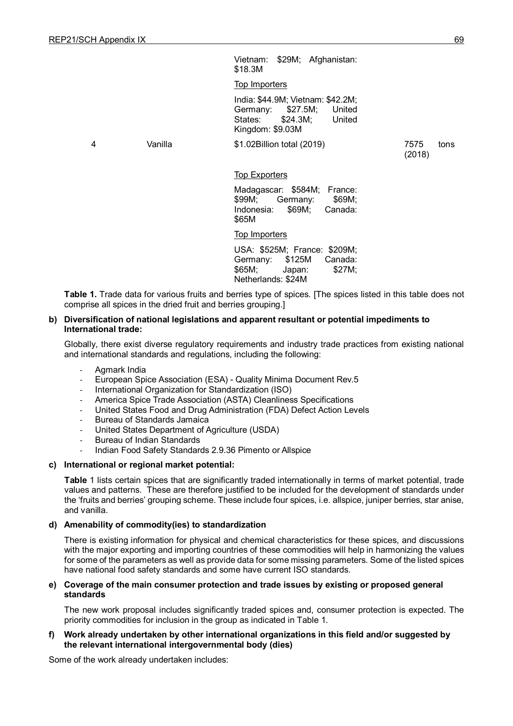Vietnam: \$29M; Afghanistan: \$18.3M Top Importers

India: \$44.9M; Vietnam: \$42.2M;<br>Germany: \$27.5M; United Germany: States: \$24.3M; United Kingdom: \$9.03M

4 Vanilla \$1.02Billion total (2019)

7575 tons (2018)

### **Top Exporters**

Madagascar: \$584M; France: \$99M; Germany: \$69M; Indonesia: \$69M; Canada: \$65M

Top Importers

USA: \$525M; France: \$209M;<br>Germany: \$125M Canada: Germany: \$65M; Japan: \$27M; Netherlands: \$24M

**Table 1.** Trade data for various fruits and berries type of spices. [The spices listed in this table does not comprise all spices in the dried fruit and berries grouping.]

### **b) Diversification of national legislations and apparent resultant or potential impediments to International trade:**

Globally, there exist diverse regulatory requirements and industry trade practices from existing national and international standards and regulations, including the following:

- Agmark India
- European Spice Association (ESA) Quality Minima Document Rev.5
- International Organization for Standardization (ISO)
- America Spice Trade Association (ASTA) Cleanliness Specifications
- United States Food and Drug Administration (FDA) Defect Action Levels
- Bureau of Standards Jamaica
- United States Department of Agriculture (USDA)
- Bureau of Indian Standards
- Indian Food Safety Standards 2.9.36 Pimento or Allspice

#### **c) International or regional market potential:**

**Table** 1 lists certain spices that are significantly traded internationally in terms of market potential, trade values and patterns. These are therefore justified to be included for the development of standards under the 'fruits and berries' grouping scheme. These include four spices, i.e. allspice, juniper berries, star anise, and vanilla.

## **d) Amenability of commodity(ies) to standardization**

There is existing information for physical and chemical characteristics for these spices, and discussions with the major exporting and importing countries of these commodities will help in harmonizing the values for some of the parameters as well as provide data for some missing parameters. Some of the listed spices have national food safety standards and some have current ISO standards.

### **e) Coverage of the main consumer protection and trade issues by existing or proposed general standards**

The new work proposal includes significantly traded spices and, consumer protection is expected. The priority commodities for inclusion in the group as indicated in Table 1.

### **f) Work already undertaken by other international organizations in this field and/or suggested by the relevant international intergovernmental body (dies)**

Some of the work already undertaken includes: